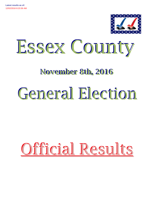



# **November 8th, 2016**

# General Election

# Official Results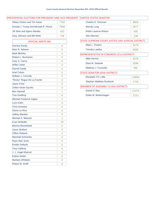# PRESIDENTIAL ELECTORS FOR PRESIDENT AND VICE PRESIDENT UNITED STATES SENATOR

| Hillary Clinton and Tim Kaine        | 7762           |
|--------------------------------------|----------------|
| Donald J. Trump and Michael R. Pence | 7958           |
| Jill Stein and Ajamu Baraka          | 420            |
| Gary Johnson and Bill Weld           | 728            |
| <b>OFFICIAL WRITE-INS</b>            |                |
| Arantxa Aranja                       | 0              |
| Neer R. Asherie                      | 0              |
| <b>Mark Blickley</b>                 | 0              |
| Robert L. Buchanan                   | 0              |
| Gary S. Canns                        | 0              |
| <b>Willie Carter</b>                 | 0              |
| <b>Darrell Castle</b>                | 0              |
| <b>Ariel Cohen</b>                   | 0              |
| William J. Connolly                  | 0              |
| "Rocky" Rogue De La Fuente           | 0              |
| <b>Jason Fried</b>                   | 0              |
| Zoltan Istvan Gyurko                 | 0              |
| <b>Ben Hartnell</b>                  | 1              |
| <b>Tom Hoefling</b>                  | 0              |
| Michael Frederick Ingbar             | 2              |
| Lynn Kahn                            | 4              |
| <b>Chris Keniston</b>                | 0              |
| Gloria La Riva                       | 0              |
| <b>Jeffrey Mackler</b>               | 0              |
| Michael A. Maturen                   | $\overline{2}$ |
| <b>Evan McMullin</b>                 | 42             |
| Monica Moorehead                     | 0              |
| <b>Jason Mutford</b>                 | 0              |
| <b>Clifton Roberts</b>               | $\overline{c}$ |
| <b>Marshall Schoenke</b>             | 0              |
| Ryan Alan Scott                      | 0              |
| <b>Emidio Soltysik</b>               | 0              |
| <b>Tony Valdivia</b>                 | 0              |
| J. J. Vogel-Walcutt                  | 0              |
| <b>Esther Welsh</b>                  | 0              |
| <b>Barbara Whitaker</b>              | 0              |
| Robert M. Wolff                      | 0              |

| ו יום שנים ויום שיווי ויום שנים ויום ויום ויום ויום שנים שיווים שויו |                |                                            | 0 I VI I L D 9 I / VI L D 9 L I V/ VI O I V         |       |  |  |
|----------------------------------------------------------------------|----------------|--------------------------------------------|-----------------------------------------------------|-------|--|--|
| <b>Hillary Clinton and Tim Kaine</b>                                 | 7762           |                                            | Charles E. Schumer                                  | 8829  |  |  |
| Donald J. Trump and Michael R. Pence                                 | 7958           |                                            | <b>Wendy Long</b>                                   | 6577  |  |  |
| Jill Stein and Ajamu Baraka                                          | 420            |                                            | Robin Laverne Wilson                                | 420   |  |  |
| Gary Johnson and Bill Weld                                           | 728            |                                            | <b>Alex Merced</b>                                  | 138   |  |  |
| <b>OFFICIAL WRITE-INS</b>                                            |                |                                            | STATE SUPREME COURT JUSTICE (4th JUDICIAL DISTRICT) |       |  |  |
| Arantxa Aranja                                                       | 0              |                                            | Mark L. Powers                                      | 6278  |  |  |
| Neer R. Asherie                                                      | $\overline{0}$ |                                            | <b>Timothy Lawliss</b>                              | 8939  |  |  |
| <b>Mark Blickley</b>                                                 | 0              | REPRESENTATIVE IN CONGRESS (21st DISTRICT) |                                                     |       |  |  |
| Robert L. Buchanan                                                   | 0              |                                            | <b>Mike Derrick</b>                                 | 6575  |  |  |
| Gary S. Canns                                                        | 0              |                                            |                                                     |       |  |  |
| <b>Willie Carter</b>                                                 | 0              |                                            | Elise M. Stefanik                                   | 9286  |  |  |
| <b>Darrell Castle</b>                                                | 0              |                                            | Matthew J. Funiciello                               | 691   |  |  |
| <b>Ariel Cohen</b>                                                   | 0              |                                            | <b>STATE SENATOR (45th DISTRICT)</b>                |       |  |  |
| William J. Connolly                                                  | 0              |                                            | Elizabeth O'C Little                                | 12856 |  |  |
| "Rocky" Rogue De La Fuente                                           | $\overline{0}$ |                                            | Stephen Matthew Ruzbacki                            | 1716  |  |  |
| <b>Jason Fried</b>                                                   | 0              |                                            |                                                     |       |  |  |
| Zoltan Istvan Gyurko                                                 | $\overline{0}$ |                                            | MEMBER OF ASSEMBLY (114th DISTRICT)                 |       |  |  |
| <b>Ben Hartnell</b>                                                  |                |                                            | Daniel G Stec                                       | 11474 |  |  |
| <b>Tom Hoefling</b>                                                  | 0              |                                            | Robin M. Barkenhagen                                | 2112  |  |  |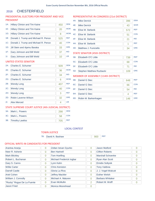#### CHESTERFIELD 2016

# PRESIDENTIAL ELECTORS FOR PRESIDENT AND VICE PRESIDENT

| $1A$ : | <b>Hillary Clinton and Tim Kaine</b> | 450 | <b>DEM</b> |
|--------|--------------------------------------|-----|------------|
| $1E$ : | Hillary Clinton and Tim Kaine        | 20  | <b>WOR</b> |
| $1G$ : | Hillary Clinton and Tim Kaine        | 8   | <b>WOM</b> |
| 1B:    | Donald J. Trump and Michael R. Pence | 525 | <b>REP</b> |
| 1C:    | Donald J. Trump and Michael R. Pence | 40  | <b>CON</b> |
| $1D$ : | Jill Stein and Ajamu Baraka          | 33  | <b>GRE</b> |
| $1F$ : | Gary Johnson and Bill Weld           | 37  | <b>IND</b> |
| 1!:    | Gary Johnson and Bill Weld           | 10  | <b>LIB</b> |
|        | UNITED STATES SENATOR                |     |            |
| 2A:    | Charles E. Schumer                   | 509 | <b>DFM</b> |

# 2B: Wendy Long 2B: 407 REP 2C: Wendy Long 20 CON 2D: Robin Laverne Wilson 32 GRE 2E: Charles E. Schumer 36 WOR 2F: Charles E. Schumer 34 IND 2G: Charles E. Schumer 6 WOM 2H: Wendy Long 3 REF 2I: Alex Merced 4 LIB

# STATE SUPREME COURT JUSTICE (4th JUDICIAL DISTRICT)

| 3A: Mark L. Powers  |     | <b>DFM</b> |
|---------------------|-----|------------|
| 3C: Mark L. Powers  |     | CON        |
| 3B: Timothy Lawliss | 705 | <b>RFP</b> |

# REPRESENTATIVE IN CONGRESS (21st DISTRICT)

| 4A: | <b>Mike Derrick</b>   | 396 | <b>DEM</b> |
|-----|-----------------------|-----|------------|
| 4E: | <b>Mike Derrick</b>   | 43  | <b>WOR</b> |
| 4B: | Elise M. Stefanik     | 572 | <b>REP</b> |
| 4C: | Elise M. Stefanik     | 51  | <b>CON</b> |
| 4F: | Elise M. Stefanik     | 21  | <b>IND</b> |
| 4H: | Elise M. Stefanik     | 1   | <b>REF</b> |
| 4D: | Matthew J. Funiciello | 34  | <b>GRE</b> |

### STATE SENATOR (45th DISTRICT)

| 5B: | <b>Elizabeth O'C Little</b>  | 739 | <b>RFP</b> |
|-----|------------------------------|-----|------------|
|     | 5C: Elizabeth O'C Little     | 68  | <b>CON</b> |
|     | 5F: Elizabeth O'C Little     |     | <b>IND</b> |
|     | 5D: Stephen Matthew Ruzbacki | 109 | <b>GRF</b> |

# MEMBER OF ASSEMBLY (114th DISTRICT)

| 6B: | Daniel G Stec        | 648 | <b>REP</b> |
|-----|----------------------|-----|------------|
|     | 6C: Daniel G Stec    | 66  | <b>CON</b> |
| 6F: | Daniel G Stec        | 54  | <b>IND</b> |
| 6H: | Daniel G Stec        |     | <b>REF</b> |
| 6D: | Robin M. Barkenhagen | 146 | <b>GRE</b> |

### LOCAL CONTEST

# TOWN JUSTICE

| 7B: David A, Bashaw |  | $\parallel$ 900 REP |  |
|---------------------|--|---------------------|--|
|---------------------|--|---------------------|--|

| Arantxa Aranja             | 0              | Zoltan Istvan Gyurko     | 0              | Jason Mutford           | O        |
|----------------------------|----------------|--------------------------|----------------|-------------------------|----------|
| Neer R. Asherie            | 0              | <b>Ben Hartnell</b>      | 0              | <b>Clifton Roberts</b>  | 0        |
| <b>Mark Blickley</b>       | 0              | <b>Tom Hoefling</b>      | 0              | Marshall Schoenke       | 0        |
| Robert L. Buchanan         | $\overline{0}$ | Michael Frederick Ingbar | 0              | Ryan Alan Scott         | Ω        |
| Gary S. Canns              | 0              | Lynn Kahn                | $\Omega$       | <b>Emidio Soltysik</b>  | $\Omega$ |
| <b>Willie Carter</b>       | 0              | <b>Chris Keniston</b>    | $\Omega$       | <b>Tony Valdivia</b>    | O        |
| Darrell Castle             | 0              | Gloria La Riva           | $\Omega$       | J. J. Vogel-Walcutt     | 0        |
| Ariel Cohen                | 0              | <b>Jeffrey Mackler</b>   | 0              | <b>Esther Welsh</b>     | 0        |
| William J. Connolly        | $\Omega$       | Michael A. Maturen       | $\Omega$       | <b>Barbara Whitaker</b> | O        |
| "Rocky" Rogue De La Fuente | 0              | Evan McMullin            | $\overline{2}$ | Robert M. Wolff         |          |
| <b>Jason Fried</b>         | 0              | Monica Moorehead         | 0              |                         |          |
|                            |                |                          |                |                         |          |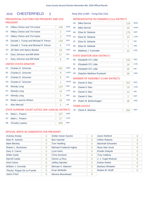# 2016 CHESTERFIELD 1 Assy Dist 114th - Cong Dist 21st

# PRESIDENTIAL ELECTORS FOR PRESIDENT AND VICE PRESIDENT

| $1A$ :         | Hillary Clinton and Tim Kaine        | 146 | <b>DFM</b> |
|----------------|--------------------------------------|-----|------------|
| $1E$ :         | <b>Hillary Clinton and Tim Kaine</b> | 4   | <b>WOR</b> |
| 1G:            | <b>Hillary Clinton and Tim Kaine</b> | 3   | <b>WOM</b> |
| 1B:            | Donald J. Trump and Michael R. Pence | 149 | <b>REP</b> |
| 1C:            | Donald J. Trump and Michael R. Pence | 6   | <b>CON</b> |
| 1D:            | Jill Stein and Ajamu Baraka          | 19  | <b>GRE</b> |
| $1F$ :         | Gary Johnson and Bill Weld           | 17  | <b>IND</b> |
| 1 <sub>1</sub> | Gary Johnson and Bill Weld           | 6   | <b>LIB</b> |

# UNITED STATES SENATOR

| $2A$ : | Charles E. Schumer                                  | 161 | <b>DEM</b> |
|--------|-----------------------------------------------------|-----|------------|
| 2E:    | Charles E. Schumer                                  | 9   | <b>WOR</b> |
| 2F:    | Charles E. Schumer                                  | 6   | <b>IND</b> |
| $2G$ : | Charles E. Schumer                                  | 1   | <b>WOM</b> |
| 2B:    | <b>Wendy Long</b>                                   | 124 | <b>REP</b> |
| $2C$ : | <b>Wendy Long</b>                                   | 14  | <b>CON</b> |
| 2H:    | <b>Wendy Long</b>                                   | 3   | <b>REF</b> |
| 2D:    | Robin Laverne Wilson                                | 16  | <b>GRE</b> |
| $2!$ : | Alex Merced                                         | 2   | <b>LIB</b> |
|        | STATE SUPREME COURT JUSTICE (4th JUDICIAL DISTRICT) |     |            |
| $3A$ : | Mark L. Powers                                      | 107 | <b>DEM</b> |

# REPRESENTATIVE IN CONGRESS (21st DISTRICT)

| 4A: | <b>Mike Derrick</b>                  | 119            | <b>DEM</b> |
|-----|--------------------------------------|----------------|------------|
| 4E: | <b>Mike Derrick</b>                  | 20             | <b>WOR</b> |
| 4B: | Elise M. Stefanik                    | 179            | <b>REP</b> |
| 4C: | Elise M. Stefanik                    | 14             | <b>CON</b> |
| 4F: | Elise M. Stefanik                    | 7              | <b>IND</b> |
| 4H: | Elise M. Stefanik                    | 1              | <b>REF</b> |
| 4D: | Matthew J. Funiciello                | 12             | <b>GRE</b> |
|     | <b>STATE SENATOR (45th DISTRICT)</b> |                |            |
| 5B: | Elizabeth O'C Little                 | 233            | <b>REP</b> |
| 5C: | Elizabeth O'C Little                 | 16             | <b>CON</b> |
| 5F: | Elizabeth O'C Little                 | 26             | <b>IND</b> |
| 5D: | <b>Stephen Matthew Ruzbacki</b>      | 38             | <b>GRE</b> |
|     | MEMBER OF ASSEMBLY (114th DISTRICT)  |                |            |
| 6B: | Daniel G Stec                        | 207            | <b>REP</b> |
| 6C: | Daniel G Stec                        | 19             | <b>CON</b> |
| 6F: | Daniel G Stec                        | 14             | <b>IND</b> |
| 6H: | Daniel G Stec                        | $\overline{2}$ | <b>REF</b> |
| 6D: | Robin M. Barkenhagen                 | 48             | <b>GRE</b> |
|     | <b>TOWN JUSTICE</b>                  |                |            |
| 7B: | David A. Bashaw                      | 283            | <b>REP</b> |

# OFFICIAL WRITE-IN CANDIDATES FOR PRESIDENT

3B: Timothy Lawliss 206 REP 3C: Mark L. Powers 17 CON

| Arantxa Aranja             | $\overline{0}$ | Zoltan Istvan Gyurko     | $\Omega$ | Jason Mutford           | 0              |
|----------------------------|----------------|--------------------------|----------|-------------------------|----------------|
| Neer R. Asherie            | $\overline{0}$ | <b>Ben Hartnell</b>      | $\Omega$ | <b>Clifton Roberts</b>  | $\overline{0}$ |
| <b>Mark Blickley</b>       | $\overline{0}$ | <b>Tom Hoefling</b>      | $\Omega$ | Marshall Schoenke       | $\overline{0}$ |
| Robert L. Buchanan         | $\overline{0}$ | Michael Frederick Ingbar | $\Omega$ | <b>Ryan Alan Scott</b>  | $\Omega$       |
| Gary S. Canns              | $\overline{0}$ | Lynn Kahn                | $\Omega$ | <b>Emidio Soltysik</b>  | $\Omega$       |
| <b>Willie Carter</b>       | $\Omega$       | <b>Chris Keniston</b>    | $\Omega$ | <b>Tony Valdivia</b>    | $\Omega$       |
| Darrell Castle             | $\Omega$       | Gloria La Riva           | $\Omega$ | J. J. Vogel-Walcutt     | $\Omega$       |
| Ariel Cohen                | $\overline{0}$ | <b>Jeffrey Mackler</b>   | $\Omega$ | <b>Esther Welsh</b>     | $\Omega$       |
| William J. Connolly        | $\Omega$       | Michael A. Maturen       | $\Omega$ | <b>Barbara Whitaker</b> | $\overline{0}$ |
| "Rocky" Rogue De La Fuente | $\Omega$       | Evan McMullin            |          | Robert M. Wolff         | $\Omega$       |
| <b>Jason Fried</b>         | $\Omega$       | Monica Moorehead         | 0        |                         |                |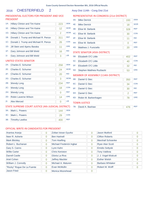# 2016 CHESTERFIELD 2 Assy Dist 114th - Cong Dist 21st

# PRESIDENTIAL ELECTORS FOR PRESIDEN *<u>DRESIDENT</u>*

| <b>T AND VICE</b> | REPRESENTATIVE IN CONGRESS (21st DISTRICT) |  |
|-------------------|--------------------------------------------|--|

|        | 1 I NEJI DEI VI                      |     |            |
|--------|--------------------------------------|-----|------------|
| $1A$ : | Hillary Clinton and Tim Kaine        | 223 | <b>DEM</b> |
| $1E$ : | <b>Hillary Clinton and Tim Kaine</b> | 12  | <b>WOR</b> |
| $1G$ : | <b>Hillary Clinton and Tim Kaine</b> | 2   | <b>WOM</b> |
| 1B:    | Donald J. Trump and Michael R. Pence | 311 | <b>REP</b> |
| 1C:    | Donald J. Trump and Michael R. Pence | 26  | <b>CON</b> |
| $1D$ : | Jill Stein and Ajamu Baraka          | 11  | <b>GRE</b> |
| 1F:    | Gary Johnson and Bill Weld           | 16  | <b>IND</b> |
| 11:    | Gary Johnson and Bill Weld           | 3   | <b>LIB</b> |
|        | UNITED STATES SENATOR                |     |            |

# 2A: Charles E. Schumer 258 DEM 2B: Wendy Long 234 REP 2C: Wendy Long 20 18 CON 2D: Robin Laverne Wilson 14 GRE 2E: Charles E. Schumer 24 WOR 2F: Charles E. Schumer 20 IND 2G: Charles E. Schumer 3 WOM 2H: Wendy Long 2H: 0 REF 2I: Alex Merced 0 LIB 3A: Mark L. Powers 144 DEM STATE SUPREME COURT JUSTICE (4th JUDICIAL DISTRICT)

3B: Timothy Lawliss 400 REP 3C: Mark L. Powers 29 CON

| 4A:    | <b>Mike Derrick</b>   | 193 | <b>DEM</b> |
|--------|-----------------------|-----|------------|
| 4E:    | <b>Mike Derrick</b>   | 18  | <b>WOR</b> |
| 4B:    | Elise M. Stefanik     | 328 | <b>REP</b> |
| $4C$ : | Elise M. Stefanik     | 30  | <b>CON</b> |
| 4F:    | Elise M. Stefanik     | 11  | <b>IND</b> |
| 4H:    | Elise M. Stefanik     | 0   | <b>RFF</b> |
| 4D:    | Matthew J. Funiciello | 20  | <b>GRE</b> |
|        |                       |     |            |

# STATE SENATOR (45th DISTRICT)

| 5B: Elizabeth O'C Little     | 402 | <b>REP</b> |
|------------------------------|-----|------------|
| 5C: Elizabeth O'C Little     | 40  | <b>CON</b> |
| 5F: Elizabeth O'C Little     | 32  | <b>IND</b> |
| 5D: Stephen Matthew Ruzbacki |     | <b>GRF</b> |

# MEMBER OF ASSEMBLY (114th DISTRICT)

| 6B:    | Daniel G Stec        | 350 | <b>REP</b> |
|--------|----------------------|-----|------------|
| $6C$ : | Daniel G Stec        | 34  | <b>CON</b> |
| 6F:    | Daniel G Stec        | 30  | <b>IND</b> |
| 6H:    | Daniel G Stec        |     | <b>REF</b> |
| 6D:    | Robin M. Barkenhagen | 78  | <b>GRE</b> |
|        |                      |     |            |

# TOWN JUSTICE

|  | 7B: David A. Bashaw |  | $476$ REP |  |
|--|---------------------|--|-----------|--|
|--|---------------------|--|-----------|--|

| Arantxa Aranja             | 0 | Zoltan Istvan Gyurko     | 0              | <b>Jason Mutford</b>    | 0        |
|----------------------------|---|--------------------------|----------------|-------------------------|----------|
| Neer R. Asherie            | 0 | <b>Ben Hartnell</b>      | 0              | <b>Clifton Roberts</b>  | 0        |
| <b>Mark Blickley</b>       | 0 | <b>Tom Hoefling</b>      | 0              | Marshall Schoenke       | 0        |
| Robert L. Buchanan         | 0 | Michael Frederick Ingbar | 0              | <b>Ryan Alan Scott</b>  | 0        |
| Gary S. Canns              | 0 | Lynn Kahn                | 0              | <b>Emidio Soltysik</b>  | $\Omega$ |
| <b>Willie Carter</b>       | 0 | <b>Chris Keniston</b>    | 0              | <b>Tony Valdivia</b>    | 0        |
| Darrell Castle             | 0 | Gloria La Riva           | $\overline{0}$ | J. J. Vogel-Walcutt     | 0        |
| Ariel Cohen                | 0 | <b>Jeffrey Mackler</b>   | $\Omega$       | <b>Esther Welsh</b>     | 0        |
| William J. Connolly        | 0 | Michael A. Maturen       | $\Omega$       | <b>Barbara Whitaker</b> | 0        |
| "Rocky" Rogue De La Fuente | 0 | Evan McMullin            | $\Omega$       | Robert M. Wolff         | 0        |
| Jason Fried                | 0 | Monica Moorehead         | $\Omega$       |                         |          |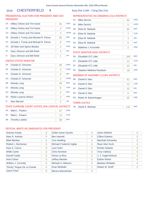# 2016 CHESTERFIELD 4 Assy Dist 114th - Cong Dist 21st

# PRESIDENTIAL ELECTORS FOR PRESIDENT AND VICE PRESIDENT

| $1A$ :         | Hillary Clinton and Tim Kaine        | 81 | <b>DEM</b> |
|----------------|--------------------------------------|----|------------|
| $1E$ :         | Hillary Clinton and Tim Kaine        | 4  | <b>WOR</b> |
| 1G:            | <b>Hillary Clinton and Tim Kaine</b> | 3  | <b>WOM</b> |
| 1B:            | Donald J. Trump and Michael R. Pence | 65 | <b>REP</b> |
| $1C$ :         | Donald J. Trump and Michael R. Pence | 8  | <b>CON</b> |
| $1D$ :         | Jill Stein and Ajamu Baraka          | 3  | <b>GRE</b> |
| $1F$ :         | Gary Johnson and Bill Weld           | 4  | <b>IND</b> |
| 1 <sub>1</sub> | Gary Johnson and Bill Weld           | 1  | <b>LIB</b> |
|                | $\cdots$                             |    |            |

#### UNITED STATES SENATOR

| $2A$ : | Charles E. Schumer                                  | 90             | <b>DEM</b> |
|--------|-----------------------------------------------------|----------------|------------|
| 2E:    | Charles E. Schumer                                  | 3              | <b>WOR</b> |
| 2F:    | Charles E. Schumer                                  | 8              | <b>IND</b> |
| $2G$ : | Charles E. Schumer                                  | 2              | <b>WOM</b> |
| 2B:    | <b>Wendy Long</b>                                   | 49             | <b>REP</b> |
| 2C:    | <b>Wendy Long</b>                                   | 8              | <b>CON</b> |
| 2H:    | <b>Wendy Long</b>                                   | 0              | <b>REF</b> |
| $2D$ : | Robin Laverne Wilson                                | $\overline{2}$ | <b>GRE</b> |
| 2!     | <b>Alex Merced</b>                                  | $\overline{2}$ | <b>LIB</b> |
|        | STATE SUPREME COURT JUSTICE (4th JUDICIAL DISTRICT) |                |            |
| $3A$ : | Mark L. Powers                                      | 47             | <b>DEM</b> |
| $3C$ : | Mark L. Powers                                      | 12             | <b>CON</b> |
| 3B:    | <b>Timothy Lawliss</b>                              | 99             | <b>REP</b> |

# REPRESENTATIVE IN CONGRESS (21st DISTRICT)

#### 4A: Mike Derrick 84 4B: Elise M. Stefanik 65 DEM REP 4C: Elise M. Stefanik 7 4D: Matthew J. Funiciello 2 **CON** GRE 4E: Mike Derrick 5 4F: Elise M. Stefanik 3 WOR IND 4H: Elise M. Stefanik 0 REF

# STATE SENATOR (45th DISTRICT)

| 5B: Elizabeth O'C Little     | 104 | <b>REP</b> |
|------------------------------|-----|------------|
| 5C: Elizabeth O'C Little     |     | <b>CON</b> |
| 5F: Elizabeth O'C Little     | 13  | <b>IND</b> |
| 5D: Stephen Matthew Ruzbacki |     | <b>GRE</b> |

# MEMBER OF ASSEMBLY (114th DISTRICT)

| 6B: | Daniel G Stec        | 91 | <b>REP</b> |
|-----|----------------------|----|------------|
| 6C: | Daniel G Stec        | 13 | <b>CON</b> |
| 6F: | Daniel G Stec        | 10 | <b>IND</b> |
| 6H: | Daniel G Stec        |    | <b>REF</b> |
| 6D: | Robin M. Barkenhagen | 20 | <b>GRE</b> |
|     |                      |    |            |

# TOWN JUSTICE

|  | 7B: David A. Bashaw |  | 141 REP |  |
|--|---------------------|--|---------|--|
|--|---------------------|--|---------|--|

| Arantxa Aranja             | 0              | Zoltan Istvan Gyurko     | 0        | Jason Mutford           | O |
|----------------------------|----------------|--------------------------|----------|-------------------------|---|
| Neer R. Asherie            | 0              | <b>Ben Hartnell</b>      | 0        | <b>Clifton Roberts</b>  | 0 |
| <b>Mark Blickley</b>       | 0              | <b>Tom Hoefling</b>      | 0        | Marshall Schoenke       | 0 |
| Robert L. Buchanan         | $\overline{0}$ | Michael Frederick Ingbar | $\Omega$ | <b>Ryan Alan Scott</b>  | Ω |
| Gary S. Canns              | 0              | Lynn Kahn                | $\Omega$ | <b>Emidio Soltysik</b>  | 0 |
| <b>Willie Carter</b>       | 0              | <b>Chris Keniston</b>    | 0        | <b>Tony Valdivia</b>    | 0 |
| Darrell Castle             | $\overline{0}$ | Gloria La Riva           | $\Omega$ | J. J. Vogel-Walcutt     | O |
| Ariel Cohen                | $\overline{0}$ | <b>Jeffrey Mackler</b>   | $\Omega$ | <b>Esther Welsh</b>     | 0 |
| William J. Connolly        | 0              | Michael A. Maturen       | $\Omega$ | <b>Barbara Whitaker</b> | 0 |
| "Rocky" Rogue De La Fuente | $\Omega$       | Evan McMullin            |          | Robert M. Wolff         |   |
| <b>Jason Fried</b>         | 0              | Monica Moorehead         | 0        |                         |   |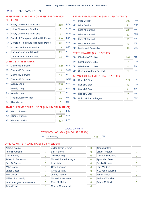#### CROWN POINT 2016

# PRESIDENTIAL ELECTORS FOR PRESIDENT AND VICE PRESIDENT

| $1A$ : | <b>Hillary Clinton and Tim Kaine</b> | 258 | <b>DEM</b> |
|--------|--------------------------------------|-----|------------|
| $1E$ : | <b>Hillary Clinton and Tim Kaine</b> | 8   | <b>WOR</b> |
| $1G$ : | <b>Hillary Clinton and Tim Kaine</b> | 6   | <b>WOM</b> |
| 1B:    | Donald J. Trump and Michael R. Pence | 440 | <b>REP</b> |
| 1C:    | Donald J. Trump and Michael R. Pence | 32  | <b>CON</b> |
| 1D:    | Jill Stein and Ajamu Baraka          | 14  | <b>GRE</b> |
| $1F$ : | Gary Johnson and Bill Weld           | 21  | <b>IND</b> |
| 11:    | Gary Johnson and Bill Weld           | 11  | <b>LIB</b> |
|        | UNITED STATES SENATOR                |     |            |
| $2A$ : | Charles E. Schumer                   | 289 | <b>DEM</b> |

| $2F^+$          | Charles E. Schumer   | 22  | <b>WOR</b> |
|-----------------|----------------------|-----|------------|
| 2F <sub>1</sub> | Charles E. Schumer   | 19  | <b>IND</b> |
| 2G:             | Charles E. Schumer   | 10  | <b>WOM</b> |
| 2B:             | <b>Wendy Long</b>    | 366 | <b>REP</b> |
| $2C$ :          | <b>Wendy Long</b>    | 29  | <b>CON</b> |
| 2H:             | <b>Wendy Long</b>    | 1   | <b>REF</b> |
| 2D:             | Robin Laverne Wilson | 10  | <b>GRE</b> |
| $21$ :          | <b>Alex Merced</b>   | 6   | <b>LIB</b> |
|                 |                      |     |            |

# STATE SUPREME COURT JUSTICE (4th JUDICIAL DISTRICT)

| 3A: Mark L. Powers  | 183 | <b>DEM</b> |
|---------------------|-----|------------|
| 3C: Mark L. Powers  |     | CON        |
| 3B: Timothy Lawliss | 493 | <b>RFP</b> |

# REPRESENTATIVE IN CONGRESS (21st DISTRICT)

| 4A: | <b>Mike Derrick</b>   | 192 | <b>DEM</b> |
|-----|-----------------------|-----|------------|
| 4E: | <b>Mike Derrick</b>   | 21  | <b>WOR</b> |
| 4B: | Elise M. Stefanik     | 489 | <b>REP</b> |
| 4C: | Elise M. Stefanik     | 31  | <b>CON</b> |
| 4F: | Elise M. Stefanik     | 21  | <b>IND</b> |
| 4H: | Elise M. Stefanik     | 5   | <b>REF</b> |
| 4D: | Matthew J. Funiciello | 16  | <b>GRE</b> |

### STATE SENATOR (45th DISTRICT)

| 5B: | <b>Elizabeth O'C Little</b>  | 562 | <b>RFP</b> |
|-----|------------------------------|-----|------------|
|     | 5C: Elizabeth O'C Little     |     | <b>CON</b> |
|     | 5F: Elizabeth O'C Little     | 43  | <b>IND</b> |
|     | 5D: Stephen Matthew Ruzbacki |     | <b>GRF</b> |

# MEMBER OF ASSEMBLY (114th DISTRICT)

| 6B: | Daniel G Stec            | 521 | <b>REP</b> |
|-----|--------------------------|-----|------------|
|     | 6C: Daniel G Stec        | 42  | <b>CON</b> |
| 6F: | Daniel G Stec            | 31  | <b>IND</b> |
| 6H: | Daniel G Stec            |     | <b>REF</b> |
|     | 6D: Robin M. Barkenhagen | 61  | <b>GRE</b> |

# LOCAL CONTEST

# TOWN COUNCILMAN (UNEXPIRED TERM)

7B: Ivan Macey 2012 1988 REP

| Arantxa Aranja             | 0        | Zoltan Istvan Gyurko     | 0        | Jason Mutford            | O |
|----------------------------|----------|--------------------------|----------|--------------------------|---|
| Neer R. Asherie            | 0        | <b>Ben Hartnell</b>      | 0        | <b>Clifton Roberts</b>   | 0 |
|                            |          |                          |          |                          |   |
| <b>Mark Blickley</b>       | 0        | <b>Tom Hoefling</b>      | 0        | <b>Marshall Schoenke</b> | 0 |
| Robert L. Buchanan         | 0        | Michael Frederick Ingbar | 0        | Ryan Alan Scott          | 0 |
| Gary S. Canns              | 0        | Lynn Kahn                | 0        | <b>Emidio Soltysik</b>   | 0 |
| <b>Willie Carter</b>       | $\Omega$ | <b>Chris Keniston</b>    | $\Omega$ | <b>Tony Valdivia</b>     | Ω |
| Darrell Castle             | $\Omega$ | Gloria La Riva           | 0        | J. J. Vogel-Walcutt      | 0 |
| Ariel Cohen                | 0        | <b>Jeffrey Mackler</b>   | 0        | <b>Esther Welsh</b>      | 0 |
| William J. Connolly        | 0        | Michael A. Maturen       | 0        | <b>Barbara Whitaker</b>  | 0 |
| "Rocky" Rogue De La Fuente | 0        | Evan McMullin            | 6        | Robert M. Wolff          | 0 |
| Jason Fried                | 0        | Monica Moorehead         | 0        |                          |   |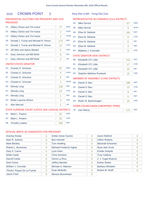# 2016 CROWN POINT 1 Assy Dist 114th - Cong Dist 21st

# PRESIDENTIAL ELECTORS FOR PRESIDENT AND VICE PRESIDENT

| $1A$ :         | <b>Hillary Clinton and Tim Kaine</b> | 77  | <b>DEM</b> |
|----------------|--------------------------------------|-----|------------|
| 1E:            | <b>Hillary Clinton and Tim Kaine</b> | 2   | <b>WOR</b> |
| 1G:            | <b>Hillary Clinton and Tim Kaine</b> | 2   | <b>WOM</b> |
| 1B:            | Donald J. Trump and Michael R. Pence | 173 | <b>REP</b> |
| 1C:            | Donald J. Trump and Michael R. Pence | 12  | <b>CON</b> |
| $1D$ :         | Jill Stein and Ajamu Baraka          | 5   | <b>GRE</b> |
| 1F:            | Gary Johnson and Bill Weld           | 6   | <b>IND</b> |
| 1 <sub>1</sub> | Gary Johnson and Bill Weld           | 3   | <b>LIB</b> |

# UNITED STATES SENATOR

| Charles E. Schumer   | 97  | <b>DEM</b>                                          |
|----------------------|-----|-----------------------------------------------------|
| Charles E. Schumer   | 5   | <b>WOR</b>                                          |
| Charles E. Schumer   | 5   | <b>IND</b>                                          |
| Charles E. Schumer   | 3   | <b>WOM</b>                                          |
| <b>Wendy Long</b>    | 139 | <b>REP</b>                                          |
| <b>Wendy Long</b>    | 13  | <b>CON</b>                                          |
| <b>Wendy Long</b>    | 1   | <b>REF</b>                                          |
| Robin Laverne Wilson | 3   | <b>GRE</b>                                          |
| Alex Merced          | 1   | <b>LIB</b>                                          |
|                      |     |                                                     |
| Mark L. Powers       | 42  | <b>DEM</b>                                          |
|                      |     | STATE SUPREME COURT JUSTICE (4th JUDICIAL DISTRICT) |

# REPRESENTATIVE IN CONGRESS (21st DISTRICT)

| 4A:    | <b>Mike Derrick</b>                  | 57       | <b>DEM</b> |
|--------|--------------------------------------|----------|------------|
| 4E:    | <b>Mike Derrick</b>                  | 5        | <b>WOR</b> |
| 4B:    | Elise M. Stefanik                    | 191      | <b>REP</b> |
| $4C$ : | Elise M. Stefanik                    | 8        | <b>CON</b> |
| 4F:    | Elise M. Stefanik                    | 6        | <b>IND</b> |
| 4H:    | Elise M. Stefanik                    | 3        | <b>REF</b> |
| 4D:    | Matthew J. Funiciello                | 9        | <b>GRE</b> |
|        | <b>STATE SENATOR (45th DISTRICT)</b> |          |            |
| 5B:    | Elizabeth O'C Little                 | 215      | <b>REP</b> |
| 5C:    | Elizabeth O'C Little                 | 17       | <b>CON</b> |
| 5F:    | Elizabeth O'C Little                 | 10       | <b>IND</b> |
| 5D:    | <b>Stephen Matthew Ruzbacki</b>      | 15       | <b>GRE</b> |
|        | MEMBER OF ASSEMBLY (114th DISTRICT)  |          |            |
| 6B:    | Daniel G Stec                        | 196      | <b>REP</b> |
| 6C:    | Daniel G Stec                        | 13       | <b>CON</b> |
| 6F:    | Daniel G Stec                        | 9        | <b>IND</b> |
| 6H:    | Daniel G Stec                        | $\Omega$ | <b>REF</b> |
| 6D:    | Robin M. Barkenhagen                 | 16       | <b>GRE</b> |
|        | TOWN COUNCILMAN (UNEXPIRED TERM)     |          |            |
| 7B:    | <b>Ivan Macey</b>                    | 172      | <b>REP</b> |

# OFFICIAL WRITE-IN CANDIDATES FOR PRESIDENT

3B: Timothy Lawliss 196 REP 3C: Mark L. Powers 20 CON

| Arantxa Aranja             | $\overline{0}$ | Zoltan Istvan Gyurko     | $\Omega$ | <b>Jason Mutford</b>    | $\Omega$       |
|----------------------------|----------------|--------------------------|----------|-------------------------|----------------|
| Neer R. Asherie            | 0              | <b>Ben Hartnell</b>      | $\Omega$ | <b>Clifton Roberts</b>  | $\overline{0}$ |
| <b>Mark Blickley</b>       | $\Omega$       | <b>Tom Hoefling</b>      | $\Omega$ | Marshall Schoenke       | $\Omega$       |
| Robert L. Buchanan         | $\overline{0}$ | Michael Frederick Ingbar | $\Omega$ | <b>Ryan Alan Scott</b>  | $\Omega$       |
| Gary S. Canns              | $\overline{0}$ | Lynn Kahn                | $\Omega$ | <b>Emidio Soltysik</b>  | $\overline{0}$ |
| <b>Willie Carter</b>       | $\Omega$       | <b>Chris Keniston</b>    | $\Omega$ | <b>Tony Valdivia</b>    | $\Omega$       |
| Darrell Castle             | $\overline{0}$ | Gloria La Riva           | $\Omega$ | J. J. Vogel-Walcutt     | $\Omega$       |
| Ariel Cohen                | $\overline{0}$ | <b>Jeffrey Mackler</b>   | $\Omega$ | <b>Esther Welsh</b>     | $\Omega$       |
| William J. Connolly        | $\Omega$       | Michael A. Maturen       | $\Omega$ | <b>Barbara Whitaker</b> | $\Omega$       |
| "Rocky" Rogue De La Fuente | $\Omega$       | Evan McMullin            | 6        | Robert M. Wolff         | $\Omega$       |
| <b>Jason Fried</b>         | 0              | Monica Moorehead         | 0        |                         |                |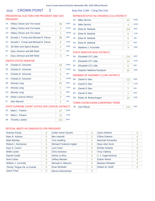REP

WOR

WOM

**CON** GRE

IND

LIB

# 2016 CROWN POINT 2 Assy Dist 114th - Cong Dist 21st

# PRESIDENTIAL ELECTORS FOR PRESIDENT AND VICE PRESIDE

1B: Donald J. Trump and Michael R. Pence | 98

1E: Hillary Clinton and Tim Kaine 2

1G: Hillary Clinton and Tim Kaine 1 | 1

1C: Donald J. Trump and Michael R. Pence | 6 1D: Jill Stein and Ajamu Baraka

1F: Gary Johnson and Bill Weld 7

11: Gary Johnson and Bill Weld 3

| 1 INLYID LIYIN NE EEE CT OTNYT DIN TINEYID EIYI 7 N YD. Y INL<br><b>PRESIDENT</b> |     |            |  |  |  |
|-----------------------------------------------------------------------------------|-----|------------|--|--|--|
| 1A: Hillary Clinton and Tim Kaine                                                 | .58 | <b>DEM</b> |  |  |  |

# REPRESENTATIVE IN CONGRESS (21st DISTRICT)

| 4A: | <b>Mike Derrick</b>   | 43  | <b>DEM</b> |
|-----|-----------------------|-----|------------|
| 4E: | <b>Mike Derrick</b>   | 4   | <b>WOR</b> |
| 4B: | Elise M. Stefanik     | 102 | <b>REP</b> |
| 4C: | Elise M. Stefanik     | 6   | <b>CON</b> |
| 4F: | Elise M. Stefanik     | 6   | <b>IND</b> |
| 4H: | Elise M. Stefanik     | 2   | <b>REF</b> |
| 4D: | Matthew J. Funiciello |     | <b>GRE</b> |

### STATE SENATOR (45th DISTRICT)

| 5B: Elizabeth O'C Little     | 114 | <b>REP</b> |
|------------------------------|-----|------------|
| 5C: Elizabeth O'C Little     | 14  | <b>CON</b> |
| 5F: Elizabeth O'C Little     |     | <b>IND</b> |
| 5D: Stephen Matthew Ruzbacki |     | <b>GRE</b> |

# MEMBER OF ASSEMBLY (114th DISTRICT)

| $6B$ : | Daniel G Stec                    | 112 | <b>REP</b> |
|--------|----------------------------------|-----|------------|
| 6C:    | Daniel G Stec                    |     | <b>CON</b> |
| $6F$ : | Daniel G Stec                    |     | <b>IND</b> |
| 6H:    | Daniel G Stec                    |     | <b>REF</b> |
| $6D$ : | Robin M. Barkenhagen             | 14  | <b>GRE</b> |
|        | TOWN COUNCILMAN (UNEXPIRED TERM) |     |            |
| 7B:    | <b>Ivan Macey</b>                | 114 | <b>REP</b> |

# UNITED STATES SENATOR

| 2A:    | <b>Charles E. Schumer</b>                           | 63             | DEM        |
|--------|-----------------------------------------------------|----------------|------------|
| 2E:    | Charles E. Schumer                                  | 6              | <b>WOR</b> |
| 2F:    | Charles E. Schumer                                  | 6              | <b>IND</b> |
| $2G$ : | Charles E. Schumer                                  | 1              | <b>WOM</b> |
| 2B:    | <b>Wendy Long</b>                                   | 82             | <b>REP</b> |
| 2C:    | <b>Wendy Long</b>                                   | 5              | <b>CON</b> |
| 2H:    | <b>Wendy Long</b>                                   | $\Omega$       | <b>REF</b> |
| $2D$ : | Robin Laverne Wilson                                | 3              | <b>GRE</b> |
| 2!     | <b>Alex Merced</b>                                  | $\overline{2}$ | <b>LIB</b> |
|        | STATE SUPREME COURT JUSTICE (4th JUDICIAL DISTRICT) |                |            |
| $3A$ : | Mark L. Powers                                      | 47             | <b>DEM</b> |
| 3C:    | Mark L. Powers                                      | 11             | <b>CON</b> |
| 3B:    | <b>Timothy Lawliss</b>                              | 101            | <b>REP</b> |

| Arantxa Aranja             | 0              | Zoltan Istvan Gyurko     | 0              | Jason Mutford           | O              |
|----------------------------|----------------|--------------------------|----------------|-------------------------|----------------|
| Neer R. Asherie            | 0              | <b>Ben Hartnell</b>      | 0              | <b>Clifton Roberts</b>  | $\overline{0}$ |
| <b>Mark Blickley</b>       | 0              | <b>Tom Hoefling</b>      | $\overline{0}$ | Marshall Schoenke       | 0              |
| Robert L. Buchanan         | 0              | Michael Frederick Ingbar | $\Omega$       | <b>Ryan Alan Scott</b>  | 0              |
| Gary S. Canns              | 0              | Lynn Kahn                | 0              | <b>Emidio Soltysik</b>  | 0              |
| <b>Willie Carter</b>       | 0              | <b>Chris Keniston</b>    | $\Omega$       | <b>Tony Valdivia</b>    | 0              |
| Darrell Castle             | 0              | Gloria La Riva           | $\Omega$       | J. J. Vogel-Walcutt     | O              |
| Ariel Cohen                | $\overline{0}$ | <b>Jeffrey Mackler</b>   | 0              | <b>Esther Welsh</b>     | 0              |
| William J. Connolly        | 0              | Michael A. Maturen       | 0              | <b>Barbara Whitaker</b> | 0              |
| "Rocky" Rogue De La Fuente | $\Omega$       | Evan McMullin            | $\Omega$       | Robert M. Wolff         | O              |
| Jason Fried                | 0              | Monica Moorehead         | 0              |                         |                |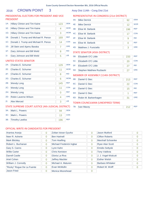# 2016 CROWN POINT 3 Assy Dist 114th - Cong Dist 21st

# PRESIDENTIAL ELECTORS FOR PRESIDENT AND VICE PRESIDENT

| REPRESENTATIVE IN CONGRESS (21st DISTRICT) |  |
|--------------------------------------------|--|
|--------------------------------------------|--|

| $1A$ : | Hillary Clinton and Tim Kaine        | 123 | <b>DEM</b> |
|--------|--------------------------------------|-----|------------|
| 1E:    | <b>Hillary Clinton and Tim Kaine</b> | 4   | <b>WOR</b> |
| $1G$ : | <b>Hillary Clinton and Tim Kaine</b> | 3   | <b>WOM</b> |
| 1B:    | Donald J. Trump and Michael R. Pence | 169 | <b>REP</b> |
| 1C:    | Donald J. Trump and Michael R. Pence | 14  | <b>CON</b> |
| 1D:    | Jill Stein and Ajamu Baraka          | 7   | <b>GRE</b> |
| $1F$ : | Gary Johnson and Bill Weld           | 8   | <b>IND</b> |
| 11:    | Gary Johnson and Bill Weld           | 5   | <b>LIB</b> |
|        |                                      |     |            |

# UNITED STATES SENATOR

| $2A$ : | Charles E. Schumer                                  | 129 | <b>DEM</b> |
|--------|-----------------------------------------------------|-----|------------|
| 2E:    | Charles E. Schumer                                  | 11  | <b>WOR</b> |
| 2F:    | Charles E. Schumer                                  | 8   | <b>IND</b> |
| $2G$ : | Charles E. Schumer                                  | 6   | <b>WOM</b> |
| 2B:    | <b>Wendy Long</b>                                   | 145 | <b>REP</b> |
| 2C:    | <b>Wendy Long</b>                                   | 11  | <b>CON</b> |
| 2H:    | Wendy Long                                          | O   | <b>REF</b> |
| $2D$ : | Robin Laverne Wilson                                | 4   | <b>GRE</b> |
| $2!$ : | Alex Merced                                         | 3   | LIB        |
|        | STATE SUPREME COURT JUSTICE (4th JUDICIAL DISTRICT) |     |            |
| $3A$ : | Mark L. Powers                                      | 94  | <b>DEM</b> |
| 3C:    | Mark L. Powers                                      | 13  | <b>CON</b> |
| 3B:    | <b>Timothy Lawliss</b>                              | 196 | <b>REP</b> |

| 4A:    | <b>Mike Derrick</b>   | 92  | <b>DEM</b> |
|--------|-----------------------|-----|------------|
| 4E:    | <b>Mike Derrick</b>   | 12  | <b>WOR</b> |
| 4B:    | Elise M. Stefanik     | 196 | <b>REP</b> |
| $4C$ : | Elise M. Stefanik     | 17  | <b>CON</b> |
| 4F:    | Elise M. Stefanik     | 9   | <b>IND</b> |
| 4H:    | Elise M. Stefanik     | 0   | <b>REF</b> |
| 4D:    | Matthew J. Funiciello | 3   | <b>GRE</b> |

# STATE SENATOR (45th DISTRICT)

| 5B: Elizabeth O'C Little     | 233 | <b>REP</b> |
|------------------------------|-----|------------|
| 5C: Elizabeth O'C Little     | 20  | <b>CON</b> |
| 5F: Elizabeth O'C Little     |     | <b>IND</b> |
| 5D: Stephen Matthew Ruzbacki |     | <b>GRF</b> |

# MEMBER OF ASSEMBLY (114th DISTRICT)

| 6B:    | Daniel G Stec                    | 213 | <b>REP</b> |
|--------|----------------------------------|-----|------------|
| $6C$ : | Daniel G Stec                    | 22  | <b>CON</b> |
| $6F$ : | Daniel G Stec                    | 15  | <b>IND</b> |
| 6H:    | Daniel G Stec                    | 1   | <b>REF</b> |
| $6D$ : | Robin M. Barkenhagen             | 31  | <b>GRF</b> |
|        | TOWN COUNCILMAN (UNEXPIRED TERM) |     |            |
| 7B:    | <b>Ivan Macey</b>                | 212 | <b>REP</b> |

| Arantxa Aranja             | 0 | Zoltan Istvan Gyurko     | 0        | Jason Mutford           | O              |
|----------------------------|---|--------------------------|----------|-------------------------|----------------|
| Neer R. Asherie            | 0 | <b>Ben Hartnell</b>      | 0        | <b>Clifton Roberts</b>  | 0              |
| <b>Mark Blickley</b>       | 0 | Tom Hoefling             | 0        | Marshall Schoenke       | $\overline{0}$ |
| Robert L. Buchanan         | 0 | Michael Frederick Ingbar | $\Omega$ | <b>Ryan Alan Scott</b>  | 0              |
| Gary S. Canns              | 0 | Lynn Kahn                | 0        | <b>Emidio Soltysik</b>  | 0              |
| <b>Willie Carter</b>       | 0 | <b>Chris Keniston</b>    | 0        | <b>Tony Valdivia</b>    | $\Omega$       |
| Darrell Castle             | 0 | Gloria La Riva           | 0        | J. J. Vogel-Walcutt     | 0              |
| Ariel Cohen                | 0 | <b>Jeffrey Mackler</b>   | 0        | <b>Esther Welsh</b>     | O              |
| William J. Connolly        | 0 | Michael A. Maturen       | $\Omega$ | <b>Barbara Whitaker</b> | $\Omega$       |
| "Rocky" Rogue De La Fuente | 0 | Evan McMullin            | 0        | Robert M. Wolff         | O              |
| Jason Fried                | 0 | Monica Moorehead         | 0        |                         |                |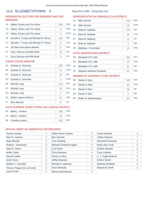# 2016 **ELIZABETHTOWN 0** Assy Dist 114th - Cong Dist 21st

# PRESIDENTIAL ELECTORS FOR PRESIDENT AND VICE PRESIDENT

| $1A$ :                       | Hillary Clinton and Tim Kaine        | 249 | <b>DEM</b> |  |  |
|------------------------------|--------------------------------------|-----|------------|--|--|
| $1E$ :                       | Hillary Clinton and Tim Kaine        | 9   | <b>WOR</b> |  |  |
| $1G$ :                       | <b>Hillary Clinton and Tim Kaine</b> | 4   | <b>WOM</b> |  |  |
| 1B:                          | Donald J. Trump and Michael R. Pence | 255 | <b>REP</b> |  |  |
| $1C$ :                       | Donald J. Trump and Michael R. Pence | 17  | <b>CON</b> |  |  |
| $1D$ :                       | Jill Stein and Ajamu Baraka          | 8   | <b>GRE</b> |  |  |
| $1F$ :                       | Gary Johnson and Bill Weld           | 16  | <b>IND</b> |  |  |
| 11:                          | Gary Johnson and Bill Weld           | 5   | <b>LIB</b> |  |  |
| <b>UNITED STATES SENATOR</b> |                                      |     |            |  |  |

# 2A: Charles E. Schumer 255 DEM 2B: Wendy Long 213 REP 2C: Wendy Long 2016 16 CON 2D: Robin Laverne Wilson 10 GRE 2E: Charles E. Schumer 11 WOR 2F: Charles E. Schumer 10 IND 2G: Charles E. Schumer 3 WOM 2H: Wendy Long 2H: 1 REF 2I: Alex Merced 6 LIB

# STATE SUPREME COURT JUSTICE (4th JUDICIAL DISTRICT)

| $3A$ : | Mark L. Powers      | 186 | <b>DEM</b> |
|--------|---------------------|-----|------------|
|        | 3C: Mark L. Powers  |     | CON        |
|        | 3B: Timothy Lawliss | 303 | <b>RFP</b> |

# OFFICIAL WRITE-IN CANDIDATES FOR PRESIDENT

| Arantxa Aranja             | 0              | Zoltan Istvan Gyurko     | 0              | <b>Jason Mutford</b>    | 0 |
|----------------------------|----------------|--------------------------|----------------|-------------------------|---|
| Neer R. Asherie            | 0              | <b>Ben Hartnell</b>      | 0              | <b>Clifton Roberts</b>  |   |
| <b>Mark Blickley</b>       | $\Omega$       | <b>Tom Hoefling</b>      | $\overline{0}$ | Marshall Schoenke       | 0 |
| Robert L. Buchanan         | $\overline{0}$ | Michael Frederick Ingbar | 0              | <b>Ryan Alan Scott</b>  | 0 |
| Gary S. Canns              | 0              | Lynn Kahn                | 0              | <b>Emidio Soltysik</b>  | 0 |
| <b>Willie Carter</b>       | $\Omega$       | <b>Chris Keniston</b>    | 0              | <b>Tony Valdivia</b>    | 0 |
| Darrell Castle             | 0              | Gloria La Riva           | 0              | J. J. Vogel-Walcutt     | 0 |
| Ariel Cohen                | $\overline{0}$ | <b>Jeffrey Mackler</b>   | 0              | <b>Esther Welsh</b>     | 0 |
| William J. Connolly        | $\Omega$       | Michael A. Maturen       | 0              | <b>Barbara Whitaker</b> | 0 |
| "Rocky" Rogue De La Fuente | 0              | Evan McMullin            | 2              | Robert M. Wolff         | Ω |
| Jason Fried                | 0              | Monica Moorehead         | 0              |                         |   |

# REPRESENTATIVE IN CONGRESS (21st DISTRICT)

| 4A: | <b>Mike Derrick</b>   | 215 | <b>DEM</b> |
|-----|-----------------------|-----|------------|
| 4E: | <b>Mike Derrick</b>   | 18  | <b>WOR</b> |
| 4B: | Elise M. Stefanik     | 278 | <b>REP</b> |
| 4C: | Elise M. Stefanik     | 16  | <b>CON</b> |
| 4F: | Elise M. Stefanik     | 8   | <b>IND</b> |
| 4H: | Elise M. Stefanik     | 2   | <b>REF</b> |
| 4D: | Matthew J. Funiciello | 19  | <b>GRE</b> |

### STATE SENATOR (45th DISTRICT)

| 5B: Elizabeth O'C Little     | 360 | <b>RFP</b> |
|------------------------------|-----|------------|
| 5C: Elizabeth O'C Little     | 23  | <b>CON</b> |
| 5F: Elizabeth O'C Little     | 51  | <b>IND</b> |
| 5D: Stephen Matthew Ruzbacki |     | <b>GRF</b> |

# MEMBER OF ASSEMBLY (114th DISTRICT)

| 6B: | Daniel G Stec            | 329 | <b>REP</b> |
|-----|--------------------------|-----|------------|
|     | 6C: Daniel G Stec        | 26  | <b>CON</b> |
| 6F: | Daniel G Stec            | 39  | <b>IND</b> |
| 6H: | Daniel G Stec            |     | <b>REF</b> |
|     | 6D: Robin M. Barkenhagen | 64  | <b>GRE</b> |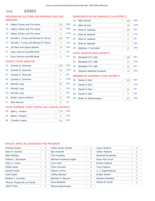#### **ESSEX** 2016

# PRESIDENTIAL ELECTORS FOR PRESIDENT AND VICE PRESIDENT

| $1A$ : | <b>Hillary Clinton and Tim Kaine</b> | 213 | <b>DEM</b> | $\overline{4}$ |
|--------|--------------------------------------|-----|------------|----------------|
| 1E:    | Hillary Clinton and Tim Kaine        | 14  | <b>WOR</b> | $\overline{4}$ |
| 1G:    | <b>Hillary Clinton and Tim Kaine</b> | 5   | <b>WOM</b> | $\overline{4}$ |
| 1B:    | Donald J. Trump and Michael R. Pence | 100 | <b>REP</b> | $\overline{4}$ |
| 1C:    | Donald J. Trump and Michael R. Pence | 7   | <b>CON</b> | $\overline{4}$ |
| 1D:    | Jill Stein and Ajamu Baraka          | 18  | <b>GRE</b> | $\overline{4}$ |
| $1F$ : | Gary Johnson and Bill Weld           | 6   | <b>IND</b> | S              |
| 11:    | Gary Johnson and Bill Weld           | 5   | <b>LIB</b> | 5              |
|        | UNITED STATES SENATOR                |     |            | 5              |
| 2A:    | Charles E. Schumer                   | 209 | <b>DEM</b> | 5              |

# 2B: Wendy Long 2B: 95 REP 2C: Wendy Long 5 **CON** 2D: Robin Laverne Wilson 17 GRE 2E: Charles E. Schumer 19 WOR 2F: Charles E. Schumer 7 IND 2G: Charles E. Schumer 4 WOM 2H: Wendy Long 2H: 1 REF 2I: Alex Merced 5 LIB

# STATE SUPREME COURT JUSTICE (4th JUDICIAL DISTRICT)

| 3A: Mark L. Powers  | 179 | DEM        |
|---------------------|-----|------------|
| 3C: Mark L. Powers  |     | CON        |
| 3B: Timothy Lawliss | 152 | <b>REP</b> |

# REPRESENTATIVE IN CONGRESS (21st DISTRICT)

| 4A:    | <b>Mike Derrick</b>   | 188 | <b>DEM</b> |
|--------|-----------------------|-----|------------|
| 4E:    | <b>Mike Derrick</b>   | 19  | <b>WOR</b> |
| 4B:    | Elise M. Stefanik     | 122 | <b>REP</b> |
| $4C$ : | Elise M. Stefanik     | 6   | <b>CON</b> |
| 4F:    | Elise M. Stefanik     | 5   | <b>IND</b> |
| 4H:    | Elise M. Stefanik     | 1   | <b>REF</b> |
| 4D:    | Matthew J. Funiciello | 22  | <b>GRE</b> |

# STATE SENATOR (45th DISTRICT)

| 5B: | Elizabeth O'C Little         | 190 | <b>RFP</b> |
|-----|------------------------------|-----|------------|
|     | 5C: Elizabeth O'C Little     | 13  | <b>CON</b> |
|     | 5F: Elizabeth O'C Little     | 29  | <b>IND</b> |
|     | 5D: Stephen Matthew Ruzbacki |     | <b>GRF</b> |

# MEMBER OF ASSEMBLY (114th DISTRICT)

| 6B: | Daniel G Stec            | 183 | <b>REP</b> |
|-----|--------------------------|-----|------------|
|     | 6C: Daniel G Stec        |     | <b>CON</b> |
|     | 6F: Daniel G Stec        | 25  | <b>IND</b> |
|     | 6H: Daniel G Stec        |     | <b>REF</b> |
|     | 6D: Robin M. Barkenhagen |     | <b>GRE</b> |

| Arantxa Aranja             | $\overline{0}$ | Zoltan Istvan Gyurko     | 0              | Jason Mutford            | O |
|----------------------------|----------------|--------------------------|----------------|--------------------------|---|
| Neer R. Asherie            | $\overline{0}$ | <b>Ben Hartnell</b>      | $\Omega$       | <b>Clifton Roberts</b>   | 0 |
| <b>Mark Blickley</b>       | $\overline{0}$ | <b>Tom Hoefling</b>      | $\overline{0}$ | <b>Marshall Schoenke</b> | 0 |
| Robert L. Buchanan         | $\overline{0}$ | Michael Frederick Ingbar | $\Omega$       | Ryan Alan Scott          | 0 |
| Gary S. Canns              | $\overline{0}$ | Lynn Kahn                | $\overline{0}$ | <b>Emidio Soltysik</b>   | 0 |
| <b>Willie Carter</b>       | $\Omega$       | <b>Chris Keniston</b>    | $\Omega$       | <b>Tony Valdivia</b>     | Ω |
| <b>Darrell Castle</b>      | $\overline{0}$ | Gloria La Riva           | $\Omega$       | J. J. Vogel-Walcutt      | 0 |
| Ariel Cohen                | $\overline{0}$ | <b>Jeffrey Mackler</b>   | $\Omega$       | <b>Esther Welsh</b>      | 0 |
| William J. Connolly        | $\overline{0}$ | Michael A. Maturen       | $\Omega$       | <b>Barbara Whitaker</b>  | 0 |
| "Rocky" Rogue De La Fuente | $\overline{0}$ | Evan McMullin            | $\Omega$       | Robert M. Wolff          | 0 |
| Jason Fried                | $\overline{0}$ | Monica Moorehead         | $\Omega$       |                          |   |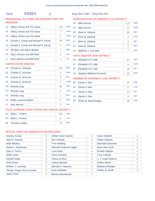# 2016 ESSEX 1 Assy Dist 114th - Cong Dist 21st

# PRESIDENTIAL ELECTORS FOR PRESIDENT AND VICE PRESIDENT

| 1A:    | <b>Hillary Clinton and Tim Kaine</b> | 129 | <b>DEM</b> |
|--------|--------------------------------------|-----|------------|
| 1E:    | <b>Hillary Clinton and Tim Kaine</b> | 7   | <b>WOR</b> |
| 1G:    | Hillary Clinton and Tim Kaine        | 2   | <b>WOM</b> |
| 1B:    | Donald J. Trump and Michael R. Pence | 49  | <b>REP</b> |
| 1C:    | Donald J. Trump and Michael R. Pence | 5   | <b>CON</b> |
| $1D$ : | Jill Stein and Ajamu Baraka          | 7   | <b>GRE</b> |
| 1F:    | Gary Johnson and Bill Weld           | 2   | <b>IND</b> |
| 11:    | Gary Johnson and Bill Weld           | 2   | <b>LIB</b> |

# UNITED STATES SENATOR

| $2A$ :                                              | Charles E. Schumer   | 124 | <b>DEM</b> |  |
|-----------------------------------------------------|----------------------|-----|------------|--|
| $2F^+$                                              | Charles E. Schumer   | 6   | <b>WOR</b> |  |
| 2F:                                                 | Charles E. Schumer   | 5   | <b>IND</b> |  |
| $2G$ :                                              | Charles E. Schumer   | 3   | <b>WOM</b> |  |
| 2B:                                                 | <b>Wendy Long</b>    | 48  | <b>REP</b> |  |
| $2C$ :                                              | <b>Wendy Long</b>    | 4   | <b>CON</b> |  |
| 2H:                                                 | <b>Wendy Long</b>    | 1   | <b>REF</b> |  |
| 2D:                                                 | Robin Laverne Wilson | 5   | <b>GRE</b> |  |
| $2!$ :                                              | <b>Alex Merced</b>   | 3   | <b>LIB</b> |  |
| STATE SUPREME COURT JUSTICE (4th JUDICIAL DISTRICT) |                      |     |            |  |

| 4A:    | <b>Mike Derrick</b>                  | 117 | <b>DEM</b> |
|--------|--------------------------------------|-----|------------|
| 4E:    | <b>Mike Derrick</b>                  | 11  | <b>WOR</b> |
| 4B:    | Elise M. Stefanik                    | 56  | <b>REP</b> |
| $4C$ : | Elise M. Stefanik                    | 4   | <b>CON</b> |
| 4F:    | Elise M. Stefanik                    | 3   | <b>IND</b> |
| 4H:    | Elise M. Stefanik                    | 0   | <b>REF</b> |
| 4D:    | Matthew J. Funiciello                | 7   | <b>GRE</b> |
|        | <b>STATE SENATOR (45th DISTRICT)</b> |     |            |
| 5B:    | Elizabeth O'C Little                 | 97  | <b>REP</b> |
| 5C:    | Elizabeth O'C Little                 | 9   | <b>CON</b> |
| 5F:    | Elizabeth O'C Little                 | 15  | <b>IND</b> |
| 5D:    | <b>Stephen Matthew Ruzbacki</b>      | 35  | <b>GRE</b> |
|        | MEMBER OF ASSEMBLY (114th DISTRICT)  |     |            |
| 6B:    | Daniel G Stec                        | 97  | <b>REP</b> |
| 6C:    | Daniel G Stec                        | 5   | <b>CON</b> |
| 6F:    | Daniel G Stec                        | 14  | <b>IND</b> |
| 6H:    | Daniel G Stec                        | 0   | <b>REF</b> |

6D: Robin M. Barkenhagen 39

GRE

| 3A: Mark L. Powers  | 106 | <b>DEM</b> |
|---------------------|-----|------------|
| 3C: Mark L. Powers  |     | <b>CON</b> |
| 3B: Timothy Lawliss |     | <b>REP</b> |

| Arantxa Aranja             | $\overline{0}$ | Zoltan Istvan Gyurko     | $\overline{0}$ | <b>Jason Mutford</b>     | $\Omega$       |
|----------------------------|----------------|--------------------------|----------------|--------------------------|----------------|
| Neer R. Asherie            | $\overline{0}$ | <b>Ben Hartnell</b>      | $\Omega$       | <b>Clifton Roberts</b>   | $\overline{0}$ |
| <b>Mark Blickley</b>       | $\overline{0}$ | <b>Tom Hoefling</b>      | $\Omega$       | <b>Marshall Schoenke</b> | $\Omega$       |
| Robert L. Buchanan         | $\overline{0}$ | Michael Frederick Ingbar | $\overline{0}$ | <b>Ryan Alan Scott</b>   | $\Omega$       |
| Gary S. Canns              | $\Omega$       | Lynn Kahn                | $\overline{0}$ | <b>Emidio Soltysik</b>   | $\overline{0}$ |
| <b>Willie Carter</b>       | $\Omega$       | <b>Chris Keniston</b>    | $\overline{0}$ | <b>Tony Valdivia</b>     | $\Omega$       |
| <b>Darrell Castle</b>      | $\overline{0}$ | Gloria La Riva           | $\overline{0}$ | J. J. Vogel-Walcutt      | $\Omega$       |
| Ariel Cohen                | $\overline{0}$ | <b>Jeffrey Mackler</b>   | $\Omega$       | <b>Esther Welsh</b>      | $\overline{0}$ |
| William J. Connolly        | $\Omega$       | Michael A. Maturen       | $\Omega$       | <b>Barbara Whitaker</b>  | $\Omega$       |
| "Rocky" Rogue De La Fuente | $\Omega$       | Evan McMullin            | $\Omega$       | Robert M. Wolff          | $\Omega$       |
| Jason Fried                | $\Omega$       | Monica Moorehead         | $\overline{0}$ |                          |                |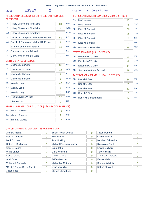# 2016 ESSEX 2 Assy Dist 114th - Cong Dist 21st

# PRESIDENTIAL ELECTORS FOR PRESIDENT AND VICE PRESIDENT

| $1A$ :         | <b>Hillary Clinton and Tim Kaine</b> | 84 | <b>DFM</b> |
|----------------|--------------------------------------|----|------------|
| $1E$ :         | Hillary Clinton and Tim Kaine        | 7  | <b>WOR</b> |
| 1G:            | Hillary Clinton and Tim Kaine        | 3  | <b>WOM</b> |
| 1B:            | Donald J. Trump and Michael R. Pence | 51 | <b>REP</b> |
| 1C:            | Donald J. Trump and Michael R. Pence | 2  | <b>CON</b> |
| $1D$ :         | Jill Stein and Ajamu Baraka          | 11 | <b>GRE</b> |
| $1F$ :         | Gary Johnson and Bill Weld           | 4  | <b>IND</b> |
| 1 <sub>1</sub> | Gary Johnson and Bill Weld           | 3  | <b>LIB</b> |
|                |                                      |    |            |

# UNITED STATES SENATOR

| $2A$ :                                              | Charles E. Schumer   | 85 | <b>DFM</b> |
|-----------------------------------------------------|----------------------|----|------------|
| 2E:                                                 | Charles E. Schumer   | 13 | <b>WOR</b> |
| 2F:                                                 | Charles E. Schumer   | 2  | <b>IND</b> |
| 2G:                                                 | Charles E. Schumer   | 1  | <b>WOM</b> |
| 2B:                                                 | <b>Wendy Long</b>    | 47 | <b>RFP</b> |
| $2C$ :                                              | <b>Wendy Long</b>    | 1  | <b>CON</b> |
| 2H:                                                 | <b>Wendy Long</b>    | 0  | <b>REF</b> |
| 2D:                                                 | Robin Laverne Wilson | 12 | <b>GRE</b> |
| $2!$ :                                              | <b>Alex Merced</b>   | 2  | <b>LIB</b> |
| STATE SHPREME COHRT HISTICE (4th HIDICIAL DISTRICT) |                      |    |            |

# STATE SUPREME COURT JUSTICE (4th JUDICIAL DISTRICT)

| 3A: Mark L. Powers  | <b>DEM</b> |
|---------------------|------------|
| 3C: Mark L. Powers  | <b>CON</b> |
| 3B: Timothy Lawliss | <b>RFP</b> |

# REPRESENTATIVE IN CONGRESS (21st DISTRICT)

| 4A: | <b>Mike Derrick</b>   | 71 | <b>DEM</b> |
|-----|-----------------------|----|------------|
| 4E: | <b>Mike Derrick</b>   | 8  | <b>WOR</b> |
| 4B: | Elise M. Stefanik     | 66 | <b>REP</b> |
| 4C: | Elise M. Stefanik     | 2  | <b>CON</b> |
| 4F: | Elise M. Stefanik     | 2  | <b>IND</b> |
| 4H: | Elise M. Stefanik     | 1  | <b>REF</b> |
| 4D: | Matthew J. Funiciello | 15 | <b>GRE</b> |

# STATE SENATOR (45th DISTRICT)

| 5B: | Elizabeth O'C Little         | 93 | <b>RFP</b> |
|-----|------------------------------|----|------------|
|     | 5C: Elizabeth O'C Little     |    | <b>CON</b> |
|     | 5F: Elizabeth O'C Little     |    | <b>IND</b> |
|     | 5D: Stephen Matthew Ruzbacki |    | <b>GRF</b> |

# MEMBER OF ASSEMBLY (114th DISTRICT)

| 6B: | Daniel G Stec        | 86 | <b>REP</b> |
|-----|----------------------|----|------------|
|     | 6C: Daniel G Stec    |    | <b>CON</b> |
| 6F: | Daniel G Stec        | 11 | <b>IND</b> |
| 6H: | Daniel G Stec        |    | <b>REF</b> |
| 6D: | Robin M. Barkenhagen | 41 | <b>GRE</b> |

| Arantxa Aranja             | 0              | Zoltan Istvan Gyurko     | 0              | Jason Mutford           | 0              |
|----------------------------|----------------|--------------------------|----------------|-------------------------|----------------|
| Neer R. Asherie            | 0              | <b>Ben Hartnell</b>      | 0              | <b>Clifton Roberts</b>  | 0              |
| <b>Mark Blickley</b>       | 0              | <b>Tom Hoefling</b>      | 0              | Marshall Schoenke       | 0              |
| Robert L. Buchanan         | 0              | Michael Frederick Ingbar | 0              | <b>Ryan Alan Scott</b>  | 0              |
| Gary S. Canns              | 0              | Lynn Kahn                | 0              | <b>Emidio Soltysik</b>  | $\overline{0}$ |
| <b>Willie Carter</b>       | 0              | <b>Chris Keniston</b>    | $\overline{0}$ | <b>Tony Valdivia</b>    | 0              |
| <b>Darrell Castle</b>      | 0              | Gloria La Riva           | $\Omega$       | J. J. Vogel-Walcutt     | O              |
| Ariel Cohen                | $\overline{0}$ | <b>Jeffrey Mackler</b>   | 0              | <b>Esther Welsh</b>     | 0              |
| William J. Connolly        | 0              | Michael A. Maturen       | 0              | <b>Barbara Whitaker</b> | 0              |
| "Rocky" Rogue De La Fuente | $\Omega$       | Evan McMullin            | $\Omega$       | Robert M. Wolff         |                |
| Jason Fried                | 0              | Monica Moorehead         | 0              |                         |                |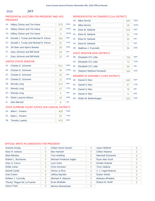#### JAY 2016

# PRESIDENTIAL ELECTORS FOR PRESIDENT AND VICE PRESIDENT

| REPRESENTATIVE IN CONGRESS (21st DISTRICT) |  |
|--------------------------------------------|--|
|--------------------------------------------|--|

| $1A$ : | <b>Hillary Clinton and Tim Kaine</b> | 570 | <b>DEM</b> |
|--------|--------------------------------------|-----|------------|
| $1E$ : | Hillary Clinton and Tim Kaine        | 13  | <b>WOR</b> |
| 1G:    | Hillary Clinton and Tim Kaine        | 9   | <b>WOM</b> |
| 1B:    | Donald J. Trump and Michael R. Pence | 464 | <b>REP</b> |
| 1C:    | Donald J. Trump and Michael R. Pence | 51  | <b>CON</b> |
| 1D:    | Jill Stein and Ajamu Baraka          | 36  | <b>GRE</b> |
| $1F$ : | Gary Johnson and Bill Weld           | 54  | <b>IND</b> |
| 11:    | Gary Johnson and Bill Weld           | 15  | <b>LIB</b> |
|        | UNITED STATES SENATOR                |     |            |
| 2A:    | Charles E. Schumer                   | 611 | <b>DEM</b> |

| $2F^+$ | Charles E. Schumer   | 34  | <b>WOR</b> |
|--------|----------------------|-----|------------|
| $2F^+$ | Charles E. Schumer   | 32  | <b>IND</b> |
| 2G:    | Charles E. Schumer   | 12  | <b>WOM</b> |
| 2B:    | <b>Wendy Long</b>    | 374 | <b>RFP</b> |
| $2C$ : | <b>Wendy Long</b>    | 47  | <b>CON</b> |
| 2H:    | <b>Wendy Long</b>    | 4   | <b>RFF</b> |
| 2D:    | Robin Laverne Wilson | 43  | GRF        |
| $2!$ : | Alex Merced          | 6   | <b>LIB</b> |
|        |                      |     |            |

# STATE SUPREME COURT JUSTICE (4th JUDICIAL DISTRICT)

| 3A: | Mark L. Powers      | 408 | <b>DEM</b> |
|-----|---------------------|-----|------------|
|     | 3C: Mark L. Powers  |     | <b>CON</b> |
|     | 3B: Timothy Lawliss | 670 | <b>RFP</b> |

| 4A:    | <b>Mike Derrick</b>   | 500 | <b>DFM</b> |
|--------|-----------------------|-----|------------|
| 4E:    | <b>Mike Derrick</b>   | 26  | <b>WOR</b> |
| 4B:    | Elise M. Stefanik     | 515 | <b>REP</b> |
| $4C$ : | Elise M. Stefanik     | 51  | <b>CON</b> |
| 4F:    | Elise M. Stefanik     | 35  | <b>IND</b> |
| 4H:    | Elise M. Stefanik     | 2   | <b>REF</b> |
| 4D:    | Matthew J. Funiciello | 56  | <b>GRE</b> |
|        |                       |     |            |

# STATE SENATOR (45th DISTRICT)

| 5B: Elizabeth O'C Little     | 728 | <b>RFP</b> |
|------------------------------|-----|------------|
| 5C: Elizabeth O'C Little     | 72  | <b>CON</b> |
| 5F: Elizabeth O'C Little     | 96  | <b>IND</b> |
| 5D: Stephen Matthew Ruzbacki | 164 | <b>GRF</b> |

# MEMBER OF ASSEMBLY (114th DISTRICT)

| 6B: | Daniel G Stec        | 640 | <b>REP</b> |
|-----|----------------------|-----|------------|
| 6C: | Daniel G Stec        |     | <b>CON</b> |
| 6F: | Daniel G Stec        | 79  | <b>IND</b> |
| 6H: | Daniel G Stec        |     | <b>REF</b> |
| 6D: | Robin M. Barkenhagen | 203 | <b>GRE</b> |

| Arantxa Aranja             | $\overline{0}$ | Zoltan Istvan Gyurko     | $\Omega$ | Jason Mutford            | O |
|----------------------------|----------------|--------------------------|----------|--------------------------|---|
| Neer R. Asherie            | $\overline{0}$ | <b>Ben Hartnell</b>      | $\Omega$ | <b>Clifton Roberts</b>   | 0 |
| <b>Mark Blickley</b>       | $\overline{0}$ | Tom Hoefling             | $\Omega$ | <b>Marshall Schoenke</b> | 0 |
| Robert L. Buchanan         | $\Omega$       | Michael Frederick Ingbar | $\Omega$ | Ryan Alan Scott          | 0 |
| Gary S. Canns              | $\overline{0}$ | Lynn Kahn                | $\Omega$ | <b>Emidio Soltysik</b>   | 0 |
| <b>Willie Carter</b>       | $\Omega$       | <b>Chris Keniston</b>    | $\Omega$ | <b>Tony Valdivia</b>     | Ω |
| <b>Darrell Castle</b>      | $\overline{0}$ | Gloria La Riva           | $\Omega$ | J. J. Vogel-Walcutt      | 0 |
| Ariel Cohen                | $\overline{0}$ | <b>Jeffrey Mackler</b>   | $\Omega$ | <b>Esther Welsh</b>      | 0 |
| William J. Connolly        | $\overline{0}$ | Michael A. Maturen       | $\Omega$ | <b>Barbara Whitaker</b>  | 0 |
| "Rocky" Rogue De La Fuente | $\overline{0}$ | Evan McMullin            | 2        | Robert M. Wolff          | 0 |
| <b>Jason Fried</b>         | $\overline{0}$ | <b>Monica Moorehead</b>  | 0        |                          |   |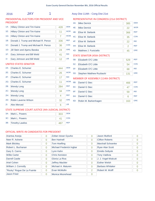# 2016 **JAY** 1 Assy Dist 114th - Cong Dist 21st

# PRESIDENTIAL ELECTORS FOR PRESIDENT AND VICE PRESIDENT

| $1A$ : | Hillary Clinton and Tim Kaine        | 428 | <b>DEM</b> |
|--------|--------------------------------------|-----|------------|
| 1E:    | <b>Hillary Clinton and Tim Kaine</b> | 11  | <b>WOR</b> |
| $1G$ : | <b>Hillary Clinton and Tim Kaine</b> | 7   | <b>WOM</b> |
| 1B:    | Donald J. Trump and Michael R. Pence | 336 | <b>RFP</b> |
| $1C$ : | Donald J. Trump and Michael R. Pence | 36  | <b>CON</b> |
| $1D$ : | Jill Stein and Ajamu Baraka          | 24  | <b>GRE</b> |
| $1F$ : | Gary Johnson and Bill Weld           | 41  | <b>IND</b> |
| 11:    | Gary Johnson and Bill Weld           | 12  | <b>LIB</b> |

# UNITED STATES SENATOR

| 2A <sub>1</sub> | Charles E. Schumer                                  | 444 | <b>DFM</b> |  |
|-----------------|-----------------------------------------------------|-----|------------|--|
| 2E:             | Charles E. Schumer                                  | 26  | <b>WOR</b> |  |
| 2F:             | Charles E. Schumer                                  | 17  | <b>IND</b> |  |
| 2G:             | Charles E. Schumer                                  | 11  | <b>WOM</b> |  |
| 2B:             | <b>Wendy Long</b>                                   | 284 | <b>REP</b> |  |
| 2C:             | <b>Wendy Long</b>                                   | 34  | <b>CON</b> |  |
| 2H:             | <b>Wendy Long</b>                                   | 4   | <b>REF</b> |  |
| 2D:             | Robin Laverne Wilson                                | 32  | <b>GRE</b> |  |
| $21$ :          | <b>Alex Merced</b>                                  | 6   | <b>LIB</b> |  |
|                 | STATE SUPREME COURT JUSTICE (4th JUDICIAL DISTRICT) |     |            |  |

3A: Mark L. Powers 303 DEM

3B: Timothy Lawliss 487 REP 3C: Mark L. Powers 41 CON

# REPRESENTATIVE IN CONGRESS (21st DISTRICT)

| 4A: | <b>Mike Derrick</b>                  | 385 | <b>DEM</b> |
|-----|--------------------------------------|-----|------------|
| 4E: | <b>Mike Derrick</b>                  | 22  | <b>WOR</b> |
| 4B: | Elise M. Stefanik                    | 366 | <b>REP</b> |
| 4C: | Elise M. Stefanik                    | 35  | <b>CON</b> |
| 4F: | Elise M. Stefanik                    | 22  | <b>IND</b> |
| 4H: | Elise M. Stefanik                    | 2   | <b>REF</b> |
| 4D: | Matthew J. Funiciello                | 45  | <b>GRE</b> |
|     | <b>STATE SENATOR (45th DISTRICT)</b> |     |            |
| 5B: | Elizabeth O'C Little                 | 529 | <b>REP</b> |
| 5C: | Elizabeth O'C Little                 | 54  | <b>CON</b> |
| 5F: | Elizabeth O'C Little                 | 68  | <b>IND</b> |
| 5D: | <b>Stephen Matthew Ruzbacki</b>      | 131 | <b>GRE</b> |
|     | MEMBER OF ASSEMBLY (114th DISTRICT)  |     |            |
| 6B: | Daniel G Stec                        | 466 | <b>REP</b> |
| 6C: | Daniel G Stec                        | 47  | <b>CON</b> |

| 6C: Daniel G Stec        |     | CON        |
|--------------------------|-----|------------|
| 6F: Daniel G Stec        | 59  | <b>IND</b> |
| 6H: Daniel G Stec        |     | <b>REF</b> |
| 6D: Robin M. Barkenhagen | 163 | <b>GRE</b> |
|                          |     |            |

| Arantxa Aranja             | 0              | Zoltan Istvan Gyurko     | $\Omega$       | Jason Mutford            | $\Omega$ |
|----------------------------|----------------|--------------------------|----------------|--------------------------|----------|
| Neer R. Asherie            | 0              | <b>Ben Hartnell</b>      | $\overline{0}$ | <b>Clifton Roberts</b>   | $\Omega$ |
| <b>Mark Blickley</b>       | $\overline{0}$ | Tom Hoefling             | $\Omega$       | <b>Marshall Schoenke</b> |          |
| Robert L. Buchanan         | $\overline{0}$ | Michael Frederick Ingbar | $\Omega$       | <b>Ryan Alan Scott</b>   | $\Omega$ |
| Gary S. Canns              | 0              | Lynn Kahn                | $\overline{0}$ | <b>Emidio Soltysik</b>   | $\Omega$ |
| <b>Willie Carter</b>       | $\Omega$       | <b>Chris Keniston</b>    | $\Omega$       | <b>Tony Valdivia</b>     | 0        |
| Darrell Castle             | $\overline{0}$ | Gloria La Riva           | $\overline{0}$ | J. J. Vogel-Walcutt      | $\Omega$ |
| Ariel Cohen                | 0              | <b>Jeffrey Mackler</b>   | $\Omega$       | <b>Esther Welsh</b>      | $\Omega$ |
| William J. Connolly        | $\Omega$       | Michael A. Maturen       | $\Omega$       | Barbara Whitaker         | $\Omega$ |
| "Rocky" Rogue De La Fuente | $\overline{0}$ | Evan McMullin            | 2              | Robert M. Wolff          |          |
| <b>Jason Fried</b>         | 0              | Monica Moorehead         | $\Omega$       |                          |          |
|                            |                |                          |                |                          |          |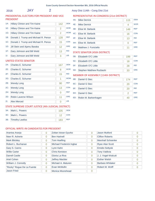2016 JAY 2 Assy Dist 114th - Cong Dist 21st

# PRESIDENTIAL ELECTORS FOR PRESIDENT AND VICE PRESIDENT

| $1A$ : | Hillary Clinton and Tim Kaine        | 142 | <b>DFM</b> |
|--------|--------------------------------------|-----|------------|
| 1E:    | <b>Hillary Clinton and Tim Kaine</b> | 2   | <b>WOR</b> |
| 1G:    | Hillary Clinton and Tim Kaine        | 2   | <b>WOM</b> |
| 1B:    | Donald J. Trump and Michael R. Pence | 128 | <b>REP</b> |
| 1C:    | Donald J. Trump and Michael R. Pence | 15  | <b>CON</b> |
| $1D$ : | Jill Stein and Ajamu Baraka          | 12  | <b>GRE</b> |
| $1F$ : | Gary Johnson and Bill Weld           | 13  | <b>IND</b> |
| 11:    | Gary Johnson and Bill Weld           | 3   | <b>LIB</b> |

# UNITED STATES SENATOR

| $2A$ : | Charles E. Schumer                                  | 167 | <b>DEM</b> |
|--------|-----------------------------------------------------|-----|------------|
| 2E:    | Charles E. Schumer                                  | 8   | <b>WOR</b> |
| 2F:    | Charles E. Schumer                                  | 15  | <b>IND</b> |
| 2G:    | Charles E. Schumer                                  | 1   | <b>WOM</b> |
| 2B:    | <b>Wendy Long</b>                                   | 90  | <b>REP</b> |
| $2C$ : | <b>Wendy Long</b>                                   | 13  | <b>CON</b> |
| 2H:    | <b>Wendy Long</b>                                   | 0   | <b>REF</b> |
| 2D:    | Robin Laverne Wilson                                | 11  | <b>GRE</b> |
| $2!$ : | <b>Alex Merced</b>                                  | 0   | <b>LIB</b> |
|        | $CTATECIDDEMECOPDIFDET HICTICFIAL HIDICIAE DICTOPD$ |     |            |

# STATE SUPREME COURT JUSTICE (4th JUDICIAL DISTRICT)

| 3A: Mark L. Powers  | 105 | <b>DEM</b> |
|---------------------|-----|------------|
| 3C: Mark L. Powers  |     | <b>CON</b> |
| 3B: Timothy Lawliss | 183 | <b>RFP</b> |

# REPRESENTATIVE IN CONGRESS (21st DISTRICT)

| 4A:    | <b>Mike Derrick</b>   | 115 | <b>DEM</b> |
|--------|-----------------------|-----|------------|
| 4E:    | <b>Mike Derrick</b>   | 4   | <b>WOR</b> |
| 4B:    | Elise M. Stefanik     | 149 | <b>RFP</b> |
| $4C$ : | Elise M. Stefanik     | 16  | <b>CON</b> |
| 4F:    | Elise M. Stefanik     | 13  | <b>IND</b> |
| 4H:    | Elise M. Stefanik     | Ω   | <b>REF</b> |
| 4D:    | Matthew J. Funiciello | 11  | <b>GRE</b> |

# STATE SENATOR (45th DISTRICT)

| 5B: | Elizabeth O'C Little         | 199 | <b>RFP</b> |
|-----|------------------------------|-----|------------|
|     | 5C: Elizabeth O'C Little     | 18  | <b>CON</b> |
|     | 5F: Elizabeth O'C Little     | 28  | <b>IND</b> |
|     | 5D: Stephen Matthew Ruzbacki |     | <b>GRF</b> |

# MEMBER OF ASSEMBLY (114th DISTRICT)

| 6B: | Daniel G Stec        | 174 | <b>REP</b> |
|-----|----------------------|-----|------------|
|     | 6C: Daniel G Stec    | 20  | <b>CON</b> |
| 6F: | Daniel G Stec        | 20  | <b>IND</b> |
| 6H: | Daniel G Stec        |     | <b>REF</b> |
| 6D: | Robin M. Barkenhagen | 40  | <b>GRE</b> |

| Arantxa Aranja             | 0 | Zoltan Istvan Gyurko     | $\Omega$       | Jason Mutford          | 0              |
|----------------------------|---|--------------------------|----------------|------------------------|----------------|
| Neer R. Asherie            | 0 | <b>Ben Hartnell</b>      | 0              | <b>Clifton Roberts</b> | 0              |
| <b>Mark Blickley</b>       | 0 | <b>Tom Hoefling</b>      | $\Omega$       | Marshall Schoenke      | 0              |
| Robert L. Buchanan         | 0 | Michael Frederick Ingbar | $\overline{0}$ | <b>Ryan Alan Scott</b> | 0              |
| Gary S. Canns              | 0 | Lynn Kahn                | 0              | <b>Emidio Soltysik</b> | $\overline{0}$ |
| <b>Willie Carter</b>       | 0 | <b>Chris Keniston</b>    | 0              | <b>Tony Valdivia</b>   | 0              |
| <b>Darrell Castle</b>      | 0 | Gloria La Riva           | $\overline{0}$ | J. J. Vogel-Walcutt    | 0              |
| Ariel Cohen                | 0 | <b>Jeffrey Mackler</b>   | $\Omega$       | <b>Esther Welsh</b>    | $\overline{0}$ |
| William J. Connolly        | 0 | Michael A. Maturen       | 0              | Barbara Whitaker       | O              |
| "Rocky" Rogue De La Fuente | 0 | Evan McMullin            | 0              | Robert M. Wolff        |                |
| Jason Fried                | 0 | Monica Moorehead         | 0              |                        |                |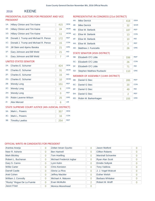#### KEENE 2016

# PRESIDENTIAL ELECTORS FOR PRESIDENT AND VICE PRESIDENT

| REPRESENTATIVE IN CONGRESS (21st DISTRICT) |  |  |
|--------------------------------------------|--|--|
|--------------------------------------------|--|--|

| $1A$ : | <b>Hillary Clinton and Tim Kaine</b> | 415 | <b>DEM</b> |
|--------|--------------------------------------|-----|------------|
| 1E:    | <b>Hillary Clinton and Tim Kaine</b> | 24  | <b>WOR</b> |
| 1G:    | Hillary Clinton and Tim Kaine        | 11  | <b>WOM</b> |
| 1B:    | Donald J. Trump and Michael R. Pence | 172 | <b>REP</b> |
| 1C:    | Donald J. Trump and Michael R. Pence | 15  | <b>CON</b> |
| 1D:    | Jill Stein and Ajamu Baraka          | 21  | <b>GRE</b> |
| $1F$ : | Gary Johnson and Bill Weld           | 21  | <b>IND</b> |
| 11:    | Gary Johnson and Bill Weld           | 7   | <b>LIB</b> |
|        | UNITED STATES SENATOR                |     |            |
| 2A:    | Charles E. Schumer                   | 424 | <b>DEM</b> |
| 2E:    | Charles E. Schumer                   | 31  | <b>WOR</b> |

| 4A:    | <b>Mike Derrick</b>   | 418 | <b>DEM</b> |
|--------|-----------------------|-----|------------|
| 4E:    | <b>Mike Derrick</b>   | 32  | <b>WOR</b> |
| 4B:    | Elise M. Stefanik     | 187 | <b>REP</b> |
| $4C$ : | Elise M. Stefanik     | 13  | <b>CON</b> |
| $4F$ : | Elise M. Stefanik     | 10  | <b>IND</b> |
| 4H:    | Elise M. Stefanik     | 2   | <b>REF</b> |
| 4D:    | Matthew J. Funiciello | 26  | <b>GRE</b> |

# STATE SENATOR (45th DISTRICT)

| 5B: Elizabeth O'C Little     | 336 | <b>REP</b> |
|------------------------------|-----|------------|
| 5C: Elizabeth O'C Little     | 26  | <b>CON</b> |
| 5F: Elizabeth O'C Little     |     | <b>IND</b> |
| 5D: Stephen Matthew Ruzbacki | 110 | <b>GRE</b> |

# MEMBER OF ASSEMBLY (114th DISTRICT)

| 6B: | Daniel G Stec        | 285 | <b>REP</b> |
|-----|----------------------|-----|------------|
| 6C: | Daniel G Stec        | 20  | <b>CON</b> |
| 6F: | Daniel G Stec        | 49  | <b>IND</b> |
| 6H: | Daniel G Stec        |     | <b>REF</b> |
| 6D: | Robin M. Barkenhagen | 155 | <b>GRE</b> |

# $2F:$  Charles E. Schumer

| $\mathbf{z}$ | UIDIO E. OUIUIDI                                    | ıэ  | ⋯          |
|--------------|-----------------------------------------------------|-----|------------|
| $2G$ :       | Charles E. Schumer                                  | 10  | <b>WOM</b> |
| 2B:          | <b>Wendy Long</b>                                   | 151 | <b>REP</b> |
| $2C$ :       | <b>Wendy Long</b>                                   | 6   | CON        |
| 2H:          | <b>Wendy Long</b>                                   | ∩   | <b>REF</b> |
| 2D:          | Robin Laverne Wilson                                | 25  | <b>GRE</b> |
| 2!           | Alex Merced                                         | 6   | <b>LIB</b> |
|              | STATE SUPREME COURT JUSTICE (4th JUDICIAL DISTRICT) |     |            |

| 3A: Mark L. Powers  | 357 | <b>DEM</b> |
|---------------------|-----|------------|
| 3C: Mark L. Powers  |     | <b>CON</b> |
| 3B: Timothy Lawliss |     | <b>RFP</b> |

| Arantxa Aranja             | $\overline{0}$ | Zoltan Istvan Gyurko     | $\Omega$ | <b>Jason Mutford</b>     | O |
|----------------------------|----------------|--------------------------|----------|--------------------------|---|
| Neer R. Asherie            | $\overline{0}$ | <b>Ben Hartnell</b>      | 0        | <b>Clifton Roberts</b>   | 0 |
| <b>Mark Blickley</b>       | $\overline{0}$ | <b>Tom Hoefling</b>      | 0        | <b>Marshall Schoenke</b> | 0 |
| Robert L. Buchanan         | $\overline{0}$ | Michael Frederick Ingbar | 0        | Ryan Alan Scott          | 0 |
| Gary S. Canns              | $\overline{0}$ | Lynn Kahn                | $\Omega$ | <b>Emidio Soltysik</b>   | 0 |
| <b>Willie Carter</b>       | $\Omega$       | <b>Chris Keniston</b>    | $\Omega$ | <b>Tony Valdivia</b>     | Ω |
| <b>Darrell Castle</b>      | $\overline{0}$ | Gloria La Riva           | $\Omega$ | J. J. Vogel-Walcutt      | 0 |
| Ariel Cohen                | $\overline{0}$ | <b>Jeffrey Mackler</b>   | $\Omega$ | <b>Esther Welsh</b>      | Ω |
| William J. Connolly        | $\overline{0}$ | Michael A. Maturen       | $\Omega$ | <b>Barbara Whitaker</b>  | 0 |
| "Rocky" Rogue De La Fuente | $\Omega$       | Evan McMullin            | 2        | Robert M. Wolff          | 0 |
| <b>Jason Fried</b>         | $\Omega$       | Monica Moorehead         | 0        |                          |   |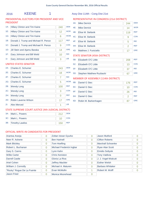# 2016 KEENE 1 Assy Dist 114th - Cong Dist 21

# PRESIDENTIAL ELECTORS FOR PRESIDENT AND VICE PRESIDENT

|  | Assy Dist 114th - Cong Dist 21st |  |  |  |
|--|----------------------------------|--|--|--|
|  |                                  |  |  |  |

# REPRESENTATIVE IN CONGRESS (21st DISTRICT) 4A: Mike Derrick 244

4B: Elise M. Stefanik 119

4E: Mike Derrick 14

4C: Elise M. Stefanik 9

4F: Elise M. Stefanik 5

4H: Elise M. Stefanik 2

|        | .                                    |     |            |
|--------|--------------------------------------|-----|------------|
| $1A$ : | Hillary Clinton and Tim Kaine        | 240 | <b>DEM</b> |
| 1E:    | <b>Hillary Clinton and Tim Kaine</b> | 12  | <b>WOR</b> |
| $1G$ : | <b>Hillary Clinton and Tim Kaine</b> | 6   | <b>WOM</b> |
| 1B:    | Donald J. Trump and Michael R. Pence | 117 | <b>REP</b> |
| 1C:    | Donald J. Trump and Michael R. Pence | 9   | <b>CON</b> |
| 1D:    | Jill Stein and Ajamu Baraka          | 14  | <b>GRE</b> |
| $1F$ : | Gary Johnson and Bill Weld           | 10  | <b>IND</b> |
| 1I:    | Gary Johnson and Bill Weld           | 3   | <b>LIB</b> |
|        | <b>UNITED STATES SENATOR</b>         |     |            |
| 2A:    | Charles E. Schumer                   | 243 | <b>DEM</b> |
|        |                                      |     |            |

#### 4D: Matthew J. Funiciello 17 GRE STATE SENATOR (45th DISTRICT) 5B: Elizabeth O'C Little 208 5C: Elizabeth O'C Little 13 REP **CON** 5D: Stephen Matthew Ruzbacki 67 5F: Elizabeth O'C Little 37 GRE IND MEMBER OF ASSEMBLY (114th DISTRICT)

DEM

WOR

REP

**CON** 

IND

REF

| 6B: | Daniel G Stec            | 176 | <b>REP</b> |
|-----|--------------------------|-----|------------|
|     | 6C: Daniel G Stec        | 10  | <b>CON</b> |
| 6F: | Daniel G Stec            | 26  | <b>IND</b> |
| 6H: | Daniel G Stec            |     | <b>REF</b> |
|     | 6D: Robin M. Barkenhagen |     | <b>GRE</b> |

# 2E: Charles E. Schumer 18 WOR

| 2F <sub>1</sub> | Charles E. Schumer                                  |     | <b>IND</b> |
|-----------------|-----------------------------------------------------|-----|------------|
| $2G$ :          | Charles E. Schumer                                  | 5   | <b>WOM</b> |
| 2B:             | <b>Wendy Long</b>                                   | 100 | <b>REP</b> |
| $2C$ :          | <b>Wendy Long</b>                                   | 3   | <b>CON</b> |
| 2H:             | <b>Wendy Long</b>                                   | 0   | <b>REF</b> |
| 2D:             | Robin Laverne Wilson                                | 17  | <b>GRE</b> |
| $2!$ :          | <b>Alex Merced</b>                                  | 1   | <b>LIB</b> |
|                 | STATE SUPREME COURT JUSTICE (4th JUDICIAL DISTRICT) |     |            |

| 3A:<br><b>Powers</b> |  |
|----------------------|--|
|                      |  |

|     | 3C: Mark L. Powers     |     |  |
|-----|------------------------|-----|--|
| 3B: | <b>Timothy Lawliss</b> | 150 |  |

| Arantxa Aranja             | $\overline{0}$ | Zoltan Istvan Gyurko     | 0        | Jason Mutford           | $\overline{0}$ |
|----------------------------|----------------|--------------------------|----------|-------------------------|----------------|
| Neer R. Asherie            | $\overline{0}$ | <b>Ben Hartnell</b>      | $\Omega$ | <b>Clifton Roberts</b>  | 0              |
| <b>Mark Blickley</b>       | $\overline{0}$ | <b>Tom Hoefling</b>      | $\Omega$ | Marshall Schoenke       | $\Omega$       |
| Robert L. Buchanan         | $\overline{0}$ | Michael Frederick Ingbar | $\Omega$ | <b>Ryan Alan Scott</b>  | $\overline{0}$ |
| Gary S. Canns              | $\overline{0}$ | Lynn Kahn                | $\Omega$ | <b>Emidio Soltysik</b>  | $\Omega$       |
| <b>Willie Carter</b>       | $\overline{0}$ | <b>Chris Keniston</b>    | $\Omega$ | <b>Tony Valdivia</b>    | $\Omega$       |
| <b>Darrell Castle</b>      | $\Omega$       | Gloria La Riva           | $\Omega$ | J. J. Vogel-Walcutt     | $\Omega$       |
| Ariel Cohen                | $\Omega$       | <b>Jeffrey Mackler</b>   | $\Omega$ | <b>Esther Welsh</b>     | $\Omega$       |
| William J. Connolly        | $\overline{0}$ | Michael A. Maturen       | $\Omega$ | <b>Barbara Whitaker</b> | $\Omega$       |
| "Rocky" Rogue De La Fuente | $\Omega$       | Evan McMullin            |          | Robert M. Wolff         | 0              |
| Jason Fried                | $\overline{0}$ | Monica Moorehead         | $\Omega$ |                         |                |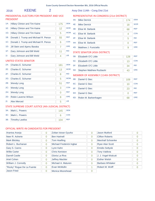# 2016 KEENE 2 Assy Dist 114th - Cong Dist 21st

# PRESIDENTIAL ELECTORS FOR PRESIDENT AND VICE PRESIDENT

| $1A$ : | <b>Hillary Clinton and Tim Kaine</b> | 175 | <b>DFM</b> |
|--------|--------------------------------------|-----|------------|
| 1E:    | <b>Hillary Clinton and Tim Kaine</b> | 12  | <b>WOR</b> |
| $1G$ : | Hillary Clinton and Tim Kaine        | 5   | <b>WOM</b> |
| 1B:    | Donald J. Trump and Michael R. Pence | 55  | <b>RFP</b> |
| 1C:    | Donald J. Trump and Michael R. Pence | 6   | <b>CON</b> |
| $1D$ : | Jill Stein and Ajamu Baraka          | 7   | <b>GRE</b> |
| 1F:    | Gary Johnson and Bill Weld           | 11  | <b>IND</b> |
| 11:    | Gary Johnson and Bill Weld           | 4   | <b>LIB</b> |
|        |                                      |     |            |

# UNITED STATES SENATOR

| $2A^2$                                                                                                                                                                                                                                                                                                      | Charles E. Schumer   | 181 | <b>DEM</b> |  |
|-------------------------------------------------------------------------------------------------------------------------------------------------------------------------------------------------------------------------------------------------------------------------------------------------------------|----------------------|-----|------------|--|
| $2F^+$                                                                                                                                                                                                                                                                                                      | Charles E. Schumer   | 13  | <b>WOR</b> |  |
| 2F <sub>1</sub>                                                                                                                                                                                                                                                                                             | Charles E. Schumer   | 8   | <b>IND</b> |  |
| $2G$ :                                                                                                                                                                                                                                                                                                      | Charles E. Schumer   | 5   | <b>WOM</b> |  |
| 2B:                                                                                                                                                                                                                                                                                                         | <b>Wendy Long</b>    | 51  | <b>REP</b> |  |
| $2C$ :                                                                                                                                                                                                                                                                                                      | <b>Wendy Long</b>    | 3   | <b>CON</b> |  |
| 2H:                                                                                                                                                                                                                                                                                                         | <b>Wendy Long</b>    | O   | <b>REF</b> |  |
| 2D:                                                                                                                                                                                                                                                                                                         | Robin Laverne Wilson | 8   | <b>GRE</b> |  |
| 2!                                                                                                                                                                                                                                                                                                          | <b>Alex Merced</b>   | 5   | <b>LIB</b> |  |
| $C = \{x \in C :  x  \leq 1,  x  \leq 2,  x  \leq 1,  x  \leq 2,  x  \leq 1,  x  \leq 2,  x  \leq 2,  x  \leq 2,  x  \leq 2,  x  \leq 2,  x  \leq 2,  x  \leq 2,  x  \leq 2,  x  \leq 2,  x  \leq 2,  x  \leq 2,  x  \leq 2,  x  \leq 2,  x  \leq 2,  x  \leq 2,  x  \leq 2,  x  \leq 2,  x  \leq 2,  x  \$ |                      |     |            |  |

# STATE SUPREME COURT JUSTICE (4th JUDICIAL DISTRICT)

| 3A: Mark L. Powers  | 145 | <b>DEM</b> |
|---------------------|-----|------------|
| 3C: Mark L. Powers  |     | CON        |
| 3B: Timothy Lawliss | 104 | <b>REP</b> |

# REPRESENTATIVE IN CONGRESS (21st DISTRICT)

| 4A: | <b>Mike Derrick</b>   | 174 | <b>DEM</b> |
|-----|-----------------------|-----|------------|
| 4E: | <b>Mike Derrick</b>   | 18  | <b>WOR</b> |
| 4B: | Elise M. Stefanik     | 68  | <b>RFP</b> |
| 4C: | Elise M. Stefanik     | 4   | <b>CON</b> |
| 4F: | Elise M. Stefanik     | 5   | <b>IND</b> |
| 4H: | Elise M. Stefanik     | O   | <b>RFF</b> |
| 4D: | Matthew J. Funiciello | 9   | <b>GRE</b> |

# STATE SENATOR (45th DISTRICT)

| 5B: | Elizabeth O'C Little         | 128 | <b>RFP</b> |
|-----|------------------------------|-----|------------|
|     | 5C: Elizabeth O'C Little     | 13  | <b>CON</b> |
|     | 5F: Elizabeth O'C Little     | 34  | <b>IND</b> |
|     | 5D: Stephen Matthew Ruzbacki |     | <b>GRF</b> |

# MEMBER OF ASSEMBLY (114th DISTRICT)

| 6B: | Daniel G Stec        | 109 | <b>REP</b> |
|-----|----------------------|-----|------------|
|     | 6C: Daniel G Stec    | 10  | <b>CON</b> |
| 6F: | Daniel G Stec        | 23  | <b>IND</b> |
| 6H: | Daniel G Stec        |     | <b>REF</b> |
| 6D: | Robin M. Barkenhagen | 68  | <b>GRE</b> |

| Arantxa Aranja             | 0              | Zoltan Istvan Gyurko     | 0              | Jason Mutford           | 0              |
|----------------------------|----------------|--------------------------|----------------|-------------------------|----------------|
| Neer R. Asherie            | 0              | <b>Ben Hartnell</b>      | 0              | <b>Clifton Roberts</b>  | 0              |
| <b>Mark Blickley</b>       | 0              | <b>Tom Hoefling</b>      | 0              | Marshall Schoenke       | 0              |
| Robert L. Buchanan         | 0              | Michael Frederick Ingbar | 0              | <b>Ryan Alan Scott</b>  | 0              |
| Gary S. Canns              | 0              | Lynn Kahn                | 0              | <b>Emidio Soltysik</b>  | $\overline{0}$ |
| <b>Willie Carter</b>       | 0              | <b>Chris Keniston</b>    | $\overline{0}$ | <b>Tony Valdivia</b>    | 0              |
| <b>Darrell Castle</b>      | 0              | Gloria La Riva           | $\Omega$       | J. J. Vogel-Walcutt     | O              |
| Ariel Cohen                | $\overline{0}$ | <b>Jeffrey Mackler</b>   | 0              | <b>Esther Welsh</b>     | 0              |
| William J. Connolly        | 0              | Michael A. Maturen       | 0              | <b>Barbara Whitaker</b> | 0              |
| "Rocky" Rogue De La Fuente | $\Omega$       | Evan McMullin            |                | Robert M. Wolff         |                |
| Jason Fried                | 0              | Monica Moorehead         | 0              |                         |                |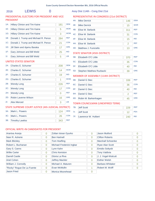# 2016 LEWIS 0 Assy Dist 114th - Cong Dist 21st

# PRESIDENTIAL ELECTORS FOR PRESIDENT AND VICE PRESIDENT

| $1A$ : | <b>Hillary Clinton and Tim Kaine</b> | 181 | <b>DEM</b> |
|--------|--------------------------------------|-----|------------|
| 1E:    | Hillary Clinton and Tim Kaine        | 5   | <b>WOR</b> |
| $1G$ : | Hillary Clinton and Tim Kaine        | 3   | <b>WOM</b> |
| 1B:    | Donald J. Trump and Michael R. Pence | 284 | <b>REP</b> |
| $1C$ : | Donald J. Trump and Michael R. Pence | 21  | <b>CON</b> |
| 1D:    | Jill Stein and Ajamu Baraka          | 17  | <b>GRE</b> |
| $1F$ : | Gary Johnson and Bill Weld           | 25  | <b>IND</b> |
| 11:    | Gary Johnson and Bill Weld           | 5   | <b>LIB</b> |
|        | UNITED STATES SENATOR                |     |            |

# $D$  STATES SE

| $2A$ : | Charles E. Schumer                                  | 208 | <b>DFM</b> |
|--------|-----------------------------------------------------|-----|------------|
| 2E:    | Charles E. Schumer                                  | 14  | <b>WOR</b> |
| 2F:    | Charles E. Schumer                                  | 19  | <b>IND</b> |
| 2G:    | Charles E. Schumer                                  | 1   | <b>WOM</b> |
| 2B:    | <b>Wendy Long</b>                                   | 226 | <b>REP</b> |
| $2C$ : | <b>Wendy Long</b>                                   | 17  | <b>CON</b> |
| 2H:    | <b>Wendy Long</b>                                   | 0   | <b>REF</b> |
| 2D:    | Robin Laverne Wilson                                | 16  | <b>GRE</b> |
| 2!     | Alex Merced                                         | 3   | LIB        |
|        | STATE SUPREME COURT JUSTICE (4th JUDICIAL DISTRICT) |     |            |
| $3A$ : | Mark L. Powers                                      | 124 | <b>DEM</b> |
| $3C$ : | Mark L. Powers                                      | 26  | <b>CON</b> |
| 3B:    | <b>Timothy Lawliss</b>                              | 343 | <b>REP</b> |

# REPRESENTATIVE IN CONGRESS (21st DISTRICT)

| 4A:    | <b>Mike Derrick</b>   | 146 | <b>DEM</b> |
|--------|-----------------------|-----|------------|
| 4E:    | <b>Mike Derrick</b>   | 15  | <b>WOR</b> |
| 4B:    | Elise M. Stefanik     | 311 | <b>REP</b> |
| $4C$ : | Elise M. Stefanik     | 31  | <b>CON</b> |
| 4F:    | Elise M. Stefanik     | 15  | <b>IND</b> |
| 4H:    | Elise M. Stefanik     | 2   | <b>REF</b> |
| 4D:    | Matthew J. Funiciello | 13  | <b>GRE</b> |

# STATE SENATOR (45th DISTRICT)

| 5B: | Elizabeth O'C Little         | 370 | <b>RFP</b> |
|-----|------------------------------|-----|------------|
|     | 5C: Elizabeth O'C Little     | 35  | <b>CON</b> |
|     | 5F: Elizabeth O'C Little     | 40  | <b>IND</b> |
|     | 5D: Stephen Matthew Ruzbacki |     | <b>GRF</b> |

# MEMBER OF ASSEMBLY (114th DISTRICT)

| 6B:    | <b>Daniel G Stec</b> | 339 | <b>REP</b> |
|--------|----------------------|-----|------------|
| $6C$ : | Daniel G Stec        | 36  | <b>CON</b> |
| 6F:    | Daniel G Stec        | 40  | <b>IND</b> |
| 6H:    | Daniel G Stec        |     | <b>REF</b> |
| 6D:    | Robin M. Barkenhagen | 45  | <b>GRE</b> |

# TOWN COUNCILMAN (UNEXPIRED TERM)

|     | 7B: Jeff Scott      |     | <b>RFP</b> |
|-----|---------------------|-----|------------|
| 7!  | Jeff Scott          |     | <b>PEA</b> |
| 7F: | Lawrence W. Hulbert | 240 | <b>IND</b> |

| Arantxa Aranja             | $\overline{0}$ | Zoltan Istvan Gyurko     | $\Omega$ | Jason Mutford           | $\Omega$       |
|----------------------------|----------------|--------------------------|----------|-------------------------|----------------|
| Neer R. Asherie            | $\Omega$       | <b>Ben Hartnell</b>      | $\Omega$ | <b>Clifton Roberts</b>  | $\Omega$       |
| <b>Mark Blickley</b>       | $\Omega$       | <b>Tom Hoefling</b>      | $\Omega$ | Marshall Schoenke       | $\Omega$       |
| Robert L. Buchanan         | $\Omega$       | Michael Frederick Ingbar | $\Omega$ | <b>Ryan Alan Scott</b>  | $\overline{0}$ |
| Gary S. Canns              | 0              | Lynn Kahn                | $\Omega$ | <b>Emidio Soltysik</b>  | $\Omega$       |
| <b>Willie Carter</b>       | $\Omega$       | <b>Chris Keniston</b>    | $\Omega$ | <b>Tony Valdivia</b>    | $\Omega$       |
| <b>Darrell Castle</b>      | $\Omega$       | Gloria La Riva           | $\Omega$ | J. J. Vogel-Walcutt     | $\Omega$       |
| Ariel Cohen                | $\Omega$       | <b>Jeffrey Mackler</b>   | $\Omega$ | <b>Esther Welsh</b>     | $\Omega$       |
| William J. Connolly        | $\Omega$       | Michael A. Maturen       | $\Omega$ | <b>Barbara Whitaker</b> | $\Omega$       |
| "Rocky" Rogue De La Fuente | $\Omega$       | Evan McMullin            |          | Robert M. Wolff         |                |
| <b>Jason Fried</b>         | $\overline{0}$ | Monica Moorehead         | $\Omega$ |                         |                |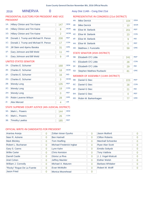# 2016 MINERVA 0 Assy Dist 114th - Cong Dist 21st

# PRESIDENTIAL ELECTORS FOR PRESIDENT AND VICE PRESIDENT

# REPRESENTATIVE IN CONGRESS (21st DISTRICT) 4A: Mike Derrick 104

4B: Elise M. Stefanik 201

4E: Mike Derrick 10

4C: Elise M. Stefanik 23

4F: Elise M. Stefanik 9

4H: Elise M. Stefanik 0

4D: Matthew J. Funiciello 59

DEM

WOR

REP

**CON** 

IND

GRE

REF

| $1A$ :         | <b>Hillary Clinton and Tim Kaine</b> | 147 | <b>DEM</b> |
|----------------|--------------------------------------|-----|------------|
| $1E$ :         | <b>Hillary Clinton and Tim Kaine</b> | 8   | <b>WOR</b> |
| 1G:            | <b>Hillary Clinton and Tim Kaine</b> | 2   | <b>WOM</b> |
| 1B:            | Donald J. Trump and Michael R. Pence | 208 | <b>REP</b> |
| 1C:            | Donald J. Trump and Michael R. Pence | 17  | <b>CON</b> |
| $1D$ :         | Jill Stein and Ajamu Baraka          | 31  | <b>GRE</b> |
| $1F$ :         | Gary Johnson and Bill Weld           | 11  | <b>IND</b> |
| 1 <sub>1</sub> | Gary Johnson and Bill Weld           | 9   | <b>LIB</b> |
|                | UNITED STATES SENATOR                |     |            |

#### UNITED STATES SENATOR

| $2A$ : | Charles E. Schumer                                  | 168 | <b>DEM</b> |
|--------|-----------------------------------------------------|-----|------------|
| 2E:    | Charles E. Schumer                                  | 18  | <b>WOR</b> |
| 2F:    | Charles E. Schumer                                  | 16  | <b>IND</b> |
| 2G:    | <b>Charles E. Schumer</b>                           | 3   | <b>WOM</b> |
| 2B:    | <b>Wendy Long</b>                                   | 135 | <b>REP</b> |
| $2C$ : | <b>Wendy Long</b>                                   | 19  | <b>CON</b> |
| 2H:    | <b>Wendy Long</b>                                   | 0   | <b>REF</b> |
| 2D:    | Robin Laverne Wilson                                | 28  | <b>GRE</b> |
| $2!$ : | Alex Merced                                         | 4   | <b>LIB</b> |
|        | STATE SUPREME COURT JUSTICE (4th JUDICIAL DISTRICT) |     |            |

| 3A: Mark L. Powers  | 144 | <b>DEM</b> |
|---------------------|-----|------------|
| 3C: Mark L. Powers  |     | CON        |
| 3B: Timothy Lawliss | 185 | <b>RFP</b> |

# STATE SENATOR (45th DISTRICT)

| 5B: | Elizabeth O'C Little         | 241 | <b>RFP</b> |
|-----|------------------------------|-----|------------|
|     | 5C: Elizabeth O'C Little     | 28  | <b>CON</b> |
|     | 5F: Elizabeth O'C Little     | 29  | <b>IND</b> |
|     | 5D: Stephen Matthew Ruzbacki |     | <b>GRE</b> |

# MEMBER OF ASSEMBLY (114th DISTRICT)

| 6B: | <b>Daniel G Stec</b> | 223 | <b>REP</b> |
|-----|----------------------|-----|------------|
| 6C: | Daniel G Stec        | 28  | <b>CON</b> |
| 6F: | Daniel G Stec        | 21  | <b>IND</b> |
| 6H: | Daniel G Stec        |     | <b>REF</b> |
| 6D: | Robin M. Barkenhagen |     | <b>GRE</b> |

| Arantxa Aranja             | $\overline{0}$ | Zoltan Istvan Gyurko     | 0              | Jason Mutford          | $\Omega$ |
|----------------------------|----------------|--------------------------|----------------|------------------------|----------|
| Neer R. Asherie            | 0              | <b>Ben Hartnell</b>      | $\overline{0}$ | <b>Clifton Roberts</b> | 0        |
| <b>Mark Blickley</b>       | 0              | <b>Tom Hoefling</b>      | $\Omega$       | Marshall Schoenke      | $\Omega$ |
| Robert L. Buchanan         | $\Omega$       | Michael Frederick Ingbar | $\overline{0}$ | <b>Ryan Alan Scott</b> | $\Omega$ |
| Gary S. Canns              | 0              | Lynn Kahn                | $\Omega$       | <b>Emidio Soltysik</b> | $\Omega$ |
| <b>Willie Carter</b>       | $\Omega$       | <b>Chris Keniston</b>    | $\overline{0}$ | <b>Tony Valdivia</b>   | $\Omega$ |
| <b>Darrell Castle</b>      | $\Omega$       | Gloria La Riva           | $\Omega$       | J. J. Vogel-Walcutt    | $\Omega$ |
| Ariel Cohen                | $\Omega$       | <b>Jeffrey Mackler</b>   | $\Omega$       | <b>Esther Welsh</b>    | $\Omega$ |
| William J. Connolly        | $\Omega$       | Michael A. Maturen       | $\Omega$       | Barbara Whitaker       | $\Omega$ |
| "Rocky" Rogue De La Fuente | 0              | Evan McMullin            | $\Omega$       | Robert M. Wolff        | $\Omega$ |
| <b>Jason Fried</b>         | $\Omega$       | Monica Moorehead         | 0              |                        |          |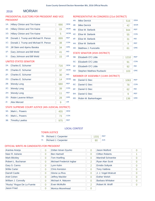#### MORIAH 2016

# PRESIDENTIAL ELECTORS FOR PRESIDENT AND VICE PRESIDENT

# REPRESENTATIVE IN CONGRESS (21st DISTRICT)

| $1A$ : | Hillary Clinton and Tim Kaine        | 666 | <b>DEM</b> |
|--------|--------------------------------------|-----|------------|
| $1E$ : | Hillary Clinton and Tim Kaine        | 15  | <b>WOR</b> |
| $1G$ : | <b>Hillary Clinton and Tim Kaine</b> | 5   | <b>WOM</b> |
| 1B:    | Donald J. Trump and Michael R. Pence | 899 | <b>REP</b> |
| 1C:    | Donald J. Trump and Michael R. Pence | 38  | <b>CON</b> |
| $1D$ : | Jill Stein and Ajamu Baraka          | 34  | <b>GRE</b> |
| $1F$ : | Gary Johnson and Bill Weld           | 41  | <b>IND</b> |
| 11:    | Gary Johnson and Bill Weld           | 15  | <b>LIB</b> |
|        | <b>LINITED STATES SENATOR</b>        |     |            |

#### UNITED STATES SENATOR

| $2A$ :                                              | Charles E. Schumer   | 716 | <b>DEM</b> |  |  |
|-----------------------------------------------------|----------------------|-----|------------|--|--|
| 2E:                                                 | Charles E. Schumer   | 37  | <b>WOR</b> |  |  |
| 2F:                                                 | Charles E. Schumer   | 30  | <b>IND</b> |  |  |
| $2G$ :                                              | Charles E. Schumer   | 14  | <b>WOM</b> |  |  |
| 2B:                                                 | <b>Wendy Long</b>    | 680 | <b>REP</b> |  |  |
| $2C$ :                                              | <b>Wendy Long</b>    | 39  | <b>CON</b> |  |  |
| 2H:                                                 | <b>Wendy Long</b>    | 11  | <b>REF</b> |  |  |
| 2D:                                                 | Robin Laverne Wilson | 28  | <b>GRE</b> |  |  |
| $2!$ :                                              | <b>Alex Merced</b>   | 9   | <b>LIB</b> |  |  |
| STATE SHPREME COHRT HISTICE (4th HIDICIAL DISTRICT) |                      |     |            |  |  |

### STATE SUPREME COURT JUSTICE (4th JUDICIAL DISTRICT)

| 3A: Mark L. Powers  | 455 | <b>DEM</b> |
|---------------------|-----|------------|
| 3C: Mark L. Powers  |     | <b>CON</b> |
| 3B: Timothy Lawliss | 975 | <b>RFP</b> |

| 4A:    | <b>Mike Derrick</b>   | 516 | <b>DEM</b> |
|--------|-----------------------|-----|------------|
| 4E:    | <b>Mike Derrick</b>   | 42  | <b>WOR</b> |
| 4B:    | Elise M. Stefanik     | 944 | <b>REP</b> |
| 4C:    | Elise M. Stefanik     | 55  | <b>CON</b> |
| $4F$ : | Elise M. Stefanik     | 31  | <b>IND</b> |
| 4H:    | Elise M. Stefanik     | 9   | <b>REF</b> |
| 4D:    | Matthew J. Funiciello | 61  | <b>GRE</b> |

 $\sim$ 

# STATE SENATOR (45th DISTRICT)

| 5B: | <b>Elizabeth O'C Little</b>  | 1210 | <b>REP</b> |
|-----|------------------------------|------|------------|
|     | 5C: Elizabeth O'C Little     |      | <b>CON</b> |
|     | 5F: Elizabeth O'C Little     |      | <b>IND</b> |
|     | 5D: Stephen Matthew Ruzbacki | 103  | <b>GRE</b> |

# MEMBER OF ASSEMBLY (114th DISTRICT)

| 6B: | Daniel G Stec            | 1063 | <b>REP</b> |
|-----|--------------------------|------|------------|
| 6C: | Daniel G Stec            | 78   | <b>CON</b> |
| 6F: | Daniel G Stec            | 62   | <b>IND</b> |
| 6H: | Daniel G Stec            | g    | <b>REF</b> |
|     | 6D: Robin M. Barkenhagen | 136  | <b>GRE</b> |

# LOCAL CONTEST

# TOWN JUSTICE

|     | 7B: Richard J. Carpenter | 1331 | REP        |
|-----|--------------------------|------|------------|
| 71: | Richard J. Carpenter     | 80   | <b>JUS</b> |

| Arantxa Aranja             | $\overline{0}$ | Zoltan Istvan Gyurko     | $\Omega$ | Jason Mutford           | 0              |
|----------------------------|----------------|--------------------------|----------|-------------------------|----------------|
| Neer R. Asherie            | 0              | <b>Ben Hartnell</b>      | $\Omega$ | <b>Clifton Roberts</b>  |                |
| <b>Mark Blickley</b>       | 0              | <b>Tom Hoefling</b>      | $\Omega$ | Marshall Schoenke       | $\Omega$       |
| Robert L. Buchanan         | 0              | Michael Frederick Ingbar | 2        | <b>Ryan Alan Scott</b>  | $\Omega$       |
| Gary S. Canns              | 0              | Lynn Kahn                | 2        | <b>Emidio Soltysik</b>  | $\overline{0}$ |
| <b>Willie Carter</b>       | $\Omega$       | <b>Chris Keniston</b>    | $\Omega$ | <b>Tony Valdivia</b>    | 0              |
| <b>Darrell Castle</b>      | $\overline{0}$ | Gloria La Riva           | $\Omega$ | J. J. Vogel-Walcutt     | $\Omega$       |
| Ariel Cohen                | 0              | <b>Jeffrey Mackler</b>   | $\Omega$ | <b>Esther Welsh</b>     | $\Omega$       |
| William J. Connolly        | $\Omega$       | Michael A. Maturen       | $\Omega$ | <b>Barbara Whitaker</b> | $\Omega$       |
| "Rocky" Rogue De La Fuente | $\Omega$       | Evan McMullin            | 2        | Robert M. Wolff         | 0              |
| Jason Fried                | $\Omega$       | Monica Moorehead         | $\Omega$ |                         |                |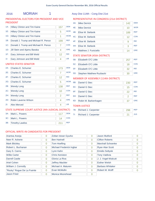# 2016 MORIAH 1 Assy Dist 114th - Cong Dist 21st

# PRESIDENTIAL ELECTORS FOR PRESIDENT AND VICE PRESIDENT

| $1A$ :         | <b>Hillary Clinton and Tim Kaine</b> | 157 | <b>DEM</b> |
|----------------|--------------------------------------|-----|------------|
| 1E:            | <b>Hillary Clinton and Tim Kaine</b> | 5   | <b>WOR</b> |
| $1G$ :         | <b>Hillary Clinton and Tim Kaine</b> | 1   | <b>WOM</b> |
| 1B:            | Donald J. Trump and Michael R. Pence | 199 | <b>REP</b> |
| $1C$ :         | Donald J. Trump and Michael R. Pence | 7   | <b>CON</b> |
| 1D:            | Jill Stein and Ajamu Baraka          | 4   | GRF        |
| $1F$ :         | Gary Johnson and Bill Weld           | 12  | <b>IND</b> |
| 1 <sub>1</sub> | Gary Johnson and Bill Weld           | 4   | <b>LIB</b> |

# UNITED STATES SENATOR

| $2A$ : | Charles E. Schumer                                  | 173 | <b>DEM</b> |
|--------|-----------------------------------------------------|-----|------------|
| 2E:    | Charles E. Schumer                                  | 7   | <b>WOR</b> |
| 2F:    | Charles E. Schumer                                  | 12  | <b>IND</b> |
| $2G$ : | Charles E. Schumer                                  | 5   | <b>WOM</b> |
| 2B:    | <b>Wendy Long</b>                                   | 138 | <b>REP</b> |
| $2C$ : | <b>Wendy Long</b>                                   | 10  | <b>CON</b> |
| 2H:    | <b>Wendy Long</b>                                   | 2   | <b>REF</b> |
| 2D:    | Robin Laverne Wilson                                | 4   | <b>GRE</b> |
| $2!$ : | Alex Merced                                         | 4   | <b>LIB</b> |
|        | STATE SUPREME COURT JUSTICE (4th JUDICIAL DISTRICT) |     |            |
| $3A$ : | Mark L. Powers                                      | 117 | <b>DEM</b> |
| 3C:    | Mark L. Powers                                      | 14  | <b>CON</b> |

3B: Timothy Lawliss 211 REP

# REPRESENTATIVE IN CONGRESS (21st DISTRICT)

| 4A:    | <b>Mike Derrick</b>                  | 142 | <b>DEM</b> |
|--------|--------------------------------------|-----|------------|
| 4E:    | <b>Mike Derrick</b>                  | 10  | <b>WOR</b> |
| 4B:    | Elise M. Stefanik                    | 189 | <b>REP</b> |
| 4C:    | Elise M. Stefanik                    | 12  | <b>CON</b> |
| 4F:    | Elise M. Stefanik                    | 9   | <b>IND</b> |
| 4H:    | Elise M. Stefanik                    | 3   | <b>REF</b> |
| 4D:    | Matthew J. Funiciello                | 14  | <b>GRE</b> |
|        | <b>STATE SENATOR (45th DISTRICT)</b> |     |            |
| 5B:    | Elizabeth O'C Little                 | 257 | <b>REP</b> |
| $5C$ : | Elizabeth O'C Little                 | 18  | <b>CON</b> |
| 5F:    | Elizabeth O'C Little                 | 32  | <b>IND</b> |
| 5D:    | <b>Stephen Matthew Ruzbacki</b>      | 30  | <b>GRE</b> |
|        | MEMBER OF ASSEMBLY (114th DISTRICT)  |     |            |
| 6B:    | Daniel G Stec                        | 230 | <b>REP</b> |
| 6C:    | Daniel G Stec                        | 15  | <b>CON</b> |
| 6F:    | Daniel G Stec                        | 22  | <b>IND</b> |
| 6H:    | Daniel G Stec                        | 2   | <b>REF</b> |
| 6D:    | Robin M. Barkenhagen                 | 37  | <b>GRE</b> |
|        | <b>TOWN JUSTICE</b>                  |     |            |
| 7B:    | Richard J. Carpenter                 | 298 | <b>REP</b> |

7I: Richard J. Carpenter 21 JUS

| Arantxa Aranja             | $\overline{0}$ | Zoltan Istvan Gyurko     | $\Omega$ | Jason Mutford            | $\Omega$ |
|----------------------------|----------------|--------------------------|----------|--------------------------|----------|
| Neer R. Asherie            | $\overline{0}$ | <b>Ben Hartnell</b>      | $\Omega$ | <b>Clifton Roberts</b>   | 0        |
| <b>Mark Blickley</b>       | $\overline{0}$ | <b>Tom Hoefling</b>      | $\Omega$ | <b>Marshall Schoenke</b> | $\Omega$ |
| Robert L. Buchanan         | $\overline{0}$ | Michael Frederick Ingbar | $\Omega$ | <b>Ryan Alan Scott</b>   | $\Omega$ |
| Gary S. Canns              | $\overline{0}$ | Lynn Kahn                | $\Omega$ | <b>Emidio Soltysik</b>   | $\Omega$ |
| <b>Willie Carter</b>       | $\Omega$       | <b>Chris Keniston</b>    | $\Omega$ | <b>Tony Valdivia</b>     | $\Omega$ |
| <b>Darrell Castle</b>      | $\overline{0}$ | Gloria La Riva           | $\Omega$ | J. J. Vogel-Walcutt      | $\Omega$ |
| Ariel Cohen                | $\overline{0}$ | <b>Jeffrey Mackler</b>   | $\Omega$ | <b>Esther Welsh</b>      | $\Omega$ |
| William J. Connolly        | $\Omega$       | Michael A. Maturen       | $\Omega$ | <b>Barbara Whitaker</b>  | $\Omega$ |
| "Rocky" Rogue De La Fuente | $\Omega$       | Evan McMullin            | $\Omega$ | Robert M. Wolff          |          |
| <b>Jason Fried</b>         | 0              | Monica Moorehead         | $\Omega$ |                          |          |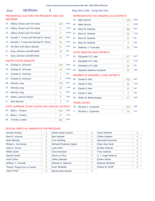# 2016 MORIAH 2 Assy Dist 114th - Cong Dist 21st

# PRESIDENTIAL ELECTORS FOR PRESIDENT AND VICE PRESIDENT

| $1A$ : | <b>Hillary Clinton and Tim Kaine</b> | 228 | <b>DEM</b> |
|--------|--------------------------------------|-----|------------|
| 1E:    | <b>Hillary Clinton and Tim Kaine</b> | 5   | <b>WOR</b> |
| $1G$ : | Hillary Clinton and Tim Kaine        | 2   | <b>WOM</b> |
| 1B:    | Donald J. Trump and Michael R. Pence | 345 | <b>REP</b> |
| 1C:    | Donald J. Trump and Michael R. Pence | 18  | <b>CON</b> |
| 1D:    | Jill Stein and Ajamu Baraka          | 11  | <b>GRE</b> |
| 1F:    | Gary Johnson and Bill Weld           | 16  | <b>IND</b> |
| 11:    | Gary Johnson and Bill Weld           | 6   | <b>LIB</b> |

# UNITED STATES SENATOR

| 2A     | Charles E. Schumer                                  | 249            | <b>DEM</b> |
|--------|-----------------------------------------------------|----------------|------------|
| 2E:    | Charles E. Schumer                                  | 14             | <b>WOR</b> |
| 2F:    | Charles E. Schumer                                  | 7              | <b>IND</b> |
| $2G$ : | Charles E. Schumer                                  | 3              | <b>WOM</b> |
| 2B:    | <b>Wendy Long</b>                                   | 278            | <b>REP</b> |
| 2C:    | <b>Wendy Long</b>                                   | 18             | <b>CON</b> |
| 2H:    | <b>Wendy Long</b>                                   | 4              | <b>REF</b> |
| $2D$ : | Robin Laverne Wilson                                | 9              | <b>GRE</b> |
| 2!     | Alex Merced                                         | $\overline{2}$ | <b>LIB</b> |
|        | STATE SUPREME COURT JUSTICE (4th JUDICIAL DISTRICT) |                |            |
| $3A$ : | Mark L. Powers                                      | 153            | <b>DEM</b> |
| 3C:    | Mark L. Powers                                      | 27             | <b>CON</b> |
| 3B:    | <b>Timothy Lawliss</b>                              | 383            | <b>REP</b> |

# REPRESENTATIVE IN CONGRESS (21st DISTRICT)

| 4A: | <b>Mike Derrick</b>   | 166 | <b>DEM</b> |
|-----|-----------------------|-----|------------|
| 4E: | <b>Mike Derrick</b>   | 17  | <b>WOR</b> |
| 4B: | Elise M. Stefanik     | 390 | <b>RFP</b> |
| 4C: | Elise M. Stefanik     | 20  | <b>CON</b> |
| 4F: | Elise M. Stefanik     | 12  | <b>IND</b> |
| 4H: | Elise M. Stefanik     | 3   | <b>REF</b> |
| 4D: | Matthew J. Funiciello | 23  | <b>GRE</b> |

# STATE SENATOR (45th DISTRICT)

| 5B: Elizabeth O'C Little     |    | <b>RFP</b> |
|------------------------------|----|------------|
| 5C: Elizabeth O'C Little     |    | <b>CON</b> |
| 5F: Elizabeth O'C Little     | 34 | <b>IND</b> |
| 5D: Stephen Matthew Ruzbacki |    | <b>GRF</b> |

# MEMBER OF ASSEMBLY (114th DISTRICT)

| 6B: | Daniel G Stec        | 416 | <b>REP</b> |
|-----|----------------------|-----|------------|
|     | 6C: Daniel G Stec    | 36  | <b>CON</b> |
| 6F: | Daniel G Stec        | 22  | <b>IND</b> |
| 6H: | Daniel G Stec        |     | <b>REF</b> |
| 6D: | Robin M. Barkenhagen |     | <b>GRE</b> |

# TOWN JUSTICE

|    | 7B: Richard J. Carpenter | 516 |  |
|----|--------------------------|-----|--|
| 7! | Richard J. Carpenter     |     |  |

| Arantxa Aranja             | 0              | Zoltan Istvan Gyurko     | 0        | Jason Mutford           | O              |
|----------------------------|----------------|--------------------------|----------|-------------------------|----------------|
| Neer R. Asherie            | 0              | <b>Ben Hartnell</b>      | 0        | <b>Clifton Roberts</b>  | $\overline{0}$ |
| <b>Mark Blickley</b>       | 0              | <b>Tom Hoefling</b>      | 0        | Marshall Schoenke       | 0              |
| Robert L. Buchanan         | $\overline{0}$ | Michael Frederick Ingbar | $\Omega$ | <b>Ryan Alan Scott</b>  | Ω              |
| Gary S. Canns              | 0              | Lynn Kahn                | 2        | <b>Emidio Soltysik</b>  | 0              |
| <b>Willie Carter</b>       | 0              | <b>Chris Keniston</b>    | 0        | <b>Tony Valdivia</b>    | 0              |
| Darrell Castle             | $\overline{0}$ | Gloria La Riva           | $\Omega$ | J. J. Vogel-Walcutt     | O              |
| Ariel Cohen                | $\overline{0}$ | <b>Jeffrey Mackler</b>   | $\Omega$ | <b>Esther Welsh</b>     | 0              |
| William J. Connolly        | 0              | Michael A. Maturen       | $\Omega$ | <b>Barbara Whitaker</b> | 0              |
| "Rocky" Rogue De La Fuente | $\Omega$       | Evan McMullin            | 2        | Robert M. Wolff         |                |
| <b>Jason Fried</b>         | 0              | Monica Moorehead         | 0        |                         |                |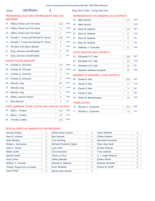# 2016 MORIAH 3 Assy Dist 114th - Cong Dist 21st

# PRESIDENTIAL ELECTORS FOR PRESIDENT AND VICE PRESIDENT

| $1A$ : | Hillary Clinton and Tim Kaine        | 156 | <b>DFM</b> |
|--------|--------------------------------------|-----|------------|
| $1E$ : | Hillary Clinton and Tim Kaine        | O   | <b>WOR</b> |
| $1G$ : | Hillary Clinton and Tim Kaine        | 1   | <b>WOM</b> |
| 1B:    | Donald J. Trump and Michael R. Pence | 230 | <b>REP</b> |
| $1C$ : | Donald J. Trump and Michael R. Pence | 9   | <b>CON</b> |
| 1D:    | Jill Stein and Ajamu Baraka          | 7   | <b>GRE</b> |
| 1F:    | Gary Johnson and Bill Weld           | 5   | <b>IND</b> |
| 11:    | Gary Johnson and Bill Weld           | 4   | <b>LIB</b> |

# UNITED STATES SENATOR

| $2A^+$ | Charles E. Schumer                                  | 176 | <b>DFM</b> |
|--------|-----------------------------------------------------|-----|------------|
| 2E:    | Charles E. Schumer                                  | 10  | <b>WOR</b> |
| 2F:    | Charles E. Schumer                                  | 7   | <b>IND</b> |
| $2G$ : | Charles E. Schumer                                  | 3   | <b>WOM</b> |
| 2B:    | <b>Wendy Long</b>                                   | 161 | <b>REP</b> |
| $2C$ : | <b>Wendy Long</b>                                   | 5   | <b>CON</b> |
| 2H:    | <b>Wendy Long</b>                                   | 3   | <b>REF</b> |
| 2D:    | Robin Laverne Wilson                                | 6   | <b>GRE</b> |
| 2!     | Alex Merced                                         | 3   | <b>LIB</b> |
|        | STATE SUPREME COURT JUSTICE (4th JUDICIAL DISTRICT) |     |            |
| $3A$ : | Mark L. Powers                                      | 105 | <b>DEM</b> |
| $3C$ : | Mark L. Powers                                      | 22  | <b>CON</b> |
| 3B:    | <b>Timothy Lawliss</b>                              | 228 | <b>REP</b> |

# REPRESENTATIVE IN CONGRESS (21st DISTRICT)

| 4A: | <b>Mike Derrick</b>   | 121 | DEM        |
|-----|-----------------------|-----|------------|
| 4E: | <b>Mike Derrick</b>   |     | <b>WOR</b> |
| 4B: | Elise M. Stefanik     | 219 | <b>REP</b> |
| 4C: | Elise M. Stefanik     | 17  | <b>CON</b> |
| 4F: | Elise M. Stefanik     | 6   | <b>IND</b> |
| 4H: | Elise M. Stefanik     |     | <b>REF</b> |
| 4D: | Matthew J. Funiciello |     | <b>GRE</b> |

# STATE SENATOR (45th DISTRICT)

| 5B: Elizabeth O'C Little     | 289 | <b>RFP</b> |
|------------------------------|-----|------------|
| 5C: Elizabeth O'C Little     | 15  | <b>CON</b> |
| 5F: Elizabeth O'C Little     | 15  | <b>IND</b> |
| 5D: Stephen Matthew Ruzbacki |     | <b>GRF</b> |

# MEMBER OF ASSEMBLY (114th DISTRICT)

| 6B: | Daniel G Stec        | 254 | <b>REP</b> |
|-----|----------------------|-----|------------|
|     | 6C: Daniel G Stec    | 17  | <b>CON</b> |
| 6F: | Daniel G Stec        |     | <b>IND</b> |
| 6H: | Daniel G Stec        |     | <b>REF</b> |
| 6D: | Robin M. Barkenhagen | 25  | <b>GRE</b> |

# TOWN JUSTICE

|    | 7B: Richard J. Carpenter |  |
|----|--------------------------|--|
| 7! | Richard J. Carpenter     |  |

| Arantxa Aranja             | 0 | Zoltan Istvan Gyurko     | 0              | Jason Mutford           | 0              |
|----------------------------|---|--------------------------|----------------|-------------------------|----------------|
| Neer R. Asherie            | 0 | <b>Ben Hartnell</b>      | 0              | <b>Clifton Roberts</b>  |                |
| <b>Mark Blickley</b>       | 0 | <b>Tom Hoefling</b>      | 0              | Marshall Schoenke       | 0              |
| Robert L. Buchanan         | 0 | Michael Frederick Ingbar | 0              | <b>Ryan Alan Scott</b>  | 0              |
| Gary S. Canns              | 0 | Lynn Kahn                | $\overline{0}$ | <b>Emidio Soltysik</b>  | $\overline{0}$ |
| <b>Willie Carter</b>       | 0 | <b>Chris Keniston</b>    | 0              | <b>Tony Valdivia</b>    | 0              |
| Darrell Castle             | 0 | Gloria La Riva           | $\Omega$       | J. J. Vogel-Walcutt     | O              |
| Ariel Cohen                | 0 | <b>Jeffrey Mackler</b>   | 0              | <b>Esther Welsh</b>     | 0              |
| William J. Connolly        | 0 | Michael A. Maturen       | 0              | <b>Barbara Whitaker</b> | 0              |
| "Rocky" Rogue De La Fuente | 0 | Evan McMullin            | $\Omega$       | Robert M. Wolff         |                |
| <b>Jason Fried</b>         | 0 | Monica Moorehead         | 0              |                         |                |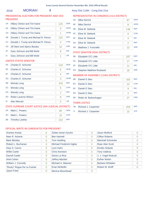# 2016 MORIAH 4 Assy Dist 114th - Cong Dist 21st

# PRESIDENTIAL ELECTORS FOR PRESIDENT AND VICE PRESIDENT

| $1A$ : | <b>Hillary Clinton and Tim Kaine</b> | 125 | <b>DEM</b> |
|--------|--------------------------------------|-----|------------|
| 1E:    | Hillary Clinton and Tim Kaine        | 5   | <b>WOR</b> |
| 1G:    | Hillary Clinton and Tim Kaine        | 1   | <b>WOM</b> |
| 1B:    | Donald J. Trump and Michael R. Pence | 125 | <b>REP</b> |
| 1C:    | Donald J. Trump and Michael R. Pence | 4   | <b>CON</b> |
| $1D$ : | Jill Stein and Ajamu Baraka          | 12  | GRF        |
| 1F:    | Gary Johnson and Bill Weld           | 8   | <b>IND</b> |
| 11:    | Gary Johnson and Bill Weld           | 1   | <b>LIB</b> |

# UNITED STATES SENATOR

| $2A$ : | Charles E. Schumer                                  | 118 | <b>DFM</b> |
|--------|-----------------------------------------------------|-----|------------|
| 2E:    | Charles E. Schumer                                  | 6   | <b>WOR</b> |
| 2F:    | Charles E. Schumer                                  | 4   | <b>IND</b> |
| $2G$ : | Charles E. Schumer                                  | 3   | <b>WOM</b> |
| 2B:    | <b>Wendy Long</b>                                   | 103 | <b>REP</b> |
| $2C$ : | <b>Wendy Long</b>                                   | 6   | <b>CON</b> |
| 2H:    | <b>Wendy Long</b>                                   | 2   | <b>REF</b> |
| 2D:    | Robin Laverne Wilson                                | 9   | <b>GRE</b> |
| 2!     | <b>Alex Merced</b>                                  | 0   | <b>LIB</b> |
|        | STATE SUPREME COURT JUSTICE (4th JUDICIAL DISTRICT) |     |            |
| $3A$ : | Mark L. Powers                                      | 80  | <b>DFM</b> |
| $3C$ : | Mark L. Powers                                      | 10  | <b>CON</b> |
| 3B:    | <b>Timothy Lawliss</b>                              | 153 | <b>REP</b> |

# REPRESENTATIVE IN CONGRESS (21st DISTRICT)

| 4A:    | <b>Mike Derrick</b>   | 87  | <b>DEM</b> |
|--------|-----------------------|-----|------------|
| 4E:    | <b>Mike Derrick</b>   | 8   | <b>WOR</b> |
| 4B:    | Elise M. Stefanik     | 146 | <b>RFP</b> |
| $4C$ : | Elise M. Stefanik     | 6   | <b>CON</b> |
| 4F:    | Elise M. Stefanik     | 4   | <b>IND</b> |
| 4H:    | Elise M. Stefanik     | 2   | <b>REF</b> |
| 4D:    | Matthew J. Funiciello | 13  | <b>GRE</b> |

# STATE SENATOR (45th DISTRICT)

| 5B: Elizabeth O'C Little     | 187 | <b>REP</b> |
|------------------------------|-----|------------|
| 5C: Elizabeth O'C Little     |     | <b>CON</b> |
| 5F: Elizabeth O'C Little     |     | <b>IND</b> |
| 5D: Stephen Matthew Ruzbacki |     | <b>GRF</b> |

# MEMBER OF ASSEMBLY (114th DISTRICT)

| 6B: | Daniel G Stec        | 163 | <b>REP</b> |
|-----|----------------------|-----|------------|
|     | 6C: Daniel G Stec    | 10  | <b>CON</b> |
| 6F: | Daniel G Stec        |     | <b>IND</b> |
| 6H: | Daniel G Stec        |     | <b>REF</b> |
| 6D: | Robin M. Barkenhagen | 27  | <b>GRE</b> |

# TOWN JUSTICE

|    | 7B: Richard J. Carpenter |  |
|----|--------------------------|--|
| 7! | Richard J. Carpenter     |  |

| Arantxa Aranja             | 0              | Zoltan Istvan Gyurko     | 0        | Jason Mutford           | O |
|----------------------------|----------------|--------------------------|----------|-------------------------|---|
| Neer R. Asherie            | 0              | <b>Ben Hartnell</b>      | 0        | <b>Clifton Roberts</b>  | 0 |
| <b>Mark Blickley</b>       | 0              | <b>Tom Hoefling</b>      | 0        | Marshall Schoenke       | 0 |
| Robert L. Buchanan         | $\overline{0}$ | Michael Frederick Ingbar | 2        | <b>Ryan Alan Scott</b>  | Ω |
| Gary S. Canns              | 0              | Lynn Kahn                | $\Omega$ | <b>Emidio Soltysik</b>  | 0 |
| <b>Willie Carter</b>       | 0              | <b>Chris Keniston</b>    | 0        | <b>Tony Valdivia</b>    | 0 |
| Darrell Castle             | $\overline{0}$ | Gloria La Riva           | $\Omega$ | J. J. Vogel-Walcutt     | O |
| Ariel Cohen                | $\overline{0}$ | <b>Jeffrey Mackler</b>   | $\Omega$ | <b>Esther Welsh</b>     | 0 |
| William J. Connolly        | 0              | Michael A. Maturen       | $\Omega$ | <b>Barbara Whitaker</b> | 0 |
| "Rocky" Rogue De La Fuente | $\Omega$       | Evan McMullin            | $\Omega$ | Robert M. Wolff         |   |
| <b>Jason Fried</b>         | 0              | Monica Moorehead         | 0        |                         |   |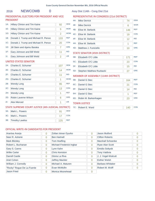# 2016 **NEWCOMB** 0 **Assy Dist 114th - Cong Dist 21st**

# PRESIDENTIAL ELECTORS FOR PRESIDENT AND VICE PRESIDENT

# REPRESENTATIVE IN CONGRESS (21st DISTRICT) 4A: Mike Derrick 74

4B: Elise M. Stefanik 146

4E: Mike Derrick 6

4C: Elise M. Stefanik 19

| $1A$ : | <b>Hillary Clinton and Tim Kaine</b> | 92  | <b>DEM</b> |
|--------|--------------------------------------|-----|------------|
| $1E$ : | Hillary Clinton and Tim Kaine        | 5   | <b>WOR</b> |
| $1G$ : | Hillary Clinton and Tim Kaine        | 2   | <b>WOM</b> |
| 1B:    | Donald J. Trump and Michael R. Pence | 133 | <b>REP</b> |
| 1C:    | Donald J. Trump and Michael R. Pence | 20  | <b>CON</b> |
| 1D:    | Jill Stein and Ajamu Baraka          | 7   | <b>GRE</b> |
| 1F:    | Gary Johnson and Bill Weld           | 11  | <b>IND</b> |
| 11:    | Gary Johnson and Bill Weld           | 2   | <b>LIB</b> |
|        | <b>IINITED CTATEC CENATOD</b>        |     |            |

#### UNITED STATES SENATOR

| $2A$ : | Charles E. Schumer                                  | 107 | <b>DEM</b> |
|--------|-----------------------------------------------------|-----|------------|
| 2E:    | Charles E. Schumer                                  | 14  | <b>WOR</b> |
| 2F:    | Charles E. Schumer                                  | 11  | <b>IND</b> |
| $2G$ : | Charles E. Schumer                                  | 1   | <b>WOM</b> |
| 2B:    | <b>Wendy Long</b>                                   | 95  | <b>REP</b> |
| $2C$ : | <b>Wendy Long</b>                                   | 13  | <b>CON</b> |
| 2H:    | <b>Wendy Long</b>                                   | 1   | <b>REF</b> |
| 2D:    | Robin Laverne Wilson                                | 6   | <b>GRE</b> |
| 2!     | Alex Merced                                         | 1   | <b>LIB</b> |
|        | STATE SUPREME COURT JUSTICE (4th JUDICIAL DISTRICT) |     |            |
| $3A$ : | Mark L. Powers                                      | 91  | <b>DEM</b> |

| 4F: 1 | Elise M. Stefanik               | 12  | <b>IND</b> |
|-------|---------------------------------|-----|------------|
| 4H:   | Elise M. Stefanik               | 1   | <b>REF</b> |
| 4D:   | Matthew J. Funiciello           | 10  | <b>GRE</b> |
|       | STATE SENATOR (45th DISTRICT)   |     |            |
| 5B:   | Elizabeth O'C Little            | 171 | <b>REP</b> |
| 5C:   | Elizabeth O'C Little            | 23  | <b>CON</b> |
| 5F:   | Elizabeth O'C Little            | 15  | <b>IND</b> |
| 5D:   | <b>Stephen Matthew Ruzbacki</b> | 27  | <b>GRE</b> |
|       |                                 |     |            |

# MEMBER OF ASSEMBLY (114th DISTRICT)

| 6B: | Daniel G Stec            | 164 | <b>REP</b> |
|-----|--------------------------|-----|------------|
| 6C: | Daniel G Stec            | 21  | <b>CON</b> |
| 6F: | Daniel G Stec            | 14  | <b>IND</b> |
| 6H: | Daniel G Stec            |     | <b>REF</b> |
|     | 6D: Robin M. Barkenhagen | 23  | <b>GRE</b> |
|     |                          |     |            |

## TOWN JUSTICE

7C: Robert E. Ward 140 CON

DEM

WOR

REP

**CON** 

#### OFFICIAL WRITE-IN CANDIDATES FOR PRESIDENT

3B: Timothy Lawliss 125 REP 3C: Mark L. Powers 17 CON

| Arantxa Aranja             | 0 | Zoltan Istvan Gyurko     | 0        | Jason Mutford           | 0 |
|----------------------------|---|--------------------------|----------|-------------------------|---|
| Neer R. Asherie            | 0 | <b>Ben Hartnell</b>      | 0        | <b>Clifton Roberts</b>  | 0 |
| <b>Mark Blickley</b>       | 0 | <b>Tom Hoefling</b>      | 0        | Marshall Schoenke       | 0 |
| Robert L. Buchanan         | 0 | Michael Frederick Ingbar | $\Omega$ | <b>Ryan Alan Scott</b>  | 0 |
| Gary S. Canns              | 0 | Lynn Kahn                | 0        | <b>Emidio Soltysik</b>  | 0 |
| <b>Willie Carter</b>       | 0 | <b>Chris Keniston</b>    | 0        | <b>Tony Valdivia</b>    | 0 |
| Darrell Castle             | 0 | Gloria La Riva           | 0        | J. J. Vogel-Walcutt     | 0 |
| Ariel Cohen                | 0 | <b>Jeffrey Mackler</b>   | $\Omega$ | <b>Esther Welsh</b>     | 0 |
| William J. Connolly        | 0 | Michael A. Maturen       | 0        | <b>Barbara Whitaker</b> | 0 |
| "Rocky" Rogue De La Fuente | 0 | Evan McMullin            | $\Omega$ | Robert M. Wolff         | 0 |
| <b>Jason Fried</b>         | 0 | Monica Moorehead         | $\Omega$ |                         |   |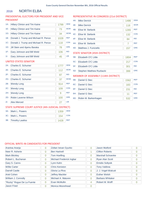#### NORTH ELBA 2016

# PRESIDENTIAL ELECTORS FOR PRESIDENT AND VICE PRESIDENT

| $1A$ : | Hillary Clinton and Tim Kaine        | 1799 | <b>DEM</b> |
|--------|--------------------------------------|------|------------|
| $1E$ : | Hillary Clinton and Tim Kaine        | 73   | <b>WOR</b> |
| $1G$ : | <b>Hillary Clinton and Tim Kaine</b> | 34   | <b>WOM</b> |
| 1B:    | Donald J. Trump and Michael R. Pence | 1028 | <b>REP</b> |
| 1C:    | Donald J. Trump and Michael R. Pence | 118  | <b>CON</b> |
| $1D$ : | Jill Stein and Ajamu Baraka          | 78   | <b>GRE</b> |
| $1F$ : | Gary Johnson and Bill Weld           | 106  | <b>IND</b> |
| 11:    | Gary Johnson and Bill Weld           | 45   | <b>LIB</b> |
|        | UNITED STATES SENATOR                |      |            |
| $2A$ : | Charles E. Schumer                   | 1777 | <b>DEM</b> |

| $2F^+$ | Charles E. Schumer   | 112 | <b>WOR</b> |
|--------|----------------------|-----|------------|
| $2F^+$ | Charles E. Schumer   | 87  | <b>IND</b> |
| $2G$ : | Charles E. Schumer   | 37  | <b>WOM</b> |
| 2B:    | <b>Wendy Long</b>    | 914 | <b>RFP</b> |
| $2C$ : | <b>Wendy Long</b>    | 109 | <b>CON</b> |
| 2H:    | <b>Wendy Long</b>    | 9   | <b>REF</b> |
| 2D:    | Robin Laverne Wilson | 100 | <b>GRE</b> |
| $21$ : | Alex Merced          | 27  | <b>LIB</b> |
|        |                      |     |            |

# STATE SUPREME COURT JUSTICE (4th JUDICIAL DISTRICT)

| 3A: Mark L. Powers  | 1359 | <b>DEM</b> |
|---------------------|------|------------|
| 3C: Mark L. Powers  | 154  | <b>CON</b> |
| 3B: Timothy Lawliss | 1428 | <b>RFP</b> |

# REPRESENTATIVE IN CONGRESS (21st DISTRICT)

| 4A: | <b>Mike Derrick</b>   | 1486 | <b>DEM</b> |
|-----|-----------------------|------|------------|
| 4E: | <b>Mike Derrick</b>   | 118  | <b>WOR</b> |
| 4B: | Elise M. Stefanik     | 1265 | <b>REP</b> |
| 4C: | Elise M. Stefanik     | 132  | <b>CON</b> |
| 4F: | Elise M. Stefanik     | 84   | <b>IND</b> |
| 4H: | Elise M. Stefanik     |      | <b>REF</b> |
| 4D: | Matthew J. Funiciello | 157  | <b>GRE</b> |

# STATE SENATOR (45th DISTRICT)

| 5B: Elizabeth O'C Little     | 1804 | <b>RFP</b> |
|------------------------------|------|------------|
| 5C: Elizabeth O'C Little     | 217  | <b>CON</b> |
| 5F: Elizabeth O'C Little     | 301  | <b>IND</b> |
| 5D: Stephen Matthew Ruzbacki |      | <b>GRF</b> |

# MEMBER OF ASSEMBLY (114th DISTRICT)

| 6B: | Daniel G Stec            | 1562 | <b>REP</b> |
|-----|--------------------------|------|------------|
|     | 6C: Daniel G Stec        | 183  | <b>CON</b> |
|     | 6F: Daniel G Stec        | 231  | <b>IND</b> |
|     | 6H: Daniel G Stec        | 11   | <b>REF</b> |
|     | 6D: Robin M. Barkenhagen | 532  | <b>GRE</b> |

| Arantxa Aranja             | $\overline{0}$ | Zoltan Istvan Gyurko     | 0              | Jason Mutford            | 0 |
|----------------------------|----------------|--------------------------|----------------|--------------------------|---|
| Neer R. Asherie            | $\overline{0}$ | <b>Ben Hartnell</b>      |                | <b>Clifton Roberts</b>   | 0 |
| <b>Mark Blickley</b>       | $\overline{0}$ | Tom Hoefling             | $\Omega$       | <b>Marshall Schoenke</b> | 0 |
| Robert L. Buchanan         | $\overline{0}$ | Michael Frederick Ingbar | $\Omega$       | Ryan Alan Scott          | 0 |
| Gary S. Canns              | $\overline{0}$ | Lynn Kahn                | $\Omega$       | <b>Emidio Soltysik</b>   | 0 |
| <b>Willie Carter</b>       | $\overline{0}$ | <b>Chris Keniston</b>    | $\overline{0}$ | <b>Tony Valdivia</b>     | 0 |
| <b>Darrell Castle</b>      | $\overline{0}$ | Gloria La Riva           | $\Omega$       | J. J. Vogel-Walcutt      | 0 |
| Ariel Cohen                | $\overline{0}$ | <b>Jeffrey Mackler</b>   | $\Omega$       | <b>Esther Welsh</b>      | 0 |
| William J. Connolly        | $\overline{0}$ | Michael A. Maturen       | $\Omega$       | <b>Barbara Whitaker</b>  | 0 |
| "Rocky" Rogue De La Fuente | $\overline{0}$ | Evan McMullin            | 4              | Robert M. Wolff          | 0 |
| Jason Fried                | $\overline{0}$ | <b>Monica Moorehead</b>  | 0              |                          |   |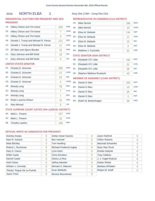# 2016 NORTH ELBA 1 Assy Dist 114th - Cong Dist 21st

# PRESIDENTIAL ELECTORS FOR PRESIDENT AND VICE PRESIDENT

| $1A$ :         | Hillary Clinton and Tim Kaine        | 203 | <b>DEM</b> |
|----------------|--------------------------------------|-----|------------|
| $1E$ :         | <b>Hillary Clinton and Tim Kaine</b> | 7   | <b>WOR</b> |
| 1G:            | Hillary Clinton and Tim Kaine        | 3   | <b>WOM</b> |
| 1B:            | Donald J. Trump and Michael R. Pence | 111 | <b>REP</b> |
| 1C:            | Donald J. Trump and Michael R. Pence | 11  | <b>CON</b> |
| 1D:            | Jill Stein and Ajamu Baraka          | 10  | <b>GRE</b> |
| 1F:            | Gary Johnson and Bill Weld           | 18  | <b>IND</b> |
| 1 <sub>1</sub> | Gary Johnson and Bill Weld           | 3   | <b>LIB</b> |

# UNITED STATES SENATOR

| $2A$ : | Charles E. Schumer                                  | 206 | <b>DEM</b> |
|--------|-----------------------------------------------------|-----|------------|
| 2E:    | Charles E. Schumer                                  | 12  | <b>WOR</b> |
| 2F:    | Charles E. Schumer                                  | 10  | <b>IND</b> |
| $2G$ : | Charles E. Schumer                                  | 2   | <b>WOM</b> |
| 2B:    | <b>Wendy Long</b>                                   | 78  | <b>REP</b> |
| $2C$ : | <b>Wendy Long</b>                                   | 7   | <b>CON</b> |
| 2H:    | <b>Wendy Long</b>                                   | 1   | <b>REF</b> |
| 2D:    | Robin Laverne Wilson                                | 14  | <b>GRE</b> |
| $2$ l: | Alex Merced                                         | 5   | <b>LIB</b> |
|        | STATE SUPREME COURT JUSTICE (4th JUDICIAL DISTRICT) |     |            |
| $3A$ : | Mark L. Powers                                      | 157 | <b>DEM</b> |

# REPRESENTATIVE IN CONGRESS (21st DISTRICT)

| 4A: | <b>Mike Derrick</b>                  | 166            | <b>DEM</b> |  |  |
|-----|--------------------------------------|----------------|------------|--|--|
| 4E: | <b>Mike Derrick</b>                  | 10             | <b>WOR</b> |  |  |
| 4B: | Elise M. Stefanik                    | 134            | <b>REP</b> |  |  |
| 4C: | Elise M. Stefanik                    | 11             | <b>CON</b> |  |  |
| 4F: | Elise M. Stefanik                    | 12             | <b>IND</b> |  |  |
| 4H: | Elise M. Stefanik                    | $\overline{2}$ | <b>REF</b> |  |  |
| 4D: | Matthew J. Funiciello                | 21             | <b>GRE</b> |  |  |
|     | <b>STATE SENATOR (45th DISTRICT)</b> |                |            |  |  |

| 5B: Elizabeth O'C Little     | 192 | <b>REP</b> |
|------------------------------|-----|------------|
| 5C: Elizabeth O'C Little     |     | <b>CON</b> |
| 5F: Elizabeth O'C Little     | 36  | <b>IND</b> |
| 5D: Stephen Matthew Ruzbacki |     | <b>GRF</b> |

# MEMBER OF ASSEMBLY (114th DISTRICT)

| 6B: | Daniel G Stec        | 163 | <b>REP</b> |
|-----|----------------------|-----|------------|
|     | 6C: Daniel G Stec    | 13  | <b>CON</b> |
| 6F: | Daniel G Stec        | 25  | <b>IND</b> |
| 6H: | Daniel G Stec        |     | <b>REF</b> |
| 6D: | Robin M. Barkenhagen | 58  | <b>GRE</b> |

# OFFICIAL WRITE-IN CANDIDATES FOR PRESIDENT

3B: Timothy Lawliss 139 REP 3C: Mark L. Powers 15 CON

| Arantxa Aranja             | 0              | Zoltan Istvan Gyurko     | $\Omega$       | <b>Jason Mutford</b>    | $\Omega$ |
|----------------------------|----------------|--------------------------|----------------|-------------------------|----------|
| Neer R. Asherie            | $\Omega$       | <b>Ben Hartnell</b>      | $\overline{0}$ | <b>Clifton Roberts</b>  | 0        |
| <b>Mark Blickley</b>       | $\overline{0}$ | <b>Tom Hoefling</b>      | $\Omega$       | Marshall Schoenke       | $\Omega$ |
| Robert L. Buchanan         | $\overline{0}$ | Michael Frederick Ingbar | $\Omega$       | <b>Ryan Alan Scott</b>  | $\Omega$ |
| Gary S. Canns              | $\overline{0}$ | Lynn Kahn                | $\Omega$       | <b>Emidio Soltysik</b>  | $\Omega$ |
| <b>Willie Carter</b>       | $\Omega$       | <b>Chris Keniston</b>    | $\Omega$       | <b>Tony Valdivia</b>    | $\Omega$ |
| <b>Darrell Castle</b>      | $\overline{0}$ | Gloria La Riva           | $\overline{0}$ | J. J. Vogel-Walcutt     | $\Omega$ |
| Ariel Cohen                | $\overline{0}$ | <b>Jeffrey Mackler</b>   | $\Omega$       | <b>Esther Welsh</b>     | $\Omega$ |
| William J. Connolly        | $\Omega$       | Michael A. Maturen       | $\Omega$       | <b>Barbara Whitaker</b> | $\Omega$ |
| "Rocky" Rogue De La Fuente | $\Omega$       | Evan McMullin            | 2              | Robert M. Wolff         | 0        |
| <b>Jason Fried</b>         | $\Omega$       | Monica Moorehead         | $\Omega$       |                         |          |
|                            |                |                          |                |                         |          |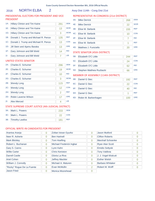# 2016 NORTH ELBA 2 Assy Dist 114th - Cong Dist 21st

# PRESIDENTIAL ELECTORS FOR PRESIDENT AND VICE PRESIDENT

| <b>WOR</b><br>$1E$ :<br><b>Hillary Clinton and Tim Kaine</b><br>13<br><b>WOM</b><br>$1G$ :<br>Hillary Clinton and Tim Kaine<br>3<br><b>RFP</b><br>1B:<br>Donald J. Trump and Michael R. Pence<br>135<br><b>CON</b><br>1C:<br>Donald J. Trump and Michael R. Pence<br>13<br>GRF<br>1D:<br>Jill Stein and Ajamu Baraka<br>13 |
|----------------------------------------------------------------------------------------------------------------------------------------------------------------------------------------------------------------------------------------------------------------------------------------------------------------------------|
|                                                                                                                                                                                                                                                                                                                            |
|                                                                                                                                                                                                                                                                                                                            |
|                                                                                                                                                                                                                                                                                                                            |
|                                                                                                                                                                                                                                                                                                                            |
|                                                                                                                                                                                                                                                                                                                            |
| <b>IND</b><br>$1F$ :<br>Gary Johnson and Bill Weld<br>14                                                                                                                                                                                                                                                                   |
| <b>LIB</b><br>1 <sub>1</sub><br>Gary Johnson and Bill Weld<br>7                                                                                                                                                                                                                                                            |

# UNITED STATES SENATOR

| $2A^2$ | Charles E. Schumer                                  | 296            | <b>DFM</b> |
|--------|-----------------------------------------------------|----------------|------------|
| 2E:    | Charles E. Schumer                                  | 19             | <b>WOR</b> |
| 2F:    | Charles E. Schumer                                  | 10             | <b>IND</b> |
| 2G:    | Charles E. Schumer                                  | 3              | <b>WOM</b> |
| 2B:    | <b>Wendy Long</b>                                   | 115            | <b>REP</b> |
| $2C$ : | <b>Wendy Long</b>                                   | 12             | <b>CON</b> |
| 2H:    | <b>Wendy Long</b>                                   | $\overline{2}$ | <b>REF</b> |
| 2D:    | Robin Laverne Wilson                                | 17             | <b>GRE</b> |
| $21$ : | Alex Merced                                         | 4              | <b>LIB</b> |
|        | STATE SUPREME COURT IUSTICE (4th IUDICIAL DISTRICT) |                |            |

#### STATE SUPREME COURT JUSTICE (4th JUDICIAL DISTRICT)

| 3A: Mark L. Powers  | 233 | <b>DFM</b> |
|---------------------|-----|------------|
| 3C: Mark L. Powers  |     | <b>CON</b> |
| 3B: Timothy Lawliss | 181 | <b>RFP</b> |

# REPRESENTATIVE IN CONGRESS (21st DISTRICT)

| 4A: | <b>Mike Derrick</b>   | 268 | <b>DEM</b> |
|-----|-----------------------|-----|------------|
| 4E: | <b>Mike Derrick</b>   | 22  | <b>WOR</b> |
| 4B: | Elise M. Stefanik     | 155 | <b>REP</b> |
| 4C: | Elise M. Stefanik     | 10  | <b>CON</b> |
| 4F: | Elise M. Stefanik     | 7   | <b>IND</b> |
| 4H: | Elise M. Stefanik     | 1   | <b>REF</b> |
| 4D: | Matthew J. Funiciello | 20  | <b>GRE</b> |

# STATE SENATOR (45th DISTRICT)

| 5B: Elizabeth O'C Little     | 244 | <b>REP</b> |
|------------------------------|-----|------------|
| 5C: Elizabeth O'C Little     | 24  | <b>CON</b> |
| 5F: Elizabeth O'C Little     |     | <b>IND</b> |
| 5D: Stephen Matthew Ruzbacki | ิกค | <b>GRE</b> |

# MEMBER OF ASSEMBLY (114th DISTRICT)

| 6B: | Daniel G Stec        | 192 | <b>REP</b> |
|-----|----------------------|-----|------------|
|     | 6C: Daniel G Stec    | 22  | <b>CON</b> |
| 6F: | Daniel G Stec        | 40  | <b>IND</b> |
| 6H: | Daniel G Stec        |     | <b>REF</b> |
| 6D: | Robin M. Barkenhagen | 100 | <b>GRE</b> |

| Arantxa Aranja             | 0 | Zoltan Istvan Gyurko     | 0              | Jason Mutford          | O        |
|----------------------------|---|--------------------------|----------------|------------------------|----------|
| Neer R. Asherie            | 0 | <b>Ben Hartnell</b>      | 0              | <b>Clifton Roberts</b> | 0        |
| <b>Mark Blickley</b>       | 0 | <b>Tom Hoefling</b>      | $\overline{0}$ | Marshall Schoenke      | 0        |
| Robert L. Buchanan         | 0 | Michael Frederick Ingbar | 0              | <b>Ryan Alan Scott</b> | 0        |
| Gary S. Canns              | 0 | Lynn Kahn                | 0              | <b>Emidio Soltysik</b> | 0        |
| <b>Willie Carter</b>       | 0 | <b>Chris Keniston</b>    | 0              | <b>Tony Valdivia</b>   | 0        |
| Darrell Castle             | 0 | Gloria La Riva           | $\Omega$       | J. J. Vogel-Walcutt    | O        |
| Ariel Cohen                | 0 | <b>Jeffrey Mackler</b>   | 0              | <b>Esther Welsh</b>    | 0        |
| William J. Connolly        | 0 | Michael A. Maturen       | 0              | Barbara Whitaker       | $\Omega$ |
| "Rocky" Rogue De La Fuente | 0 | Evan McMullin            | $\overline{2}$ | Robert M. Wolff        |          |
| Jason Fried                | 0 | Monica Moorehead         | 0              |                        |          |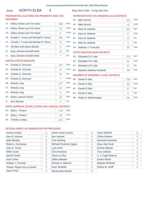# 2016 NORTH ELBA 3 Assy Dist 114th - Cong Dist 21st

# PRESIDENTIAL ELECTORS FOR PRESIDENT AND VICE PRESIDENT

# REPRESENTATIVE IN CONGRESS (21st DISTRICT)

| $1A$ : | <b>Hillary Clinton and Tim Kaine</b> | 246 | <b>DEM</b> |
|--------|--------------------------------------|-----|------------|
| $1E$ : | <b>Hillary Clinton and Tim Kaine</b> | 12  | <b>WOR</b> |
| 1G:    | Hillary Clinton and Tim Kaine        | 5   | <b>WOM</b> |
| 1B:    | Donald J. Trump and Michael R. Pence | 165 | <b>REP</b> |
| 1C:    | Donald J. Trump and Michael R. Pence | 11  | <b>CON</b> |
| 1D:    | Jill Stein and Ajamu Baraka          | 9   | <b>GRE</b> |
| $1F$ : | Gary Johnson and Bill Weld           | 14  | <b>IND</b> |
| 1!:    | Gary Johnson and Bill Weld           | 7   | <b>LIB</b> |
|        |                                      |     |            |

#### UNITED STATES SENATOR

| $2A$ :                      | Charles E. Schumer                                                                                                                                                                                                                        | 243 | <b>DEM</b> |
|-----------------------------|-------------------------------------------------------------------------------------------------------------------------------------------------------------------------------------------------------------------------------------------|-----|------------|
| 2E:                         | Charles E. Schumer                                                                                                                                                                                                                        | 21  | <b>WOR</b> |
| 2F:                         | Charles E. Schumer                                                                                                                                                                                                                        | 18  | <b>IND</b> |
| 2G:                         | Charles E. Schumer                                                                                                                                                                                                                        | 7   | <b>WOM</b> |
| 2B:                         | <b>Wendy Long</b>                                                                                                                                                                                                                         | 127 | <b>REP</b> |
| $2C$ :                      | <b>Wendy Long</b>                                                                                                                                                                                                                         | 13  | <b>CON</b> |
| 2H:                         | <b>Wendy Long</b>                                                                                                                                                                                                                         | 0   | <b>REF</b> |
| 2D:                         | Robin Laverne Wilson                                                                                                                                                                                                                      | 16  | <b>GRE</b> |
| 2!                          | <b>Alex Merced</b>                                                                                                                                                                                                                        | 2   | <b>LIB</b> |
| $\sim$ $\sim$ $\sim$ $\sim$ | $\sigma$ , and the state of the contract of $\sigma$ , and $\sigma$ are a state of the state of the state of the state of the state of the state of the state of the state of the state of the state of the state of the state of the sta |     | $-1$       |

# STATE SUPREME COURT JUSTICE (4th JUDICIAL DISTRICT)

| 3A: Mark L. Powers  | 178 | <b>DEM</b> |
|---------------------|-----|------------|
| 3C: Mark L. Powers  | 16  | <b>CON</b> |
| 3B: Timothy Lawliss | 224 | <b>RFP</b> |

| 181 | <b>DEM</b> |
|-----|------------|
| 19  | <b>WOR</b> |
| 201 | <b>REP</b> |
| 17  | <b>CON</b> |
| 13  | <b>IND</b> |
| 1   | <b>REF</b> |
| 30  | <b>GRE</b> |
|     |            |

# STATE SENATOR (45th DISTRICT)

| 5B: Elizabeth O'C Little     | 273 | <b>REP</b> |
|------------------------------|-----|------------|
| 5C: Elizabeth O'C Little     |     | <b>CON</b> |
| 5F: Elizabeth O'C Little     |     | <b>IND</b> |
| 5D: Stephen Matthew Ruzbacki |     | <b>GRF</b> |

# MEMBER OF ASSEMBLY (114th DISTRICT)

| 6B: | Daniel G Stec        | 238 | <b>REP</b> |
|-----|----------------------|-----|------------|
|     | 6C: Daniel G Stec    | 26  | <b>CON</b> |
| 6F: | Daniel G Stec        | 27  | <b>IND</b> |
| 6H: | Daniel G Stec        |     | <b>REF</b> |
| 6D: | Robin M. Barkenhagen | 66  | <b>GRE</b> |

| Arantxa Aranja             | 0              | Zoltan Istvan Gyurko     | 0              | Jason Mutford           | 0 |
|----------------------------|----------------|--------------------------|----------------|-------------------------|---|
| Neer R. Asherie            | 0              | <b>Ben Hartnell</b>      | 0              | <b>Clifton Roberts</b>  | 0 |
| <b>Mark Blickley</b>       | 0              | <b>Tom Hoefling</b>      | $\overline{0}$ | Marshall Schoenke       | 0 |
| Robert L. Buchanan         | 0              | Michael Frederick Ingbar | 0              | <b>Ryan Alan Scott</b>  | 0 |
| Gary S. Canns              | 0              | Lynn Kahn                | 0              | <b>Emidio Soltysik</b>  | 0 |
| <b>Willie Carter</b>       | 0              | <b>Chris Keniston</b>    | 0              | <b>Tony Valdivia</b>    | 0 |
| Darrell Castle             | $\overline{0}$ | Gloria La Riva           | 0              | J. J. Vogel-Walcutt     | 0 |
| <b>Ariel Cohen</b>         | 0              | <b>Jeffrey Mackler</b>   | 0              | <b>Esther Welsh</b>     | 0 |
| William J. Connolly        | 0              | Michael A. Maturen       | 0              | <b>Barbara Whitaker</b> | 0 |
| "Rocky" Rogue De La Fuente | 0              | Evan McMullin            | 0              | Robert M. Wolff         | 0 |
| <b>Jason Fried</b>         | 0              | Monica Moorehead         | 0              |                         |   |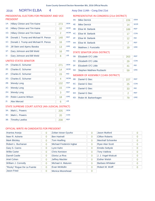# 2016 NORTH ELBA 4 Assy Dist 114th - Cong Dist 21st

# PRESIDENTIAL ELECTORS FOR PRESIDENT AND VICE PRESIDENT

# REPRESENTATIVE IN CONGRESS (21st DISTRICT)

| 1A:    | Hillary Clinton and Tim Kaine        | 273 | <b>DEM</b> |
|--------|--------------------------------------|-----|------------|
| 1E:    | Hillary Clinton and Tim Kaine        | 10  | <b>WOR</b> |
| 1G:    | Hillary Clinton and Tim Kaine        | 2   | <b>WOM</b> |
| 1B:    | Donald J. Trump and Michael R. Pence | 148 | <b>REP</b> |
| 1C:    | Donald J. Trump and Michael R. Pence | 16  | <b>CON</b> |
| 1D:    | Jill Stein and Ajamu Baraka          | 13  | <b>GRE</b> |
| $1F$ : | Gary Johnson and Bill Weld           | 16  | <b>IND</b> |
| 11:    | Gary Johnson and Bill Weld           | 8   | <b>LIB</b> |
|        |                                      |     |            |

### UNITED STATES SENATOR

| $2A^+$ | Charles E. Schumer   | 271 | <b>DEM</b> |
|--------|----------------------|-----|------------|
| $2F^+$ | Charles E. Schumer   | 14  | <b>WOR</b> |
| $2F$ : | Charles E. Schumer   | 15  | <b>IND</b> |
| $2G$ : | Charles E. Schumer   | 4   | <b>WOM</b> |
| 2B:    | <b>Wendy Long</b>    | 132 | <b>REP</b> |
| $2C$ : | <b>Wendy Long</b>    | 15  | <b>CON</b> |
| 2H:    | <b>Wendy Long</b>    | 3   | <b>REF</b> |
| 2D:    | Robin Laverne Wilson | 18  | <b>GRE</b> |
| $2!$ : | <b>Alex Merced</b>   | 6   | <b>LIB</b> |
|        |                      |     |            |

# STATE SUPREME COURT JUSTICE (4th JUDICIAL DISTRICT)

| $3A$ : | Mark L. Powers      | 205 | <b>DEM</b> |
|--------|---------------------|-----|------------|
|        | 3C: Mark L. Powers  |     | <b>CON</b> |
|        | 3B: Timothy Lawliss | 208 | <b>RFP</b> |

| 4A: | <b>Mike Derrick</b>   | 226 | <b>DEM</b> |
|-----|-----------------------|-----|------------|
| 4E: | <b>Mike Derrick</b>   | 14  | <b>WOR</b> |
| 4B: | Elise M. Stefanik     | 189 | <b>REP</b> |
| 4C: | Elise M. Stefanik     | 17  | <b>CON</b> |
| 4F: | Elise M. Stefanik     | 12  | <b>IND</b> |
| 4H: | Elise M. Stefanik     | 2   | <b>REF</b> |
| 4D: | Matthew J. Funiciello | 19  | <b>GRE</b> |

# STATE SENATOR (45th DISTRICT)

| 5B: | Elizabeth O'C Little         | 263 | <b>REP</b> |
|-----|------------------------------|-----|------------|
|     | 5C: Elizabeth O'C Little     | 29  | <b>CON</b> |
|     | 5F: Elizabeth O'C Little     |     | <b>IND</b> |
|     | 5D: Stephen Matthew Ruzbacki |     | <b>GRF</b> |

# MEMBER OF ASSEMBLY (114th DISTRICT)

| 6B: | Daniel G Stec        | 227 | <b>REP</b> |
|-----|----------------------|-----|------------|
|     | 6C: Daniel G Stec    | 25  | <b>CON</b> |
| 6F: | Daniel G Stec        | 33  | <b>IND</b> |
| 6H: | Daniel G Stec        |     | <b>REF</b> |
| 6D: | Robin M. Barkenhagen | 79  | <b>GRE</b> |

| Arantxa Aranja             | 0 | Zoltan Istvan Gyurko     | 0        | Jason Mutford           | 0        |
|----------------------------|---|--------------------------|----------|-------------------------|----------|
| Neer R. Asherie            | 0 | <b>Ben Hartnell</b>      | 0        | <b>Clifton Roberts</b>  | 0        |
| <b>Mark Blickley</b>       | 0 | <b>Tom Hoefling</b>      | 0        | Marshall Schoenke       | 0        |
| Robert L. Buchanan         | 0 | Michael Frederick Ingbar | 0        | Ryan Alan Scott         | Ω        |
| Gary S. Canns              | 0 | Lynn Kahn                | 0        | <b>Emidio Soltysik</b>  | 0        |
| <b>Willie Carter</b>       | 0 | <b>Chris Keniston</b>    | 0        | <b>Tony Valdivia</b>    | 0        |
| Darrell Castle             | 0 | Gloria La Riva           | 0        | J. J. Vogel-Walcutt     | Ω        |
| <b>Ariel Cohen</b>         | 0 | <b>Jeffrey Mackler</b>   | 0        | <b>Esther Welsh</b>     | 0        |
| William J. Connolly        | 0 | Michael A. Maturen       | 0        | <b>Barbara Whitaker</b> | $\Omega$ |
| "Rocky" Rogue De La Fuente | 0 | Evan McMullin            | $\Omega$ | Robert M. Wolff         |          |
| Jason Fried                | 0 | Monica Moorehead         | 0        |                         |          |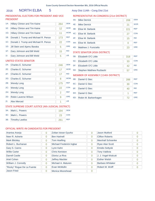# 2016 NORTH ELBA 5 Assy Dist 114th - Cong Dist 21st

# PRESIDENTIAL ELECTORS FOR PRESIDENT AND VICE PRESIDENT

# REPRESENTATIVE IN CONGRESS (21st DISTRICT)

| $1A$ : | <b>Hillary Clinton and Tim Kaine</b> | 264 | <b>DEM</b> |
|--------|--------------------------------------|-----|------------|
| 1E:    | <b>Hillary Clinton and Tim Kaine</b> | 12  | <b>WOR</b> |
| 1G:    | <b>Hillary Clinton and Tim Kaine</b> | 11  | <b>WOM</b> |
| 1B:    | Donald J. Trump and Michael R. Pence | 173 | <b>REP</b> |
| 1C:    | Donald J. Trump and Michael R. Pence | 22  | <b>CON</b> |
| 1D:    | Jill Stein and Ajamu Baraka          | 5   | <b>GRE</b> |
| $1F$ : | Gary Johnson and Bill Weld           | 15  | <b>IND</b> |
| 11:    | Gary Johnson and Bill Weld           | 5   | <b>LIB</b> |
|        | <b>I INIITED CTATEC CENIATOD</b>     |     |            |

#### UNITED STATES SENATOR

| $2A$ : | Charles E. Schumer                                                                                                                                                                                                                                                                                          | 246 | <b>DEM</b> |
|--------|-------------------------------------------------------------------------------------------------------------------------------------------------------------------------------------------------------------------------------------------------------------------------------------------------------------|-----|------------|
| 2E:    | Charles E. Schumer                                                                                                                                                                                                                                                                                          | 17  | <b>WOR</b> |
| 2F:    | Charles E. Schumer                                                                                                                                                                                                                                                                                          | 17  | <b>IND</b> |
| $2G$ : | Charles E. Schumer                                                                                                                                                                                                                                                                                          | 8   | <b>WOM</b> |
| 2B:    | <b>Wendy Long</b>                                                                                                                                                                                                                                                                                           | 175 | <b>REP</b> |
| $2C$ : | <b>Wendy Long</b>                                                                                                                                                                                                                                                                                           | 22  | <b>CON</b> |
| 2H:    | <b>Wendy Long</b>                                                                                                                                                                                                                                                                                           | 2   | <b>REF</b> |
| 2D:    | Robin Laverne Wilson                                                                                                                                                                                                                                                                                        | 9   | <b>GRE</b> |
| 2!     | <b>Alex Merced</b>                                                                                                                                                                                                                                                                                          | 1   | <b>LIB</b> |
|        | $C = \{x \in C :  x  \leq 1,  x  \leq 2,  x  \leq 2,  x  \leq 2,  x  \leq 2,  x  \leq 2,  x  \leq 2,  x  \leq 2,  x  \leq 2,  x  \leq 2,  x  \leq 2,  x  \leq 2,  x  \leq 2,  x  \leq 2,  x  \leq 2,  x  \leq 2,  x  \leq 2,  x  \leq 2,  x  \leq 2,  x  \leq 2,  x  \leq 2,  x  \leq 2,  x  \leq 2,  x  \$ |     |            |

# STATE SUPREME COURT JUSTICE (4th JUDICIAL DISTRICT)

| 3A: Mark L. Powers  | 194 | <b>DEM</b> |
|---------------------|-----|------------|
| 3C: Mark L. Powers  |     | CON        |
| 3B: Timothy Lawliss | 261 | <b>RFP</b> |

#### 4A: Mike Derrick  $\sqrt{208}$  DEM

|     |                       | ∼∽  |            |
|-----|-----------------------|-----|------------|
| 4E: | <b>Mike Derrick</b>   | 21  | <b>WOR</b> |
| 4B: | Elise M. Stefanik     | 221 | <b>REP</b> |
| 4C: | Elise M. Stefanik     | 27  | <b>CON</b> |
| 4F: | Elise M. Stefanik     | 15  | <b>IND</b> |
| 4H: | Elise M. Stefanik     | Ω   | <b>RFF</b> |
| 4D: | Matthew J. Funiciello | 23  | <b>GRE</b> |

# STATE SENATOR (45th DISTRICT)

| 5B: Elizabeth O'C Little     | 318 | <b>REP</b> |
|------------------------------|-----|------------|
| 5C: Elizabeth O'C Little     | 33  | <b>CON</b> |
| 5F: Elizabeth O'C Little     |     | <b>IND</b> |
| 5D: Stephen Matthew Ruzbacki |     | <b>GRF</b> |

# MEMBER OF ASSEMBLY (114th DISTRICT)

| 6B: | Daniel G Stec            | 288 | <b>REP</b> |
|-----|--------------------------|-----|------------|
|     | 6C: Daniel G Stec        | 30  | <b>CON</b> |
| 6F: | Daniel G Stec            | 40  | <b>IND</b> |
| 6H: | Daniel G Stec            |     | <b>REF</b> |
|     | 6D: Robin M. Barkenhagen | 72  | <b>GRE</b> |

| Arantxa Aranja             | 0        | Zoltan Istvan Gyurko     | 0              | Jason Mutford           | 0        |
|----------------------------|----------|--------------------------|----------------|-------------------------|----------|
| Neer R. Asherie            | 0        | <b>Ben Hartnell</b>      | 0              | <b>Clifton Roberts</b>  | 0        |
| <b>Mark Blickley</b>       | 0        | <b>Tom Hoefling</b>      | 0              | Marshall Schoenke       | 0        |
| Robert L. Buchanan         | 0        | Michael Frederick Ingbar | 0              | <b>Ryan Alan Scott</b>  | 0        |
| Gary S. Canns              | 0        | Lynn Kahn                | $\overline{0}$ | <b>Emidio Soltysik</b>  | $\Omega$ |
| <b>Willie Carter</b>       | 0        | <b>Chris Keniston</b>    | $\overline{0}$ | <b>Tony Valdivia</b>    | 0        |
| <b>Darrell Castle</b>      | 0        | Gloria La Riva           | $\Omega$       | J. J. Vogel-Walcutt     | O        |
| Ariel Cohen                | 0        | <b>Jeffrey Mackler</b>   | 0              | <b>Esther Welsh</b>     | 0        |
| William J. Connolly        | 0        | Michael A. Maturen       | $\Omega$       | <b>Barbara Whitaker</b> | 0        |
| "Rocky" Rogue De La Fuente | $\Omega$ | Evan McMullin            | $\Omega$       | Robert M. Wolff         |          |
| <b>Jason Fried</b>         | 0        | Monica Moorehead         | 0              |                         |          |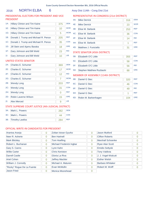# 2016 **NORTH ELBA** 6 **Assy Dist 114th - Cong Dist 21st**

# PRESIDENTIAL ELECTORS FOR PRESIDENT AND VICE PRESIDENT

| $1A$ : | Hillary Clinton and Tim Kaine        | 375 | <b>DEM</b> |
|--------|--------------------------------------|-----|------------|
| 1E:    | <b>Hillary Clinton and Tim Kaine</b> | 10  | <b>WOR</b> |
| $1G$ : | Hillary Clinton and Tim Kaine        | 5   | <b>WOM</b> |
| 1B:    | Donald J. Trump and Michael R. Pence | 205 | <b>REP</b> |
| 1C:    | Donald J. Trump and Michael R. Pence | 35  | <b>CON</b> |
| $1D$ : | Jill Stein and Ajamu Baraka          | 18  | <b>GRE</b> |
| $1F$ : | Gary Johnson and Bill Weld           | 23  | <b>IND</b> |
| 11:    | Gary Johnson and Bill Weld           | 10  | <b>LIB</b> |
|        |                                      |     |            |

# UNITED STATES SENATOR

| $2A^2$ | Charles E. Schumer                                   | 369      | <b>DEM</b> |
|--------|------------------------------------------------------|----------|------------|
| 2E:    | Charles E. Schumer                                   | 17       | <b>WOR</b> |
| 2F:    | Charles E. Schumer                                   | 12       | <b>IND</b> |
| $2G$ : | Charles E. Schumer                                   | 7        | <b>WOM</b> |
| 2B:    | <b>Wendy Long</b>                                    | 203      | <b>REP</b> |
| $2C$ : | <b>Wendy Long</b>                                    | 31       | <b>CON</b> |
| 2H:    | <b>Wendy Long</b>                                    | $\Omega$ | <b>REF</b> |
| 2D:    | Robin Laverne Wilson                                 | 15       | <b>GRE</b> |
| $2!$ : | <b>Alex Merced</b>                                   | 9        | <b>LIB</b> |
|        | STATE SHIDREME COHRT HISTICE (4th HIDICIAL DISTRICT) |          |            |

#### STATE SUPREME COURT JUSTICE (4th JUDICIAL DISTRICT)

| 3A: Mark L. Powers  | <b>DEM</b> |
|---------------------|------------|
| 3C: Mark L. Powers  | <b>CON</b> |
| 3B: Timothy Lawliss | <b>RFP</b> |

# REPRESENTATIVE IN CONGRESS (21st DISTRICT)

| 4A:    | <b>Mike Derrick</b>   | 316 | <b>DEM</b> |
|--------|-----------------------|-----|------------|
| 4E:    | <b>Mike Derrick</b>   | 23  | <b>WOR</b> |
| 4B:    | Elise M. Stefanik     | 253 | <b>REP</b> |
| $4C$ : | Elise M. Stefanik     | 36  | <b>CON</b> |
| 4F:    | Elise M. Stefanik     | 14  | <b>IND</b> |
| 4H:    | Elise M. Stefanik     |     | <b>REF</b> |
| 4D:    | Matthew J. Funiciello | 31  | <b>GRE</b> |

# STATE SENATOR (45th DISTRICT)

| 5B: Elizabeth O'C Little     | 355 | <b>REP</b> |
|------------------------------|-----|------------|
| 5C: Elizabeth O'C Little     | 58  | <b>CON</b> |
| 5F: Elizabeth O'C Little     | 56  | <b>IND</b> |
| 5D: Stephen Matthew Ruzbacki |     | <b>GRF</b> |

# MEMBER OF ASSEMBLY (114th DISTRICT)

| 6B: | Daniel G Stec        | 320 | <b>REP</b> |
|-----|----------------------|-----|------------|
|     | 6C: Daniel G Stec    | 46  | <b>CON</b> |
| 6F: | Daniel G Stec        | 49  | <b>IND</b> |
| 6H: | Daniel G Stec        |     | <b>REF</b> |
| 6D: | Robin M. Barkenhagen | 104 | <b>GRE</b> |

| Arantxa Aranja             | 0 | Zoltan Istvan Gyurko     | 0        | Jason Mutford           | 0        |
|----------------------------|---|--------------------------|----------|-------------------------|----------|
| Neer R. Asherie            | 0 | <b>Ben Hartnell</b>      | 0        | <b>Clifton Roberts</b>  | $\Omega$ |
| <b>Mark Blickley</b>       | 0 | <b>Tom Hoefling</b>      | 0        | Marshall Schoenke       | 0        |
| Robert L. Buchanan         | 0 | Michael Frederick Ingbar | 0        | <b>Ryan Alan Scott</b>  | 0        |
| Gary S. Canns              | 0 | Lynn Kahn                | $\Omega$ | <b>Emidio Soltysik</b>  | 0        |
| <b>Willie Carter</b>       | 0 | <b>Chris Keniston</b>    | $\Omega$ | <b>Tony Valdivia</b>    | 0        |
| <b>Darrell Castle</b>      | 0 | Gloria La Riva           | 0        | J. J. Vogel-Walcutt     | Ω        |
| Ariel Cohen                | 0 | <b>Jeffrey Mackler</b>   | 0        | <b>Esther Welsh</b>     | 0        |
| William J. Connolly        | 0 | Michael A. Maturen       | $\Omega$ | <b>Barbara Whitaker</b> | 0        |
| "Rocky" Rogue De La Fuente | 0 | Evan McMullin            | 0        | Robert M. Wolff         |          |
| Jason Fried                | 0 | Monica Moorehead         | 0        |                         |          |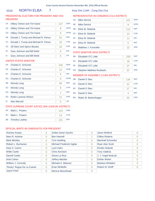# 2016 NORTH ELBA 7 Assy Dist 114th - Cong Dist 21st

# PRESIDENTIAL ELECTORS FOR PRESIDENT AND VICE PRESIDENT

| $1A$ : | Hillary Clinton and Tim Kaine        | 147 | <b>DEM</b> |
|--------|--------------------------------------|-----|------------|
| 1E:    | Hillary Clinton and Tim Kaine        | 9   | <b>WOR</b> |
| 1G:    | <b>Hillary Clinton and Tim Kaine</b> | 5   | <b>WOM</b> |
| 1B:    | Donald J. Trump and Michael R. Pence | 91  | <b>REP</b> |
| 1C:    | Donald J. Trump and Michael R. Pence | 10  | <b>CON</b> |
| $1D$ : | Jill Stein and Ajamu Baraka          | 10  | <b>GRE</b> |
| 1F:    | Gary Johnson and Bill Weld           | 6   | <b>IND</b> |
| 11:    | Gary Johnson and Bill Weld           | 5   | <b>LIB</b> |
|        |                                      |     |            |

# UNITED STATES SENATOR

| $2A$ : | Charles E. Schumer                                   | 146 | <b>DFM</b> |
|--------|------------------------------------------------------|-----|------------|
| 2E:    | Charles E. Schumer                                   | 12  | <b>WOR</b> |
| 2F:    | Charles E. Schumer                                   | 5   | <b>IND</b> |
| 2G:    | Charles E. Schumer                                   | 6   | <b>WOM</b> |
| 2B:    | <b>Wendy Long</b>                                    | 84  | <b>REP</b> |
| $2C$ : | <b>Wendy Long</b>                                    | 9   | <b>CON</b> |
| 2H:    | <b>Wendy Long</b>                                    | 1   | <b>REF</b> |
| 2D:    | Robin Laverne Wilson                                 | 11  | <b>GRE</b> |
| 2!     | <b>Alex Merced</b>                                   | 0   | <b>LIB</b> |
|        | STATE SHIDREME COHRT HISTICE (4th HIDICIAL DISTRICT) |     |            |

#### STATE SUPREME COURT JUSTICE (4th JUDICIAL DISTRICT)

| 3A: Mark L. Powers  | 110 | <b>DEM</b> |
|---------------------|-----|------------|
| 3C: Mark L. Powers  |     | <b>CON</b> |
| 3B: Timothy Lawliss | 131 | <b>REP</b> |

# REPRESENTATIVE IN CONGRESS (21st DISTRICT)

| 4A: | <b>Mike Derrick</b>   | 121 | <b>DEM</b> |
|-----|-----------------------|-----|------------|
| 4E: | <b>Mike Derrick</b>   | 9   | <b>WOR</b> |
| 4B: | Elise M. Stefanik     | 112 | <b>REP</b> |
| 4C: | Elise M. Stefanik     | 14  | <b>CON</b> |
| 4F: | Elise M. Stefanik     | 11  | <b>IND</b> |
| 4H: | Elise M. Stefanik     | Ω   | <b>RFF</b> |
| 4D: | Matthew J. Funiciello | 13  | <b>GRE</b> |

# STATE SENATOR (45th DISTRICT)

| 5B: Elizabeth O'C Little     | 159 | <b>REP</b> |
|------------------------------|-----|------------|
| 5C: Elizabeth O'C Little     | 18  | <b>CON</b> |
| 5F: Elizabeth O'C Little     |     | <b>IND</b> |
| 5D: Stephen Matthew Ruzbacki |     | <b>GRF</b> |

# MEMBER OF ASSEMBLY (114th DISTRICT)

| 6B: | Daniel G Stec        | 134 | <b>REP</b> |
|-----|----------------------|-----|------------|
|     | 6C: Daniel G Stec    | 21  | <b>CON</b> |
| 6F: | Daniel G Stec        | 17  | <b>IND</b> |
| 6H: | Daniel G Stec        |     | <b>REF</b> |
| 6D: | Robin M. Barkenhagen | 53  | <b>GRE</b> |

| Arantxa Aranja             | 0 | Zoltan Istvan Gyurko     | 0        | Jason Mutford           | 0        |
|----------------------------|---|--------------------------|----------|-------------------------|----------|
| Neer R. Asherie            | 0 | <b>Ben Hartnell</b>      |          | <b>Clifton Roberts</b>  | $\Omega$ |
| <b>Mark Blickley</b>       | 0 | <b>Tom Hoefling</b>      | 0        | Marshall Schoenke       | 0        |
| Robert L. Buchanan         | 0 | Michael Frederick Ingbar | 0        | <b>Ryan Alan Scott</b>  | 0        |
| Gary S. Canns              | 0 | Lynn Kahn                | $\Omega$ | <b>Emidio Soltysik</b>  | 0        |
| <b>Willie Carter</b>       | 0 | <b>Chris Keniston</b>    | $\Omega$ | <b>Tony Valdivia</b>    | 0        |
| <b>Darrell Castle</b>      | 0 | Gloria La Riva           | 0        | J. J. Vogel-Walcutt     | Ω        |
| Ariel Cohen                | 0 | <b>Jeffrey Mackler</b>   | 0        | <b>Esther Welsh</b>     | 0        |
| William J. Connolly        | 0 | Michael A. Maturen       | $\Omega$ | <b>Barbara Whitaker</b> | 0        |
| "Rocky" Rogue De La Fuente | 0 | Evan McMullin            | 0        | Robert M. Wolff         |          |
| Jason Fried                | 0 | Monica Moorehead         | 0        |                         |          |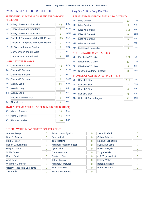# 2016 NORTH HUDSON 0 Assy Dist 114th - Cong Dist 21st

# PRESIDENTIAL ELECTORS FOR PRESIDENT AND VICE PRESIDENT

| $1A$ : | Hillary Clinton and Tim Kaine        | 43  | <b>DEM</b> |
|--------|--------------------------------------|-----|------------|
| 1E:    | Hillary Clinton and Tim Kaine        | 1   | <b>WOR</b> |
| $1G$ : | <b>Hillary Clinton and Tim Kaine</b> | 3   | <b>WOM</b> |
| 1B:    | Donald J. Trump and Michael R. Pence | 119 | <b>REP</b> |
| 1C:    | Donald J. Trump and Michael R. Pence | 3   | <b>CON</b> |
| $1D$ : | Jill Stein and Ajamu Baraka          | 2   | <b>GRE</b> |
| $1F$ : | Gary Johnson and Bill Weld           | 3   | <b>IND</b> |
| 11:    | Gary Johnson and Bill Weld           | 3   | <b>LIB</b> |
|        | UNITED STATES SENATOR                |     |            |

#### ED SE

| $2A$ : | Charles E. Schumer   | 46             | <b>DEM</b> |
|--------|----------------------|----------------|------------|
| 2E:    | Charles E. Schumer   | 5              | <b>WOR</b> |
| 2F:    | Charles E. Schumer   | 2              | <b>IND</b> |
| $2G$ : | Charles E. Schumer   | $\overline{2}$ | <b>WOM</b> |
| 2B:    | <b>Wendy Long</b>    | 91             | <b>REP</b> |
| $2C$ : | <b>Wendy Long</b>    | 5              | <b>CON</b> |
| 2H:    | <b>Wendy Long</b>    | 1              | <b>REF</b> |
| 2D:    | Robin Laverne Wilson | 3              | <b>GRE</b> |
| $2!$ : | <b>Alex Merced</b>   | 4              | <b>LIB</b> |
|        |                      |                |            |

# STATE SUPREME COURT JUSTICE (4th JUDICIAL DISTRICT)

| 3A: Mark L. Powers  |     | <b>DEM</b> |
|---------------------|-----|------------|
| 3C: Mark L. Powers  |     | CON        |
| 3B: Timothy Lawliss | 110 | <b>RFP</b> |

# REPRESENTATIVE IN CONGRESS (21st DISTRICT)

| 4A:    | <b>Mike Derrick</b>   | 30  | <b>DEM</b> |
|--------|-----------------------|-----|------------|
| 4E:    | <b>Mike Derrick</b>   | 5   | <b>WOR</b> |
| 4B:    | Elise M. Stefanik     | 111 | <b>REP</b> |
| $4C$ : | Elise M. Stefanik     | 6   | <b>CON</b> |
| 4F:    | Elise M. Stefanik     | 5   | <b>IND</b> |
| 4H:    | Elise M. Stefanik     | 1   | <b>REF</b> |
| 4D:    | Matthew J. Funiciello | 5   | <b>GRE</b> |

# STATE SENATOR (45th DISTRICT)

| 5B: Elizabeth O'C Little     | 127 | <b>REP</b> |
|------------------------------|-----|------------|
| 5C: Elizabeth O'C Little     |     | <b>CON</b> |
| 5F: Elizabeth O'C Little     |     | <b>IND</b> |
| 5D: Stephen Matthew Ruzbacki |     | <b>GRF</b> |

# MEMBER OF ASSEMBLY (114th DISTRICT)

| 6B: | Daniel G Stec            | 119 | <b>REP</b> |
|-----|--------------------------|-----|------------|
|     | 6C: Daniel G Stec        |     | <b>CON</b> |
| 6F: | Daniel G Stec            |     | <b>IND</b> |
| 6H: | Daniel G Stec            |     | <b>REF</b> |
|     | 6D: Robin M. Barkenhagen | 12  | <b>GRE</b> |

| Arantxa Aranja             | 0 | Zoltan Istvan Gyurko     | 0        | Jason Mutford           | 0              |
|----------------------------|---|--------------------------|----------|-------------------------|----------------|
| Neer R. Asherie            | 0 | <b>Ben Hartnell</b>      | 0        | <b>Clifton Roberts</b>  | $\overline{0}$ |
| <b>Mark Blickley</b>       | 0 | <b>Tom Hoefling</b>      | $\Omega$ | Marshall Schoenke       | 0              |
| Robert L. Buchanan         | 0 | Michael Frederick Ingbar | 0        | <b>Ryan Alan Scott</b>  | 0              |
| Gary S. Canns              | 0 | Lynn Kahn                | $\Omega$ | <b>Emidio Soltysik</b>  | $\overline{0}$ |
| <b>Willie Carter</b>       | 0 | <b>Chris Keniston</b>    | $\Omega$ | <b>Tony Valdivia</b>    | 0              |
| Darrell Castle             | 0 | Gloria La Riva           | $\Omega$ | J. J. Vogel-Walcutt     | Ω              |
| Ariel Cohen                | 0 | <b>Jeffrey Mackler</b>   | 0        | <b>Esther Welsh</b>     | 0              |
| William J. Connolly        | 0 | Michael A. Maturen       | 0        | <b>Barbara Whitaker</b> | 0              |
| "Rocky" Rogue De La Fuente | 0 | Evan McMullin            | $\Omega$ | Robert M. Wolff         | O              |
| <b>Jason Fried</b>         | 0 | Monica Moorehead         | 0        |                         |                |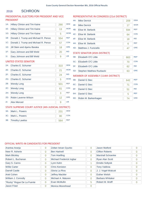#### **SCHROON** 2016

# PRESIDENTIAL ELECTORS FOR PRESIDENT AND VICE PRESIDENT

| $1A$ :                | Hillary Clinton and Tim Kaine        | 290 | <b>DEM</b> |  |
|-----------------------|--------------------------------------|-----|------------|--|
| $1E$ :                | Hillary Clinton and Tim Kaine        | 13  | <b>WOR</b> |  |
| $1G$ :                | Hillary Clinton and Tim Kaine        | 5   | <b>WOM</b> |  |
| 1B:                   | Donald J. Trump and Michael R. Pence | 554 | <b>REP</b> |  |
| 1C:                   | Donald J. Trump and Michael R. Pence | 57  | <b>CON</b> |  |
| 1D:                   | Jill Stein and Ajamu Baraka          | 18  | <b>GRE</b> |  |
| $1F$ :                | Gary Johnson and Bill Weld           | 20  | <b>IND</b> |  |
| 11:                   | Gary Johnson and Bill Weld           | 9   | <b>LIB</b> |  |
| UNITED STATES SENATOR |                                      |     |            |  |

# 2A: Charles E. Schumer 310 DEM 2B: Wendy Long 301 REP 2C: Wendy Long 61 CON 2D: Robin Laverne Wilson 12 GRE 2E: Charles E. Schumer 21 WOR 2F: Charles E. Schumer 24 IND 2G: Charles E. Schumer 5 WOM 2H: Wendy Long 3 REF 21: Alex Merced 9 LIB

# STATE SUPREME COURT JUSTICE (4th JUDICIAL DISTRICT)

| $3A$ : | Mark L. Powers      | 231 | <b>DEM</b> |
|--------|---------------------|-----|------------|
|        | 3C: Mark L. Powers  |     | <b>CON</b> |
|        | 3B: Timothy Lawliss | 564 | <b>RFP</b> |

# REPRESENTATIVE IN CONGRESS (21st DISTRICT)

| 4A: | <b>Mike Derrick</b>   | 209 | <b>DEM</b> |
|-----|-----------------------|-----|------------|
| 4E: | <b>Mike Derrick</b>   | 17  | <b>WOR</b> |
| 4B: | Elise M. Stefanik     | 594 | <b>REP</b> |
| 4C: | Elise M. Stefanik     | 64  | <b>CON</b> |
| 4F: | Elise M. Stefanik     | 18  | <b>IND</b> |
| 4H: | Elise M. Stefanik     | 6   | <b>REF</b> |
| 4D: | Matthew J. Funiciello | 47  | <b>GRE</b> |

# STATE SENATOR (45th DISTRICT)

| 5B: Elizabeth O'C Little     | 663 | <b>REP</b> |
|------------------------------|-----|------------|
| 5C: Elizabeth O'C Little     |     | <b>CON</b> |
| 5F: Elizabeth O'C Little     |     | <b>IND</b> |
| 5D: Stephen Matthew Ruzbacki |     | <b>GRF</b> |

# MEMBER OF ASSEMBLY (114th DISTRICT)

| 6B: | Daniel G Stec            | 642 | <b>REP</b> |
|-----|--------------------------|-----|------------|
|     | 6C: Daniel G Stec        |     | <b>CON</b> |
| 6F: | Daniel G Stec            | 51  | <b>IND</b> |
| 6H: | Daniel G Stec            | 5   | <b>REF</b> |
|     | 6D: Robin M. Barkenhagen | 74  | <b>GRE</b> |

| Arantxa Aranja             | $\overline{0}$ | Zoltan Istvan Gyurko     | 0        | Jason Mutford            |                |
|----------------------------|----------------|--------------------------|----------|--------------------------|----------------|
|                            |                |                          |          |                          |                |
| Neer R. Asherie            | $\overline{0}$ | <b>Ben Hartnell</b>      | 0        | <b>Clifton Roberts</b>   | 0              |
| <b>Mark Blickley</b>       | $\overline{0}$ | <b>Tom Hoefling</b>      | $\Omega$ | <b>Marshall Schoenke</b> | 0              |
| Robert L. Buchanan         | $\overline{0}$ | Michael Frederick Ingbar | 0        | <b>Ryan Alan Scott</b>   | Ω              |
| Gary S. Canns              | $\overline{0}$ | Lynn Kahn                |          | <b>Emidio Soltysik</b>   | $\overline{0}$ |
| <b>Willie Carter</b>       | $\overline{0}$ | <b>Chris Keniston</b>    | $\Omega$ | <b>Tony Valdivia</b>     | O              |
| Darrell Castle             | $\overline{0}$ | Gloria La Riva           | $\Omega$ | J. J. Vogel-Walcutt      | 0              |
| Ariel Cohen                | $\mathbf 0$    | <b>Jeffrey Mackler</b>   | $\Omega$ | <b>Esther Welsh</b>      | O              |
| William J. Connolly        | $\overline{0}$ | Michael A. Maturen       | $\Omega$ | <b>Barbara Whitaker</b>  | 0              |
| "Rocky" Rogue De La Fuente | $\Omega$       | Evan McMullin            | 5        | Robert M. Wolff          | 0              |
| <b>Jason Fried</b>         | $\overline{0}$ | <b>Monica Moorehead</b>  | 0        |                          |                |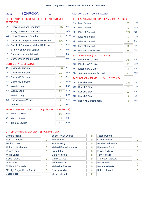# 2016 SCHROON 1 Assy Dist 114th - Cong Dist 21st

# PRESIDENTIAL ELECTORS FOR PRESIDENT AND VICE PRESIDENT

| $1A$ :          | Hillary Clinton and Tim Kaine        | 115 | <b>DFM</b> |
|-----------------|--------------------------------------|-----|------------|
| $1E$ :          | <b>Hillary Clinton and Tim Kaine</b> | 4   | <b>WOR</b> |
| 1G:             | <b>Hillary Clinton and Tim Kaine</b> | 2   | <b>WOM</b> |
| $1B$ :          | Donald J. Trump and Michael R. Pence | 266 | <b>REP</b> |
| 1C:             | Donald J. Trump and Michael R. Pence | 26  | <b>CON</b> |
| $1D$ :          | Jill Stein and Ajamu Baraka          | 4   | GRF        |
| 1F <sub>2</sub> | Gary Johnson and Bill Weld           | 10  | <b>IND</b> |
| 1 <sub>1</sub>  | Gary Johnson and Bill Weld           | 3   | <b>LIB</b> |

# UNITED STATES SENATOR

| $2A$ : | Charles E. Schumer                                  | 130            | <b>DEM</b> |  |  |  |
|--------|-----------------------------------------------------|----------------|------------|--|--|--|
| 2E:    | Charles E. Schumer                                  | 10             | <b>WOR</b> |  |  |  |
| 2F:    | Charles E. Schumer                                  | 13             | <b>IND</b> |  |  |  |
| $2G$ : | Charles E. Schumer                                  | 2              | <b>WOM</b> |  |  |  |
| 2B:    | <b>Wendy Long</b>                                   | 238            | <b>REP</b> |  |  |  |
| $2C$ : | <b>Wendy Long</b>                                   | 29             | <b>CON</b> |  |  |  |
| 2H:    | <b>Wendy Long</b>                                   | O              | <b>REF</b> |  |  |  |
| 2D:    | Robin Laverne Wilson                                | $\overline{2}$ | <b>GRE</b> |  |  |  |
| 2!     | <b>Alex Merced</b>                                  | 3              | <b>LIB</b> |  |  |  |
|        | STATE SUPREME COURT IUSTICE (4th IUDICIAL DISTRICT) |                |            |  |  |  |

# $\pm$  SUPREME COURT JUSTICE (4th JUDICIAL DISTRICT)

| 3A: | Mark L. Powers      | <b>DEM</b> |
|-----|---------------------|------------|
|     | 3C: Mark L. Powers  | CON        |
|     | 3B: Timothy Lawliss | <b>RFP</b> |

# REPRESENTATIVE IN CONGRESS (21st DISTRICT)

| 4A:    | <b>Mike Derrick</b>          | 87  | <b>DEM</b> |
|--------|------------------------------|-----|------------|
| 4E:    | <b>Mike Derrick</b>          | 5   | <b>WOR</b> |
| 4B:    | Elise M. Stefanik            | 277 | <b>REP</b> |
| $4C$ : | Elise M. Stefanik            | 33  | <b>CON</b> |
| 4F:    | Elise M. Stefanik            | 5   | <b>IND</b> |
| 4H:    | Elise M. Stefanik            | 3   | <b>REF</b> |
| 4D:    | Matthew J. Funiciello        | 18  | <b>GRE</b> |
|        | CTATF CFTIATODIAFLL DICTDICT |     |            |

# STATE SENATOR (45th DISTRICT)

| 5B: Elizabeth O'C Little     | 308 | <b>RFP</b> |
|------------------------------|-----|------------|
| 5C: Elizabeth O'C Little     |     | <b>CON</b> |
| 5F: Elizabeth O'C Little     | 25  | <b>IND</b> |
| 5D: Stephen Matthew Ruzbacki |     | <b>GRF</b> |

# MEMBER OF ASSEMBLY (114th DISTRICT)

| 6B: | Daniel G Stec        | 287 | <b>REP</b> |
|-----|----------------------|-----|------------|
| 6C: | Daniel G Stec        | 37  | <b>CON</b> |
| 6F: | Daniel G Stec        | 22  | <b>IND</b> |
| 6H: | Daniel G Stec        |     | <b>REF</b> |
| 6D: | Robin M. Barkenhagen | 26  | <b>GRE</b> |

| Arantxa Aranja             | $\overline{0}$ | Zoltan Istvan Gyurko     | $\overline{0}$ | <b>Jason Mutford</b>     | $\Omega$       |
|----------------------------|----------------|--------------------------|----------------|--------------------------|----------------|
| Neer R. Asherie            | 0              | <b>Ben Hartnell</b>      | $\overline{0}$ | <b>Clifton Roberts</b>   | $\overline{0}$ |
| <b>Mark Blickley</b>       | $\overline{0}$ | <b>Tom Hoefling</b>      | $\overline{0}$ | <b>Marshall Schoenke</b> | $\Omega$       |
| Robert L. Buchanan         | $\overline{0}$ | Michael Frederick Ingbar | $\Omega$       | <b>Ryan Alan Scott</b>   | $\Omega$       |
| Gary S. Canns              | $\overline{0}$ | Lynn Kahn                | $\overline{0}$ | <b>Emidio Soltysik</b>   | $\Omega$       |
| <b>Willie Carter</b>       | $\overline{0}$ | <b>Chris Keniston</b>    | $\overline{0}$ | <b>Tony Valdivia</b>     | $\Omega$       |
| <b>Darrell Castle</b>      | $\overline{0}$ | Gloria La Riva           | $\overline{0}$ | J. J. Vogel-Walcutt      | 0              |
| Ariel Cohen                | $\overline{0}$ | <b>Jeffrey Mackler</b>   | $\Omega$       | <b>Esther Welsh</b>      | $\Omega$       |
| William J. Connolly        | $\Omega$       | Michael A. Maturen       | $\Omega$       | <b>Barbara Whitaker</b>  | $\Omega$       |
| "Rocky" Rogue De La Fuente | $\overline{0}$ | Evan McMullin            | 4              | Robert M. Wolff          |                |
| <b>Jason Fried</b>         | 0              | Monica Moorehead         | $\Omega$       |                          |                |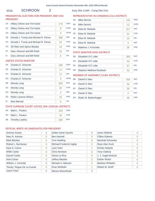# 2016 SCHROON 2 Assy Dist 114th - Cong Dist 21st

# PRESIDENTIAL ELECTORS FOR PRESIDENT AND VICE PRESIDENT

| <b>WOR</b><br>$1E$ :<br><b>Hillary Clinton and Tim Kaine</b><br>9<br><b>WOM</b><br>$1G$ :<br><b>Hillary Clinton and Tim Kaine</b><br>3<br><b>REP</b><br>1B:<br>Donald J. Trump and Michael R. Pence<br>288 |
|------------------------------------------------------------------------------------------------------------------------------------------------------------------------------------------------------------|
|                                                                                                                                                                                                            |
|                                                                                                                                                                                                            |
|                                                                                                                                                                                                            |
| <b>CON</b><br>1C:<br>Donald J. Trump and Michael R. Pence<br>31                                                                                                                                            |
| GRF<br>Jill Stein and Ajamu Baraka<br>$1D$ :<br>14                                                                                                                                                         |
| <b>IND</b><br>$1F$ :<br>Gary Johnson and Bill Weld<br>10                                                                                                                                                   |
| <b>LIB</b><br>1 <sub>1</sub><br>Gary Johnson and Bill Weld<br>6                                                                                                                                            |

# UNITED STATES SENATOR

| $2A$ :                                               | Charles E. Schumer   | 180 | <b>DFM</b> |  |  |
|------------------------------------------------------|----------------------|-----|------------|--|--|
| 2E:                                                  | Charles E. Schumer   | 11  | <b>WOR</b> |  |  |
| $2F^+$                                               | Charles E. Schumer   | 11  | <b>IND</b> |  |  |
| 2G:                                                  | Charles E. Schumer   | 3   | <b>WOM</b> |  |  |
| 2B:                                                  | <b>Wendy Long</b>    | 263 | <b>REP</b> |  |  |
| $2C$ :                                               | <b>Wendy Long</b>    | 32  | <b>CON</b> |  |  |
| 2H:                                                  | <b>Wendy Long</b>    | 3   | <b>REF</b> |  |  |
| 2D:                                                  | Robin Laverne Wilson | 10  | <b>GRE</b> |  |  |
| $2!$ :                                               | Alex Merced          | 6   | <b>LIB</b> |  |  |
| STATE SUPREME COURT ILISTICE (4th IUDICIAL DISTRICT) |                      |     |            |  |  |

# STATE SUPREME COURT JUSTICE (4th JUDICIAL DISTRICT)

| 3A: Mark L. Powers  | 140 | <b>DEM</b> |
|---------------------|-----|------------|
| 3C: Mark L. Powers  |     | <b>CON</b> |
| 3B: Timothy Lawliss | 300 | <b>REP</b> |

# REPRESENTATIVE IN CONGRESS (21st DISTRICT)

| 4A: | <b>Mike Derrick</b>   | 122 | <b>DEM</b> |
|-----|-----------------------|-----|------------|
| 4E: | <b>Mike Derrick</b>   | 12  | <b>WOR</b> |
| 4B: | Elise M. Stefanik     | 317 | <b>REP</b> |
| 4C: | Elise M. Stefanik     | 31  | <b>CON</b> |
| 4F: | Elise M. Stefanik     | 13  | <b>IND</b> |
| 4H: | Elise M. Stefanik     | 3   | <b>REF</b> |
| 4D: | Matthew J. Funiciello | 29  | <b>GRE</b> |

# STATE SENATOR (45th DISTRICT)

| 5B: Elizabeth O'C Little     | 355 | <b>REP</b> |
|------------------------------|-----|------------|
| 5C: Elizabeth O'C Little     | 33  | <b>CON</b> |
| 5F: Elizabeth O'C Little     |     | <b>IND</b> |
| 5D: Stephen Matthew Ruzbacki |     | <b>GRF</b> |

# MEMBER OF ASSEMBLY (114th DISTRICT)

| 6B: | Daniel G Stec        | 355 | <b>REP</b> |
|-----|----------------------|-----|------------|
|     | 6C: Daniel G Stec    | 34  | <b>CON</b> |
| 6F: | Daniel G Stec        | 29  | <b>IND</b> |
| 6H: | Daniel G Stec        |     | <b>REF</b> |
| 6D: | Robin M. Barkenhagen | 48  | <b>GRE</b> |

| Arantxa Aranja             | $\overline{0}$ | Zoltan Istvan Gyurko     | 0        | Jason Mutford           | 0              |
|----------------------------|----------------|--------------------------|----------|-------------------------|----------------|
| Neer R. Asherie            | $\overline{0}$ | <b>Ben Hartnell</b>      | 0        | <b>Clifton Roberts</b>  | 0              |
| <b>Mark Blickley</b>       | $\overline{0}$ | <b>Tom Hoefling</b>      | $\Omega$ | Marshall Schoenke       | Ω              |
| Robert L. Buchanan         | 0              | Michael Frederick Ingbar | 0        | <b>Ryan Alan Scott</b>  | 0              |
| Gary S. Canns              | 0              | Lynn Kahn                |          | <b>Emidio Soltysik</b>  | $\overline{0}$ |
| <b>Willie Carter</b>       | 0              | <b>Chris Keniston</b>    | $\Omega$ | <b>Tony Valdivia</b>    | 0              |
| Darrell Castle             | $\overline{0}$ | Gloria La Riva           | $\Omega$ | J. J. Vogel-Walcutt     | O              |
| Ariel Cohen                | $\overline{0}$ | <b>Jeffrey Mackler</b>   | $\Omega$ | <b>Esther Welsh</b>     | 0              |
| William J. Connolly        | $\Omega$       | Michael A. Maturen       | $\Omega$ | <b>Barbara Whitaker</b> | 0              |
| "Rocky" Rogue De La Fuente | $\Omega$       | Evan McMullin            |          | Robert M. Wolff         |                |
| Jason Fried                | 0              | Monica Moorehead         | 0        |                         |                |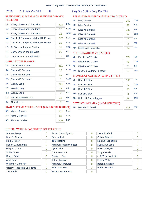# 2016 ST ARMAND 0 Assy Dist 114th - Cong Dist 21st

# PRESIDENTIAL ELECTORS FOR PRESIDENT AND VICE PRESIDENT

| $1A$ : | Hillary Clinton and Tim Kaine        | 302               | <b>DEM</b> |
|--------|--------------------------------------|-------------------|------------|
| $1E$ : | <b>Hillary Clinton and Tim Kaine</b> | 15                | <b>WOR</b> |
| 1G:    | <b>Hillary Clinton and Tim Kaine</b> | $12 \overline{ }$ | <b>WOM</b> |
| 1B:    | Donald J. Trump and Michael R. Pence | 247               | <b>REP</b> |
| 1C:    | Donald J. Trump and Michael R. Pence | 25                | <b>CON</b> |
| 1D:    | Jill Stein and Ajamu Baraka          | 21                | <b>GRE</b> |
| $1F$ : | Gary Johnson and Bill Weld           | 29                | <b>IND</b> |
| 11:    | Gary Johnson and Bill Weld           | 11                | <b>LIB</b> |
|        | $\cdots$                             |                   |            |

### UNITED STATES SENATOR

| $2A$ : | <b>Charles E. Schumer</b>                           | 311 | <b>DEM</b> |
|--------|-----------------------------------------------------|-----|------------|
| 2E:    | Charles E. Schumer                                  | 28  | <b>WOR</b> |
| 2F:    | Charles E. Schumer                                  | 19  | <b>IND</b> |
| $2G$ : | Charles E. Schumer                                  | 6   | <b>WOM</b> |
| 2B:    | <b>Wendy Long</b>                                   | 214 | <b>REP</b> |
| $2C$ : | <b>Wendy Long</b>                                   | 28  | <b>CON</b> |
| 2H:    | <b>Wendy Long</b>                                   | 2   | <b>REF</b> |
| $2D$ : | Robin Laverne Wilson                                | 21  | <b>GRE</b> |
| $2!$ : | Alex Merced                                         | 5   | <b>LIB</b> |
|        | STATE SUPREME COURT JUSTICE (4th JUDICIAL DISTRICT) |     |            |
| $3A$ : | Mark L. Powers                                      | 252 | <b>DEM</b> |
| $3C$ : | Mark L. Powers                                      | 39  | <b>CON</b> |

3B: Timothy Lawliss 309 REP

# REPRESENTATIVE IN CONGRESS (21st DISTRICT)

| 4A: | <b>Mike Derrick</b>   | 259 | <b>DEM</b> |
|-----|-----------------------|-----|------------|
| 4E: | <b>Mike Derrick</b>   | 28  | <b>WOR</b> |
| 4B: | Elise M. Stefanik     | 280 | <b>REP</b> |
| 4C: | Elise M. Stefanik     | 28  | <b>CON</b> |
| 4F: | Elise M. Stefanik     | 21  | <b>IND</b> |
| 4H: | Elise M. Stefanik     | 2   | <b>REF</b> |
| 4D: | Matthew J. Funiciello | 24  | <b>GRE</b> |

# STATE SENATOR (45th DISTRICT)

| 5B: Elizabeth O'C Little     | 374 | <b>RFP</b> |
|------------------------------|-----|------------|
| 5C: Elizabeth O'C Little     | 49  | <b>CON</b> |
| 5F: Elizabeth O'C Little     | 62  | <b>IND</b> |
| 5D: Stephen Matthew Ruzbacki |     | <b>GRF</b> |

# MEMBER OF ASSEMBLY (114th DISTRICT)

| 6B:    | Daniel G Stec                    | 333 | <b>REP</b> |
|--------|----------------------------------|-----|------------|
| $6C$ : | Daniel G Stec                    | 42  | <b>CON</b> |
| $6F$ : | Daniel G Stec                    | 40  | <b>IND</b> |
| 6H:    | Daniel G Stec                    | 3   | <b>REF</b> |
| 6D:    | Robin M. Barkenhagen             | 99  | <b>GRE</b> |
|        | TOWN COUNCILMAN (UNEXPIRED TERM) |     |            |

7B: Barbara J. Darrah 513 REP

| Arantxa Aranja             | 0 | Zoltan Istvan Gyurko     | 0              | Jason Mutford            | 0 |
|----------------------------|---|--------------------------|----------------|--------------------------|---|
| Neer R. Asherie            | 0 | <b>Ben Hartnell</b>      | 0              | <b>Clifton Roberts</b>   | 0 |
| <b>Mark Blickley</b>       | 0 | <b>Tom Hoefling</b>      | 0              | <b>Marshall Schoenke</b> | 0 |
| Robert L. Buchanan         | 0 | Michael Frederick Ingbar | 0              | Ryan Alan Scott          | 0 |
| Gary S. Canns              | 0 | Lynn Kahn                | 0              | <b>Emidio Soltysik</b>   | 0 |
| <b>Willie Carter</b>       | 0 | <b>Chris Keniston</b>    | 0              | <b>Tony Valdivia</b>     | 0 |
| Darrell Castle             | 0 | Gloria La Riva           | $\overline{0}$ | J. J. Vogel-Walcutt      | 0 |
| Ariel Cohen                | 0 | <b>Jeffrey Mackler</b>   | $\Omega$       | <b>Esther Welsh</b>      | 0 |
| William J. Connolly        | 0 | Michael A. Maturen       | $\Omega$       | <b>Barbara Whitaker</b>  | 0 |
| "Rocky" Rogue De La Fuente | 0 | Evan McMullin            | 3              | Robert M. Wolff          | 0 |
| Jason Fried                | 0 | Monica Moorehead         | 0              |                          |   |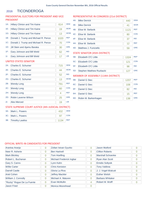#### **TICONDEROGA** 2016

# PRESIDENTIAL ELECTORS FOR PRESIDENT AND VICE PRESIDENT

| $1A$ : | <b>Hillary Clinton and Tim Kaine</b> | 614  | <b>DEM</b> |
|--------|--------------------------------------|------|------------|
| $1E$ : | <b>Hillary Clinton and Tim Kaine</b> | 19   | <b>WOR</b> |
| $1G$ : | <b>Hillary Clinton and Tim Kaine</b> | 13   | <b>WOM</b> |
| 1B:    | Donald J. Trump and Michael R. Pence | 1020 | <b>REP</b> |
| 1C:    | Donald J. Trump and Michael R. Pence | 70   | <b>CON</b> |
| $1D$ : | Jill Stein and Ajamu Baraka          | 30   | <b>GRE</b> |
| $1F$ : | Gary Johnson and Bill Weld           | 62   | <b>IND</b> |
| $1$ l: | Gary Johnson and Bill Weld           | 17   | <b>LIB</b> |
|        | UNITED STATES SENATOR                |      |            |
| $2A$ : | Charles E. Schumer                   | 715  | <b>DEM</b> |

| $2F^+$ | Charles E. Schumer   | 44  | <b>WOR</b> |
|--------|----------------------|-----|------------|
| $2F^+$ | Charles E. Schumer   | 52  | <b>IND</b> |
| 2G:    | Charles E. Schumer   | 13  | <b>WOM</b> |
| 2B:    | <b>Wendy Long</b>    | 791 | <b>REP</b> |
| $2C$ : | <b>Wendy Long</b>    | 60  | <b>CON</b> |
| 2H:    | <b>Wendy Long</b>    | 4   | <b>RFF</b> |
| 2D:    | Robin Laverne Wilson | 25  | <b>GRE</b> |
| $21$ : | Alex Merced          | 19  | <b>LIB</b> |
|        |                      |     |            |

# STATE SUPREME COURT JUSTICE (4th JUDICIAL DISTRICT)

| $3A$ : | Mark L. Powers      | 432  | <b>DFM</b> |
|--------|---------------------|------|------------|
|        | 3C: Mark L. Powers  |      | <b>CON</b> |
|        | 3B: Timothy Lawliss | 1134 | <b>RFP</b> |

# REPRESENTATIVE IN CONGRESS (21st DISTRICT)

| 4A:    | <b>Mike Derrick</b>   | 440  | <b>DEM</b> |
|--------|-----------------------|------|------------|
| 4E:    | <b>Mike Derrick</b>   | 41   | <b>WOR</b> |
| 4B:    | Elise M. Stefanik     | 1121 | <b>REP</b> |
| $4C$ : | Elise M. Stefanik     | 80   | <b>CON</b> |
| 4F:    | Elise M. Stefanik     | 37   | <b>IND</b> |
| 4H:    | Elise M. Stefanik     | 12   | <b>REF</b> |
| 4D:    | Matthew J. Funiciello | 59   | <b>GRE</b> |

# STATE SENATOR (45th DISTRICT)

| 5B: Elizabeth O'C Little     | 1324 | <b>RFP</b> |
|------------------------------|------|------------|
| 5C: Elizabeth O'C Little     | 121  | <b>CON</b> |
| 5F: Elizabeth O'C Little     | 98   | <b>IND</b> |
| 5D: Stephen Matthew Ruzbacki | 127  | <b>GRE</b> |

# MEMBER OF ASSEMBLY (114th DISTRICT)

| 6B: | Daniel G Stec        | 1207 | <b>REP</b> |
|-----|----------------------|------|------------|
| 6C: | Daniel G Stec        | 108  | <b>CON</b> |
| 6F: | Daniel G Stec        | 82   | <b>IND</b> |
| 6H: | Daniel G Stec        | 15   | <b>REF</b> |
| 6D: | Robin M. Barkenhagen | 138  | <b>GRE</b> |

| Arantxa Aranja             | $\overline{0}$ | Zoltan Istvan Gyurko     | 0        | Jason Mutford            | O |
|----------------------------|----------------|--------------------------|----------|--------------------------|---|
| Neer R. Asherie            | $\overline{0}$ | <b>Ben Hartnell</b>      | 0        | <b>Clifton Roberts</b>   | 0 |
| <b>Mark Blickley</b>       | $\overline{0}$ | <b>Tom Hoefling</b>      | $\Omega$ | <b>Marshall Schoenke</b> | 0 |
| Robert L. Buchanan         | $\overline{0}$ | Michael Frederick Ingbar | 0        | Ryan Alan Scott          | 0 |
| Gary S. Canns              | $\overline{0}$ | Lynn Kahn                | $\Omega$ | <b>Emidio Soltysik</b>   | 0 |
| <b>Willie Carter</b>       | $\Omega$       | <b>Chris Keniston</b>    | $\Omega$ | <b>Tony Valdivia</b>     | O |
| Darrell Castle             | $\overline{0}$ | Gloria La Riva           | $\Omega$ | J. J. Vogel-Walcutt      | 0 |
| Ariel Cohen                | $\overline{0}$ | <b>Jeffrey Mackler</b>   | $\Omega$ | <b>Esther Welsh</b>      | O |
| William J. Connolly        | $\overline{0}$ | Michael A. Maturen       | $\Omega$ | <b>Barbara Whitaker</b>  | 0 |
| "Rocky" Rogue De La Fuente | $\Omega$       | Evan McMullin            | 4        | Robert M. Wolff          | 0 |
| <b>Jason Fried</b>         | $\Omega$       | Monica Moorehead         | 0        |                          |   |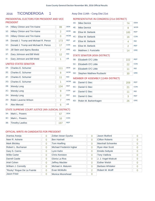# 2016 TICONDEROGA 1 Assy Dist 114th - Cong Dist 21st

# PRESIDENTIAL ELECTORS FOR PRESIDENT AND VICE PRESIDENT

| $1A$ : | Hillary Clinton and Tim Kaine        | 99  | <b>DFM</b> |
|--------|--------------------------------------|-----|------------|
| 1E:    | <b>Hillary Clinton and Tim Kaine</b> | 2   | <b>WOR</b> |
| $1G$ : | Hillary Clinton and Tim Kaine        | 0   | <b>WOM</b> |
| 1B:    | Donald J. Trump and Michael R. Pence | 173 | <b>REP</b> |
| 1C:    | Donald J. Trump and Michael R. Pence | 17  | CON        |
| $1D$ : | Jill Stein and Ajamu Baraka          | 7   | <b>GRE</b> |
| 1F:    | Gary Johnson and Bill Weld           | 12  | <b>IND</b> |
| 11:    | Gary Johnson and Bill Weld           | 1   | <b>LIB</b> |

# UNITED STATES SENATOR

| $2A$ : | Charles E. Schumer                                  | 111 | <b>DEM</b> |
|--------|-----------------------------------------------------|-----|------------|
| 2E:    | Charles E. Schumer                                  | 8   | <b>WOR</b> |
| $2F$ : | Charles E. Schumer                                  | 11  | <b>IND</b> |
| $2G$ : | Charles E. Schumer                                  | 1   | <b>WOM</b> |
| 2B:    | <b>Wendy Long</b>                                   | 134 | <b>REP</b> |
| $2C$ : | <b>Wendy Long</b>                                   | 9   | <b>CON</b> |
| 2H:    | <b>Wendy Long</b>                                   | 0   | <b>REF</b> |
| 2D:    | Robin Laverne Wilson                                | 7   | <b>GRE</b> |
| $2!$ : | Alex Merced                                         | 6   | <b>LIB</b> |
|        | STATE SUPREME COURT JUSTICE (4th JUDICIAL DISTRICT) |     |            |

# REPRESENTATIVE IN CONGRESS (21st DISTRICT)

| 4A:    | <b>Mike Derrick</b>          | 74  | <b>DEM</b> |
|--------|------------------------------|-----|------------|
| 4E:    | <b>Mike Derrick</b>          | 8   | <b>WOR</b> |
| 4B:    | Elise M. Stefanik            | 185 | <b>RFP</b> |
| $4C$ : | Elise M. Stefanik            | 16  | <b>CON</b> |
| 4F:    | Elise M. Stefanik            | 4   | <b>IND</b> |
| 4H:    | Elise M. Stefanik            | 2   | <b>REF</b> |
| 4D:    | Matthew J. Funiciello        | 14  | <b>GRE</b> |
|        | -- -------- ----- ---------- |     |            |

# STATE SENATOR (45th DISTRICT)

| 5B: Elizabeth O'C Little     | 222 | <b>REP</b> |
|------------------------------|-----|------------|
| 5C: Elizabeth O'C Little     | 22  | <b>CON</b> |
| 5F: Elizabeth O'C Little     |     | <b>IND</b> |
| 5D: Stephen Matthew Ruzbacki | חצ  | <b>GRF</b> |

# MEMBER OF ASSEMBLY (114th DISTRICT)

| 6B: | Daniel G Stec        | 209 | <b>REP</b> |
|-----|----------------------|-----|------------|
| 6C: | Daniel G Stec        | 21  | <b>CON</b> |
| 6F: | Daniel G Stec        |     | <b>IND</b> |
| 6H: | Daniel G Stec        |     | <b>REF</b> |
| 6D: | Robin M. Barkenhagen | 26  | <b>GRE</b> |

# 3A: Mark L. Powers 67 DEM

| 3C: Mark L. Powers  |  |
|---------------------|--|
| 3B: Timothy Lawliss |  |

| Arantxa Aranja             | $\Omega$       | Zoltan Istvan Gyurko     | $\overline{0}$ | <b>Jason Mutford</b>    | $\Omega$       |
|----------------------------|----------------|--------------------------|----------------|-------------------------|----------------|
| Neer R. Asherie            | $\Omega$       | <b>Ben Hartnell</b>      | $\Omega$       | <b>Clifton Roberts</b>  | $\overline{0}$ |
| <b>Mark Blickley</b>       | $\overline{0}$ | <b>Tom Hoefling</b>      | $\Omega$       | Marshall Schoenke       | 0              |
| Robert L. Buchanan         | $\overline{0}$ | Michael Frederick Ingbar | $\overline{0}$ | <b>Ryan Alan Scott</b>  | $\overline{0}$ |
| Gary S. Canns              | $\overline{0}$ | Lynn Kahn                | $\Omega$       | <b>Emidio Soltysik</b>  | $\Omega$       |
| <b>Willie Carter</b>       | $\Omega$       | <b>Chris Keniston</b>    | $\Omega$       | <b>Tony Valdivia</b>    | $\Omega$       |
| Darrell Castle             | $\overline{0}$ | Gloria La Riva           | $\overline{0}$ | J. J. Vogel-Walcutt     | $\Omega$       |
| Ariel Cohen                | $\overline{0}$ | <b>Jeffrey Mackler</b>   | $\Omega$       | <b>Esther Welsh</b>     | $\Omega$       |
| William J. Connolly        | $\Omega$       | Michael A. Maturen       | $\Omega$       | <b>Barbara Whitaker</b> | $\Omega$       |
| "Rocky" Rogue De La Fuente | $\Omega$       | Evan McMullin            | $\overline{2}$ | Robert M. Wolff         | $\overline{0}$ |
| Jason Fried                | $\Omega$       | Monica Moorehead         | $\Omega$       |                         |                |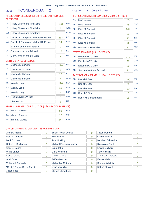# 2016 TICONDEROGA 2 Assy Dist 114th - Cong Dist 21st

# PRESIDENTIAL ELECTORS FOR PRESIDENT AND VICE PRESIDENT

| $1A$ : | <b>Hillary Clinton and Tim Kaine</b> | 133 | <b>DEM</b> |
|--------|--------------------------------------|-----|------------|
| 1E:    | Hillary Clinton and Tim Kaine        | 2   | <b>WOR</b> |
| $1G$ : | Hillary Clinton and Tim Kaine        | 6   | <b>WOM</b> |
| 1B:    | Donald J. Trump and Michael R. Pence | 213 | <b>REP</b> |
| 1C:    | Donald J. Trump and Michael R. Pence | 14  | <b>CON</b> |
| $1D$ : | Jill Stein and Ajamu Baraka          | 9   | <b>GRE</b> |
| $1F$ : | Gary Johnson and Bill Weld           | 16  | <b>IND</b> |
| 11:    | Gary Johnson and Bill Weld           | 7   | <b>LIB</b> |
|        |                                      |     |            |

### UNITED STATES SENATOR

| $2A$ : | Charles E. Schumer                                   | 144            | <b>DEM</b> |
|--------|------------------------------------------------------|----------------|------------|
| 2E:    | Charles E. Schumer                                   | $\overline{7}$ | <b>WOR</b> |
| 2F:    | Charles E. Schumer                                   | 13             | <b>IND</b> |
| 2G:    | Charles E. Schumer                                   | 4              | <b>WOM</b> |
| 2B:    | <b>Wendy Long</b>                                    | 176            | <b>REP</b> |
| $2C$ : | <b>Wendy Long</b>                                    | 16             | <b>CON</b> |
| 2H:    | <b>Wendy Long</b>                                    | 1              | <b>REF</b> |
| $2D$ : | Robin Laverne Wilson                                 | 5              | <b>GRE</b> |
| 2!     | <b>Alex Merced</b>                                   | 3              | <b>LIB</b> |
|        | CTATE CURRENT COURT HICTICE (A.L. HIRICIAL BICTRICT) |                |            |

# STATE SUPREME COURT JUSTICE (4th JUDICIAL DISTRICT)

| 3A: Mark L. Powers  |     | <b>DEM</b> |
|---------------------|-----|------------|
| 3C: Mark L. Powers  |     | CON        |
| 3B: Timothy Lawliss | 247 | <b>RFP</b> |

# REPRESENTATIVE IN CONGRESS (21st DISTRICT)

| 4A: | <b>Mike Derrick</b>   | 85  | <b>DEM</b> |
|-----|-----------------------|-----|------------|
| 4E: | <b>Mike Derrick</b>   | 9   | <b>WOR</b> |
| 4B: | Elise M. Stefanik     | 244 | <b>REP</b> |
| 4C: | Elise M. Stefanik     | 22  | <b>CON</b> |
| 4F: | Elise M. Stefanik     | 12  | <b>IND</b> |
| 4H: | Elise M. Stefanik     | 3   | <b>REF</b> |
| 4D: | Matthew J. Funiciello | 12  | <b>GRE</b> |

# STATE SENATOR (45th DISTRICT)

| 5B: Elizabeth O'C Little     | 279 | <b>REP</b> |
|------------------------------|-----|------------|
| 5C: Elizabeth O'C Little     | 32  | <b>CON</b> |
| 5F: Elizabeth O'C Little     | 20  | <b>IND</b> |
| 5D: Stephen Matthew Ruzbacki |     | <b>GRE</b> |

# MEMBER OF ASSEMBLY (114th DISTRICT)

| 6B: | Daniel G Stec        | 250 | <b>REP</b> |
|-----|----------------------|-----|------------|
|     | 6C: Daniel G Stec    | 30  | <b>CON</b> |
| 6F: | Daniel G Stec        | 20  | <b>IND</b> |
| 6H: | Daniel G Stec        |     | <b>REF</b> |
| 6D: | Robin M. Barkenhagen | 25  | <b>GRE</b> |

| Arantxa Aranja             | 0 | Zoltan Istvan Gyurko     | 0        | Jason Mutford          | 0 |
|----------------------------|---|--------------------------|----------|------------------------|---|
| Neer R. Asherie            | 0 | <b>Ben Hartnell</b>      | 0        | <b>Clifton Roberts</b> | 0 |
| <b>Mark Blickley</b>       | 0 | <b>Tom Hoefling</b>      | 0        | Marshall Schoenke      | 0 |
| Robert L. Buchanan         | 0 | Michael Frederick Ingbar | 0        | <b>Ryan Alan Scott</b> | 0 |
| Gary S. Canns              | 0 | Lynn Kahn                | $\Omega$ | <b>Emidio Soltysik</b> | 0 |
| <b>Willie Carter</b>       | 0 | <b>Chris Keniston</b>    | $\Omega$ | <b>Tony Valdivia</b>   | 0 |
| Darrell Castle             | 0 | Gloria La Riva           | 0        | J. J. Vogel-Walcutt    | 0 |
| Ariel Cohen                | 0 | <b>Jeffrey Mackler</b>   | 0        | <b>Esther Welsh</b>    | 0 |
| William J. Connolly        | 0 | Michael A. Maturen       | 0        | Barbara Whitaker       | 0 |
| "Rocky" Rogue De La Fuente | 0 | Evan McMullin            | 0        | Robert M. Wolff        | O |
| <b>Jason Fried</b>         | 0 | Monica Moorehead         | 0        |                        |   |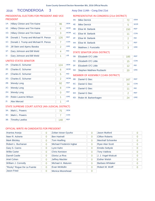# 2016 TICONDEROGA 3 Assy Dist 114th - Cong Dist 21st

# PRESIDENTIAL ELECTORS FOR PRESIDENT AND VICE PRESIDENT

| $1A$ : | <b>Hillary Clinton and Tim Kaine</b> | 96  | <b>DFM</b> |
|--------|--------------------------------------|-----|------------|
| $1E$ : | Hillary Clinton and Tim Kaine        | 6   | <b>WOR</b> |
| $1G$ : | Hillary Clinton and Tim Kaine        | 3   | <b>WOM</b> |
| 1B:    | Donald J. Trump and Michael R. Pence | 126 | <b>REP</b> |
| $1C$ : | Donald J. Trump and Michael R. Pence | 7   | <b>CON</b> |
| $1D$ : | Jill Stein and Ajamu Baraka          | 2   | <b>GRE</b> |
| 1F:    | Gary Johnson and Bill Weld           | 4   | <b>IND</b> |
| 11:    | Gary Johnson and Bill Weld           | 1   | <b>LIB</b> |
|        |                                      |     |            |

# UNITED STATES SENATOR

| $2A$ : | Charles E. Schumer                                                                                                                                                                                                                                                                                          | 124            | <b>DEM</b> |
|--------|-------------------------------------------------------------------------------------------------------------------------------------------------------------------------------------------------------------------------------------------------------------------------------------------------------------|----------------|------------|
| 2E:    | Charles E. Schumer                                                                                                                                                                                                                                                                                          | 6              | <b>WOR</b> |
| 2F:    | Charles E. Schumer                                                                                                                                                                                                                                                                                          | 5              | <b>IND</b> |
| $2G$ : | Charles E. Schumer                                                                                                                                                                                                                                                                                          | $\overline{2}$ | <b>WOM</b> |
| 2B:    | <b>Wendy Long</b>                                                                                                                                                                                                                                                                                           | 92             | <b>REP</b> |
| $2C$ : | <b>Wendy Long</b>                                                                                                                                                                                                                                                                                           | 8              | <b>CON</b> |
| 2H:    | <b>Wendy Long</b>                                                                                                                                                                                                                                                                                           | ∩              | <b>REF</b> |
| 2D:    | Robin Laverne Wilson                                                                                                                                                                                                                                                                                        | 1              | <b>GRE</b> |
| 2!     | <b>Alex Merced</b>                                                                                                                                                                                                                                                                                          | 1              | <b>LIB</b> |
|        | $C = \{x \in C :  x  \leq 1,  x  \leq 2,  x  \leq 1,  x  \leq 2,  x  \leq 1,  x  \leq 2,  x  \leq 2,  x  \leq 2,  x  \leq 2,  x  \leq 2,  x  \leq 2,  x  \leq 2,  x  \leq 2,  x  \leq 2,  x  \leq 2,  x  \leq 2,  x  \leq 2,  x  \leq 2,  x  \leq 2,  x  \leq 2,  x  \leq 2,  x  \leq 2,  x  \leq 2,  x  \$ |                |            |

# STATE SUPREME COURT JUSTICE (4th JUDICIAL DISTRICT)

| $3A$ : | Mark L. Powers      |     | <b>DEM</b> |
|--------|---------------------|-----|------------|
|        | 3C: Mark L. Powers  |     | <b>CON</b> |
|        | 3B: Timothy Lawliss | 148 | <b>RFP</b> |

# REPRESENTATIVE IN CONGRESS (21st DISTRICT)

| 4A:    | <b>Mike Derrick</b>   | 72  | <b>DEM</b> |
|--------|-----------------------|-----|------------|
| 4E:    | <b>Mike Derrick</b>   | 5   | <b>WOR</b> |
| 4B:    | Elise M. Stefanik     | 150 | <b>RFP</b> |
| $4C$ : | Elise M. Stefanik     | 11  | <b>CON</b> |
| 4F:    | Elise M. Stefanik     | 2   | <b>IND</b> |
| 4H:    | Elise M. Stefanik     | 1   | <b>REF</b> |
| 4D:    | Matthew J. Funiciello | 3   | <b>GRE</b> |

# STATE SENATOR (45th DISTRICT)

| 5B: Elizabeth O'C Little     | 185 | <b>REP</b> |
|------------------------------|-----|------------|
| 5C: Elizabeth O'C Little     | 15  | <b>CON</b> |
| 5F: Elizabeth O'C Little     | 12  | <b>IND</b> |
| 5D: Stephen Matthew Ruzbacki | 20. | <b>GRF</b> |

# MEMBER OF ASSEMBLY (114th DISTRICT)

| 6B: | Daniel G Stec        | 167 | <b>REP</b> |
|-----|----------------------|-----|------------|
|     | 6C: Daniel G Stec    | 14  | <b>CON</b> |
| 6F: | Daniel G Stec        | 11  | <b>IND</b> |
| 6H: | Daniel G Stec        |     | <b>REF</b> |
| 6D: | Robin M. Barkenhagen | 24  | <b>GRE</b> |

| Arantxa Aranja             | 0              | Zoltan Istvan Gyurko     | 0              | Jason Mutford           | 0              |
|----------------------------|----------------|--------------------------|----------------|-------------------------|----------------|
| Neer R. Asherie            | 0              | <b>Ben Hartnell</b>      | 0              | <b>Clifton Roberts</b>  | 0              |
| <b>Mark Blickley</b>       | 0              | <b>Tom Hoefling</b>      | 0              | Marshall Schoenke       | 0              |
| Robert L. Buchanan         | 0              | Michael Frederick Ingbar | 0              | <b>Ryan Alan Scott</b>  | 0              |
| Gary S. Canns              | 0              | Lynn Kahn                | 0              | <b>Emidio Soltysik</b>  | $\overline{0}$ |
| <b>Willie Carter</b>       | 0              | <b>Chris Keniston</b>    | $\overline{0}$ | <b>Tony Valdivia</b>    | 0              |
| <b>Darrell Castle</b>      | 0              | Gloria La Riva           | $\Omega$       | J. J. Vogel-Walcutt     | O              |
| Ariel Cohen                | $\overline{0}$ | <b>Jeffrey Mackler</b>   | 0              | <b>Esther Welsh</b>     | 0              |
| William J. Connolly        | 0              | Michael A. Maturen       | 0              | <b>Barbara Whitaker</b> | 0              |
| "Rocky" Rogue De La Fuente | $\Omega$       | Evan McMullin            | $\Omega$       | Robert M. Wolff         |                |
| Jason Fried                | 0              | Monica Moorehead         | 0              |                         |                |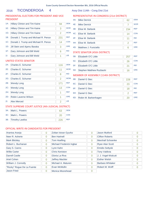# 2016 TICONDEROGA 4 Assy Dist 114th - Cong Dist 21st

# PRESIDENTIAL ELECTORS FOR PRESIDENT AND VICE PRESIDENT

| $1A$ : | Hillary Clinton and Tim Kaine        | 94  | <b>DEM</b> |
|--------|--------------------------------------|-----|------------|
| $1E$ : | Hillary Clinton and Tim Kaine        | 3   | <b>WOR</b> |
| $1G$ : | <b>Hillary Clinton and Tim Kaine</b> | 2   | <b>WOM</b> |
| 1B:    | Donald J. Trump and Michael R. Pence | 231 | <b>REP</b> |
| 1C:    | Donald J. Trump and Michael R. Pence | 14  | <b>CON</b> |
| $1D$ : | Jill Stein and Ajamu Baraka          | 3   | GRF        |
| $1F$ : | Gary Johnson and Bill Weld           | 6   | <b>IND</b> |
| 11:    | Gary Johnson and Bill Weld           | 1   | <b>LIB</b> |
|        |                                      |     |            |

# UNITED STATES SENATOR

| $2A$ : | Charles E. Schumer                                    | 116 | <b>DEM</b> |
|--------|-------------------------------------------------------|-----|------------|
| 2E:    | Charles E. Schumer                                    | 11  | <b>WOR</b> |
| 2F:    | Charles E. Schumer                                    | 8   | <b>IND</b> |
| $2G$ : | Charles E. Schumer                                    | 2   | <b>WOM</b> |
| 2B:    | <b>Wendy Long</b>                                     | 171 | <b>REP</b> |
| $2C$ : | <b>Wendy Long</b>                                     | 13  | <b>CON</b> |
| 2H:    | <b>Wendy Long</b>                                     | 1   | <b>REF</b> |
| $2D$ : | Robin Laverne Wilson                                  | 1   | <b>GRE</b> |
| 2!     | Alex Merced                                           | 2   | <b>LIB</b> |
|        | CTATE CHODEMIE COUDT HICTICE (A.L. HIDICIAL DICTDICT) |     |            |

### STATE SUPREME COURT JUSTICE (4th JUDICIAL DISTRICT)

| 3A: Mark L. Powers  | <b>DEM</b> |
|---------------------|------------|
| 3C: Mark L. Powers  | <b>CON</b> |
| 3B: Timothy Lawliss | <b>RFP</b> |

# REPRESENTATIVE IN CONGRESS (21st DISTRICT)

| 4A:    | <b>Mike Derrick</b>   | 62  | <b>DEM</b> |
|--------|-----------------------|-----|------------|
| 4E:    | <b>Mike Derrick</b>   |     | <b>WOR</b> |
| 4B:    | Elise M. Stefanik     | 234 | <b>REP</b> |
| $4C$ : | Elise M. Stefanik     | 14  | <b>CON</b> |
| 4F:    | Elise M. Stefanik     | 11  | <b>IND</b> |
| 4H:    | Elise M. Stefanik     | 2   | <b>REF</b> |
| 4D:    | Matthew J. Funiciello | 6   | <b>GRE</b> |

# STATE SENATOR (45th DISTRICT)

| 5B: Elizabeth O'C Little     | 257 | <b>REP</b> |
|------------------------------|-----|------------|
| 5C: Elizabeth O'C Little     | 26  | <b>CON</b> |
| 5F: Elizabeth O'C Little     |     | <b>IND</b> |
| 5D: Stephen Matthew Ruzbacki | 16  | <b>GRF</b> |

# MEMBER OF ASSEMBLY (114th DISTRICT)

| 6B: | Daniel G Stec        | 228 | <b>REP</b> |
|-----|----------------------|-----|------------|
|     | 6C: Daniel G Stec    | 23  | <b>CON</b> |
| 6F: | Daniel G Stec        | 18  | <b>IND</b> |
| 6H: | Daniel G Stec        |     | <b>REF</b> |
| 6D: | Robin M. Barkenhagen | 20  | <b>GRE</b> |

| Arantxa Aranja             | 0 | Zoltan Istvan Gyurko     | 0        | Jason Mutford          | 0 |
|----------------------------|---|--------------------------|----------|------------------------|---|
| Neer R. Asherie            | 0 | <b>Ben Hartnell</b>      | 0        | <b>Clifton Roberts</b> | 0 |
| <b>Mark Blickley</b>       | 0 | <b>Tom Hoefling</b>      | 0        | Marshall Schoenke      | 0 |
| Robert L. Buchanan         | 0 | Michael Frederick Ingbar | 0        | <b>Ryan Alan Scott</b> | 0 |
| Gary S. Canns              | 0 | Lynn Kahn                | $\Omega$ | <b>Emidio Soltysik</b> | 0 |
| <b>Willie Carter</b>       | 0 | <b>Chris Keniston</b>    | $\Omega$ | <b>Tony Valdivia</b>   | 0 |
| Darrell Castle             | 0 | Gloria La Riva           | 0        | J. J. Vogel-Walcutt    | 0 |
| Ariel Cohen                | 0 | <b>Jeffrey Mackler</b>   | 0        | <b>Esther Welsh</b>    | 0 |
| William J. Connolly        | 0 | Michael A. Maturen       | 0        | Barbara Whitaker       | 0 |
| "Rocky" Rogue De La Fuente | 0 | Evan McMullin            | 0        | Robert M. Wolff        | O |
| <b>Jason Fried</b>         | 0 | Monica Moorehead         | 0        |                        |   |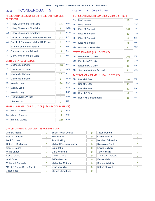# 2016 TICONDEROGA 5 Assy Dist 114th - Cong Dist 21st

# PRESIDENTIAL ELECTORS FOR PRESIDENT AND VICE PRESIDENT

| $1A$ :         | <b>Hillary Clinton and Tim Kaine</b> | 101 | <b>DEM</b> |
|----------------|--------------------------------------|-----|------------|
| 1E:            | <b>Hillary Clinton and Tim Kaine</b> | 3   | <b>WOR</b> |
| 1G:            | <b>Hillary Clinton and Tim Kaine</b> | 1   | <b>WOM</b> |
| 1B:            | Donald J. Trump and Michael R. Pence | 143 | <b>REP</b> |
| 1C:            | Donald J. Trump and Michael R. Pence | 9   | <b>CON</b> |
| 1D:            | Jill Stein and Ajamu Baraka          | 4   | GRF        |
| 1F:            | Gary Johnson and Bill Weld           | 14  | <b>IND</b> |
| 1 <sub>1</sub> | Gary Johnson and Bill Weld           | 1   | <b>LIB</b> |
|                |                                      |     |            |

### UNITED STATES SENATOR

| $2A^2$ | Charles E. Schumer                                   | 116 | <b>DEM</b> |
|--------|------------------------------------------------------|-----|------------|
| 2E:    | Charles E. Schumer                                   | 7   | <b>WOR</b> |
| 2F:    | Charles E. Schumer                                   | 10  | <b>IND</b> |
| 2G:    | Charles E. Schumer                                   | 1   | <b>WOM</b> |
| 2B:    | <b>Wendy Long</b>                                    | 114 | <b>REP</b> |
| $2C$ : | <b>Wendy Long</b>                                    | 8   | <b>CON</b> |
| 2H:    | <b>Wendy Long</b>                                    | 0   | <b>REF</b> |
| 2D:    | Robin Laverne Wilson                                 | 5   | <b>GRE</b> |
| $2$ :  | <b>Alex Merced</b>                                   | 2   | <b>LIB</b> |
|        | CTATE CHODEMIE COUDT HICTICE (4th HIDICIAL DICTDICT) |     |            |

### STATE SUPREME COURT JUSTICE (4th JUDICIAL DISTRICT)

| 3A: Mark L. Powers  |     | <b>DEM</b> |
|---------------------|-----|------------|
| 3C: Mark L. Powers  |     | <b>CON</b> |
| 3B: Timothy Lawliss | 169 | <b>REP</b> |

# REPRESENTATIVE IN CONGRESS (21st DISTRICT)

| 4A:    | <b>Mike Derrick</b>   | 76  | <b>DEM</b> |
|--------|-----------------------|-----|------------|
| 4E:    | <b>Mike Derrick</b>   |     | <b>WOR</b> |
| 4B:    | Elise M. Stefanik     | 162 | <b>REP</b> |
| $4C$ : | Elise M. Stefanik     | 10  | <b>CON</b> |
| 4F:    | Elise M. Stefanik     | 4   | <b>IND</b> |
| 4H:    | Elise M. Stefanik     | Ω   | <b>RFF</b> |
| 4D:    | Matthew J. Funiciello | 12  | <b>GRE</b> |

# STATE SENATOR (45th DISTRICT)

| 5B: Elizabeth O'C Little     | 203 | <b>REP</b> |
|------------------------------|-----|------------|
| 5C: Elizabeth O'C Little     |     | <b>CON</b> |
| 5F: Elizabeth O'C Little     | 15  | <b>IND</b> |
| 5D: Stephen Matthew Ruzbacki |     | <b>GRE</b> |

# MEMBER OF ASSEMBLY (114th DISTRICT)

| 6B: | Daniel G Stec        | 191 | <b>REP</b> |
|-----|----------------------|-----|------------|
|     | 6C: Daniel G Stec    | 13  | <b>CON</b> |
| 6F: | Daniel G Stec        | 12  | <b>IND</b> |
| 6H: | Daniel G Stec        |     | <b>REF</b> |
| 6D: | Robin M. Barkenhagen | 18  | <b>GRE</b> |

| Arantxa Aranja             | 0              | Zoltan Istvan Gyurko     | 0              | Jason Mutford           | 0              |
|----------------------------|----------------|--------------------------|----------------|-------------------------|----------------|
| Neer R. Asherie            | 0              | <b>Ben Hartnell</b>      | 0              | <b>Clifton Roberts</b>  | 0              |
| <b>Mark Blickley</b>       | 0              | <b>Tom Hoefling</b>      | 0              | Marshall Schoenke       | 0              |
| Robert L. Buchanan         | 0              | Michael Frederick Ingbar | 0              | <b>Ryan Alan Scott</b>  | 0              |
| Gary S. Canns              | 0              | Lynn Kahn                | 0              | <b>Emidio Soltysik</b>  | $\overline{0}$ |
| <b>Willie Carter</b>       | 0              | <b>Chris Keniston</b>    | $\overline{0}$ | <b>Tony Valdivia</b>    | 0              |
| <b>Darrell Castle</b>      | 0              | Gloria La Riva           | $\Omega$       | J. J. Vogel-Walcutt     | O              |
| Ariel Cohen                | $\overline{0}$ | <b>Jeffrey Mackler</b>   | 0              | <b>Esther Welsh</b>     | 0              |
| William J. Connolly        | 0              | Michael A. Maturen       | 0              | <b>Barbara Whitaker</b> | 0              |
| "Rocky" Rogue De La Fuente | $\Omega$       | Evan McMullin            | $\Omega$       | Robert M. Wolff         |                |
| Jason Fried                | 0              | Monica Moorehead         | 0              |                         |                |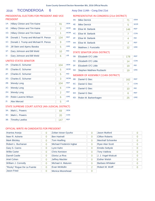# 2016 TICONDEROGA 6 Assy Dist 114th - Cong Dist 21st

# PRESIDENTIAL ELECTORS FOR PRESIDENT AND VICE PRESIDENT

| $1A$ :                | <b>Hillary Clinton and Tim Kaine</b> | 91  | <b>DEM</b> |  |  |  |
|-----------------------|--------------------------------------|-----|------------|--|--|--|
| 1E:                   | <b>Hillary Clinton and Tim Kaine</b> | 3   | <b>WOR</b> |  |  |  |
| $1G$ :                | Hillary Clinton and Tim Kaine        | 1   | <b>WOM</b> |  |  |  |
| 1B:                   | Donald J. Trump and Michael R. Pence | 134 | <b>REP</b> |  |  |  |
| 1C:                   | Donald J. Trump and Michael R. Pence | 9   | <b>CON</b> |  |  |  |
| $1D$ :                | Jill Stein and Ajamu Baraka          | 5   | <b>GRE</b> |  |  |  |
| 1F:                   | Gary Johnson and Bill Weld           | 10  | <b>IND</b> |  |  |  |
| 1 <sub>1</sub>        | Gary Johnson and Bill Weld           | 6   | <b>LIB</b> |  |  |  |
| UNITED STATES SENATOR |                                      |     |            |  |  |  |

# 2A: Charles E. Schumer 104 DEM 2B: Wendy Long 104 REP 2C: Wendy Long 6 **CON** 2D: Robin Laverne Wilson 6 GRE 2E: Charles E. Schumer 5 WOR 2F: Charles E. Schumer 5 IND 2G: Charles E. Schumer 3 WOM 2H: Wendy Long 2N: 2 REF 2I: Alex Merced 5 LIB

# STATE SUPREME COURT JUSTICE (4th JUDICIAL DISTRICT)

| $3A$ : | Mark L. Powers      |     | <b>DFM</b> |
|--------|---------------------|-----|------------|
|        | 3C: Mark L. Powers  |     | <b>CON</b> |
|        | 3B: Timothy Lawliss | 147 | <b>RFP</b> |

# REPRESENTATIVE IN CONGRESS (21st DISTRICT)

| 4A:    | <b>Mike Derrick</b>   | 71  | <b>DEM</b> |
|--------|-----------------------|-----|------------|
| 4E:    | <b>Mike Derrick</b>   | 5   | <b>WOR</b> |
| 4B:    | Elise M. Stefanik     | 146 | <b>REP</b> |
| $4C$ : | Elise M. Stefanik     |     | <b>CON</b> |
| 4F:    | Elise M. Stefanik     | 4   | <b>IND</b> |
| 4H:    | Elise M. Stefanik     | 4   | <b>RFF</b> |
| 4D:    | Matthew J. Funiciello | 12  | <b>GRE</b> |

### STATE SENATOR (45th DISTRICT)

| 5B: Elizabeth O'C Little     | 178 | <b>REP</b> |
|------------------------------|-----|------------|
| 5C: Elizabeth O'C Little     |     | <b>CON</b> |
| 5F: Elizabeth O'C Little     | 1 Q | <b>IND</b> |
| 5D: Stephen Matthew Ruzbacki |     | <b>GRF</b> |

# MEMBER OF ASSEMBLY (114th DISTRICT)

| 6B: | Daniel G Stec        | 162 | <b>REP</b> |
|-----|----------------------|-----|------------|
|     | 6C: Daniel G Stec    |     | <b>CON</b> |
| 6F: | Daniel G Stec        | 10  | <b>IND</b> |
| 6H: | Daniel G Stec        |     | <b>REF</b> |
| 6D: | Robin M. Barkenhagen | 25  | <b>GRE</b> |

| Arantxa Aranja             | $\overline{0}$ | Zoltan Istvan Gyurko     | 0        | Jason Mutford           | 0              |
|----------------------------|----------------|--------------------------|----------|-------------------------|----------------|
| Neer R. Asherie            | $\overline{0}$ | <b>Ben Hartnell</b>      | 0        | <b>Clifton Roberts</b>  | 0              |
| <b>Mark Blickley</b>       | $\overline{0}$ | <b>Tom Hoefling</b>      | $\Omega$ | Marshall Schoenke       | 0              |
| Robert L. Buchanan         | 0              | Michael Frederick Ingbar | 0        | <b>Ryan Alan Scott</b>  | 0              |
| Gary S. Canns              | 0              | Lynn Kahn                | $\Omega$ | <b>Emidio Soltysik</b>  | $\overline{0}$ |
| <b>Willie Carter</b>       | 0              | <b>Chris Keniston</b>    | 0        | <b>Tony Valdivia</b>    | 0              |
| Darrell Castle             | $\overline{0}$ | Gloria La Riva           | $\Omega$ | J. J. Vogel-Walcutt     | O              |
| Ariel Cohen                | $\overline{0}$ | <b>Jeffrey Mackler</b>   | $\Omega$ | <b>Esther Welsh</b>     | 0              |
| William J. Connolly        | $\Omega$       | Michael A. Maturen       | $\Omega$ | <b>Barbara Whitaker</b> | 0              |
| "Rocky" Rogue De La Fuente | $\Omega$       | Evan McMullin            | 2        | Robert M. Wolff         |                |
| Jason Fried                | 0              | Monica Moorehead         | 0        |                         |                |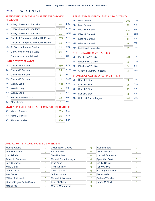#### WESTPORT 2016

# PRESIDENTIAL ELECTORS FOR PRESIDENT AND VICE PRESIDENT

| $1A$ :                | Hillary Clinton and Tim Kaine        | 374 | <b>DEM</b> |  |  |
|-----------------------|--------------------------------------|-----|------------|--|--|
| $1E$ :                | Hillary Clinton and Tim Kaine        | 11  | <b>WOR</b> |  |  |
| $1G$ :                | Hillary Clinton and Tim Kaine        | 10  | <b>WOM</b> |  |  |
| 1B:                   | Donald J. Trump and Michael R. Pence | 265 | <b>REP</b> |  |  |
| 1C:                   | Donald J. Trump and Michael R. Pence | 13  | <b>CON</b> |  |  |
| 1D:                   | Jill Stein and Ajamu Baraka          | 21  | <b>GRE</b> |  |  |
| 1F:                   | Gary Johnson and Bill Weld           | 21  | <b>IND</b> |  |  |
| $11$ :                | Gary Johnson and Bill Weld           | 11  | <b>LIB</b> |  |  |
| UNITED STATES SENATOR |                                      |     |            |  |  |

# 2A: Charles E. Schumer 359 DEM 2B: Wendy Long 238 REP 2C: Wendy Long 2012 14 CON 2D: Robin Laverne Wilson 24 GRE 2E: Charles E. Schumer 24 WOR 2F: Charles E. Schumer 8 IND 2G: Charles E. Schumer 11 WOM 2H: Wendy Long 2 REF 2I: Alex Merced 5 LIB

# STATE SUPREME COURT JUSTICE (4th JUDICIAL DISTRICT)

| 3A: | Mark L. Powers      | 269 | <b>DFM</b> |
|-----|---------------------|-----|------------|
|     | 3C: Mark L. Powers  |     | CON        |
|     | 3B: Timothy Lawliss | 366 | <b>RFP</b> |

# REPRESENTATIVE IN CONGRESS (21st DISTRICT)

| 4A: | <b>Mike Derrick</b>   | 303 | <b>DEM</b> |
|-----|-----------------------|-----|------------|
| 4E: | <b>Mike Derrick</b>   | 26  | <b>WOR</b> |
| 4B: | Elise M. Stefanik     | 318 | <b>REP</b> |
| 4C: | Elise M. Stefanik     | 21  | <b>CON</b> |
| 4F: | Elise M. Stefanik     | 11  | <b>IND</b> |
| 4H: | Elise M. Stefanik     | 6   | <b>REF</b> |
| 4D: | Matthew J. Funiciello | 28  | <b>GRE</b> |

### STATE SENATOR (45th DISTRICT)

| 5B: Elizabeth O'C Little     | 442 | <b>REP</b> |
|------------------------------|-----|------------|
| 5C: Elizabeth O'C Little     | 35  | <b>CON</b> |
| 5F: Elizabeth O'C Little     | 64  | <b>IND</b> |
| 5D: Stephen Matthew Ruzbacki |     | <b>GRE</b> |

# MEMBER OF ASSEMBLY (114th DISTRICT)

| 6B: | Daniel G Stec        | 398 | <b>REP</b> |
|-----|----------------------|-----|------------|
| 6C: | Daniel G Stec        | 28  | <b>CON</b> |
| 6F: | Daniel G Stec        | 48  | <b>IND</b> |
| 6H: | Daniel G Stec        | З   | <b>REF</b> |
| 6D: | Robin M. Barkenhagen | 108 | <b>GRE</b> |

| Arantxa Aranja             | $\overline{0}$ | Zoltan Istvan Gyurko     | 0              | Jason Mutford            | O |
|----------------------------|----------------|--------------------------|----------------|--------------------------|---|
| Neer R. Asherie            | $\overline{0}$ | <b>Ben Hartnell</b>      | 0              | <b>Clifton Roberts</b>   | 0 |
| <b>Mark Blickley</b>       | $\overline{0}$ | <b>Tom Hoefling</b>      | 0              | <b>Marshall Schoenke</b> | 0 |
| Robert L. Buchanan         | $\overline{0}$ | Michael Frederick Ingbar | 0              | Ryan Alan Scott          | 0 |
| Gary S. Canns              | $\overline{0}$ | Lynn Kahn                | 0              | <b>Emidio Soltysik</b>   | 0 |
| <b>Willie Carter</b>       | $\Omega$       | <b>Chris Keniston</b>    | $\Omega$       | <b>Tony Valdivia</b>     | Ω |
| Darrell Castle             | $\overline{0}$ | Gloria La Riva           | $\Omega$       | J. J. Vogel-Walcutt      | 0 |
| Ariel Cohen                | $\overline{0}$ | Jeffrey Mackler          | $\Omega$       | <b>Esther Welsh</b>      | 0 |
| William J. Connolly        | $\overline{0}$ | Michael A. Maturen       | $\overline{2}$ | <b>Barbara Whitaker</b>  | 0 |
| "Rocky" Rogue De La Fuente | $\Omega$       | Evan McMullin            | 3              | Robert M. Wolff          | 0 |
| <b>Jason Fried</b>         | $\Omega$       | <b>Monica Moorehead</b>  | 0              |                          |   |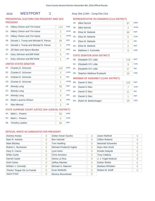# 2016 WESTPORT 1 Assy Dist 114th - Cong Dist 21st

# PRESIDENTIAL ELECTORS FOR PRESIDENT AND VICE PRESIDENT

| $1A$ :         | <b>Hillary Clinton and Tim Kaine</b> | 114 | <b>DEM</b> |
|----------------|--------------------------------------|-----|------------|
| 1E:            | <b>Hillary Clinton and Tim Kaine</b> | 2   | <b>WOR</b> |
| 1G:            | <b>Hillary Clinton and Tim Kaine</b> | 1   | <b>WOM</b> |
| $1B$ :         | Donald J. Trump and Michael R. Pence | 69  | <b>REP</b> |
| 1C:            | Donald J. Trump and Michael R. Pence | 3   | <b>CON</b> |
| 1D:            | Jill Stein and Ajamu Baraka          | 1   | <b>GRE</b> |
| $1F$ :         | Gary Johnson and Bill Weld           | 3   | <b>IND</b> |
| 1 <sub>1</sub> | Gary Johnson and Bill Weld           | 1   | <b>LIB</b> |

# UNITED STATES SENATOR

| $2A^2$                                              | Charles E. Schumer   | 110            | <b>DEM</b> |  |  |
|-----------------------------------------------------|----------------------|----------------|------------|--|--|
| 2E:                                                 | Charles E. Schumer   | $\overline{2}$ | <b>WOR</b> |  |  |
| 2F:                                                 | Charles E. Schumer   | 4              | <b>IND</b> |  |  |
| $2G$ :                                              | Charles E. Schumer   | 1              | <b>WOM</b> |  |  |
| 2B:                                                 | <b>Wendy Long</b>    | 55             | <b>REP</b> |  |  |
| $2C$ :                                              | <b>Wendy Long</b>    | 3              | <b>CON</b> |  |  |
| 2H:                                                 | <b>Wendy Long</b>    | 0              | <b>REF</b> |  |  |
| 2D:                                                 | Robin Laverne Wilson | 8              | <b>GRE</b> |  |  |
| 2!                                                  | Alex Merced          | $\overline{2}$ | <b>LIB</b> |  |  |
| STATE SUPREME COURT JUSTICE (4th JUDICIAL DISTRICT) |                      |                |            |  |  |

# REPRESENTATIVE IN CONGRESS (21st DISTRICT)

| 4A:             | <b>Mike Derrick</b>           | 87             | <b>DEM</b> |
|-----------------|-------------------------------|----------------|------------|
| 4E:             | <b>Mike Derrick</b>           | 2              | <b>WOR</b> |
| 4B:             | Elise M. Stefanik             | 90             | <b>REP</b> |
| $4C$ :          | Elise M. Stefanik             | 5              | <b>CON</b> |
| 4F:             | Elise M. Stefanik             | $\overline{2}$ | <b>IND</b> |
| 4H <sub>1</sub> | Elise M. Stefanik             | 2              | <b>REF</b> |
| $4D$ :          | Matthew J. Funiciello         | 8              | <b>GRE</b> |
|                 | STATE SENATOR (45th DISTRICT) |                |            |

| 5B: Elizabeth O'C Little     | 118 | <b>RFP</b> |
|------------------------------|-----|------------|
| 5C: Elizabeth O'C Little     |     | <b>CON</b> |
| 5F: Elizabeth O'C Little     |     | <b>IND</b> |
| 5D: Stephen Matthew Ruzbacki |     | <b>GRF</b> |

# MEMBER OF ASSEMBLY (114th DISTRICT)

| 6B: | Daniel G Stec        | 103 | <b>REP</b> |
|-----|----------------------|-----|------------|
|     | 6C: Daniel G Stec    |     | <b>CON</b> |
| 6F: | Daniel G Stec        | 11  | <b>IND</b> |
| 6H: | Daniel G Stec        |     | <b>REF</b> |
| 6D: | Robin M. Barkenhagen | 29  | <b>GRE</b> |

# STATE SUPREME COURT JUSTICE (4th JUDICIAL DISTRICT)

| $3A$ : | Mark L. Powers      | <b>DEM</b> |
|--------|---------------------|------------|
|        | 3C: Mark L. Powers  | CON        |
|        | 3B: Timothy Lawliss | <b>RFP</b> |

| Arantxa Aranja             | $\overline{0}$ | Zoltan Istvan Gyurko     | $\Omega$       | <b>Jason Mutford</b>     | $\Omega$       |
|----------------------------|----------------|--------------------------|----------------|--------------------------|----------------|
| Neer R. Asherie            | $\overline{0}$ | <b>Ben Hartnell</b>      | $\Omega$       | <b>Clifton Roberts</b>   | $\overline{0}$ |
| <b>Mark Blickley</b>       | $\overline{0}$ | <b>Tom Hoefling</b>      | $\Omega$       | <b>Marshall Schoenke</b> | $\Omega$       |
| Robert L. Buchanan         | $\overline{0}$ | Michael Frederick Ingbar | $\Omega$       | <b>Ryan Alan Scott</b>   | $\Omega$       |
| Gary S. Canns              | $\overline{0}$ | Lynn Kahn                | $\overline{0}$ | <b>Emidio Soltysik</b>   | $\overline{0}$ |
| <b>Willie Carter</b>       | $\Omega$       | <b>Chris Keniston</b>    | $\Omega$       | <b>Tony Valdivia</b>     | $\Omega$       |
| <b>Darrell Castle</b>      | $\overline{0}$ | Gloria La Riva           | $\Omega$       | J. J. Vogel-Walcutt      | $\Omega$       |
| Ariel Cohen                | $\overline{0}$ | <b>Jeffrey Mackler</b>   | $\Omega$       | <b>Esther Welsh</b>      | $\Omega$       |
| William J. Connolly        | $\Omega$       | Michael A. Maturen       | 2              | <b>Barbara Whitaker</b>  | $\Omega$       |
| "Rocky" Rogue De La Fuente | $\Omega$       | Evan McMullin            | $\Omega$       | Robert M. Wolff          | $\overline{0}$ |
| <b>Jason Fried</b>         | $\Omega$       | <b>Monica Moorehead</b>  | $\Omega$       |                          |                |
|                            |                |                          |                |                          |                |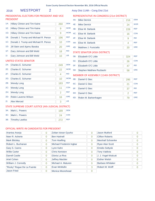# 2016 WESTPORT 2 Assy Dist 114th - Cong Dist 21st

# PRESIDENTIAL ELECTORS FOR PRESIDENT AND VICE PRESIDENT

| Hillary Clinton and Tim Kaine        | 260 | <b>DEM</b> |
|--------------------------------------|-----|------------|
| Hillary Clinton and Tim Kaine        | 9   | <b>WOR</b> |
| <b>Hillary Clinton and Tim Kaine</b> | 9   | <b>WOM</b> |
| Donald J. Trump and Michael R. Pence | 196 | <b>RFP</b> |
| Donald J. Trump and Michael R. Pence | 10  | <b>CON</b> |
| Jill Stein and Ajamu Baraka          | 20  | <b>GRE</b> |
| Gary Johnson and Bill Weld           | 18  | <b>IND</b> |
| Gary Johnson and Bill Weld           | 10  | <b>LIB</b> |
|                                      |     |            |

# UNITED STATES SENATOR

| $2A$ : | Charles E. Schumer                                   | 249            | <b>DFM</b> |
|--------|------------------------------------------------------|----------------|------------|
| 2E:    | Charles E. Schumer                                   | 22             | <b>WOR</b> |
| 2F:    | Charles E. Schumer                                   | 4              | <b>IND</b> |
| $2G$ : | Charles E. Schumer                                   | 10             | <b>WOM</b> |
| 2B:    | <b>Wendy Long</b>                                    | 183            | <b>REP</b> |
| $2C$ : | <b>Wendy Long</b>                                    | 11             | <b>CON</b> |
| 2H:    | <b>Wendy Long</b>                                    | $\overline{2}$ | <b>REF</b> |
| 2D:    | Robin Laverne Wilson                                 | 16             | <b>GRE</b> |
| $2!$ : | <b>Alex Merced</b>                                   | 3              | <b>LIB</b> |
|        | STATE SUPREME COURT ILISTICE (4th IUDICIAL DISTRICT) |                |            |

#### STATE SUPREME COURT JUSTICE (4th JUDICIAL DISTRICT)

| $3A$ : | Mark L. Powers      | 189 | <b>DEM</b> |
|--------|---------------------|-----|------------|
|        | 3C: Mark L. Powers  |     | CON        |
|        | 3B: Timothy Lawliss |     | <b>RFP</b> |

# REPRESENTATIVE IN CONGRESS (21st DISTRICT)

| 4A:    | <b>Mike Derrick</b>   | 216 | <b>DEM</b> |
|--------|-----------------------|-----|------------|
| 4E:    | <b>Mike Derrick</b>   | 24  | <b>WOR</b> |
| 4B:    | Elise M. Stefanik     | 228 | <b>REP</b> |
| $4C$ : | Elise M. Stefanik     | 16  | <b>CON</b> |
| 4F:    | Elise M. Stefanik     | 9   | <b>IND</b> |
| 4H:    | Elise M. Stefanik     | 4   | <b>RFF</b> |
| 4D:    | Matthew J. Funiciello | 20  | <b>GRE</b> |

# STATE SENATOR (45th DISTRICT)

| 5B: Elizabeth O'C Little     | 324 | <b>REP</b> |
|------------------------------|-----|------------|
| 5C: Elizabeth O'C Little     | 26  | <b>CON</b> |
| 5F: Elizabeth O'C Little     |     | <b>IND</b> |
| 5D: Stephen Matthew Ruzbacki | 58  | <b>GRF</b> |

# MEMBER OF ASSEMBLY (114th DISTRICT)

| 6B: | Daniel G Stec        | 295 | <b>REP</b> |
|-----|----------------------|-----|------------|
| 6C: | Daniel G Stec        | 21  | <b>CON</b> |
| 6F: | Daniel G Stec        | 37  | <b>IND</b> |
| 6H: | Daniel G Stec        |     | <b>REF</b> |
| 6D: | Robin M. Barkenhagen | 79  | <b>GRE</b> |

| Arantxa Aranja             | 0              | Zoltan Istvan Gyurko     | 0        | Jason Mutford           | O        |
|----------------------------|----------------|--------------------------|----------|-------------------------|----------|
| Neer R. Asherie            | 0              | <b>Ben Hartnell</b>      | 0        | <b>Clifton Roberts</b>  | $\Omega$ |
| <b>Mark Blickley</b>       | 0              | <b>Tom Hoefling</b>      | 0        | Marshall Schoenke       | 0        |
| Robert L. Buchanan         | 0              | Michael Frederick Ingbar | $\Omega$ | <b>Ryan Alan Scott</b>  | O        |
| Gary S. Canns              | 0              | Lynn Kahn                | 0        | <b>Emidio Soltysik</b>  | 0        |
| <b>Willie Carter</b>       | 0              | <b>Chris Keniston</b>    | $\Omega$ | <b>Tony Valdivia</b>    | 0        |
| <b>Darrell Castle</b>      | $\Omega$       | Gloria La Riva           | $\Omega$ | J. J. Vogel-Walcutt     | O        |
| Ariel Cohen                | $\overline{0}$ | <b>Jeffrey Mackler</b>   | 0        | <b>Esther Welsh</b>     | 0        |
| William J. Connolly        | 0              | Michael A. Maturen       | $\Omega$ | <b>Barbara Whitaker</b> | 0        |
| "Rocky" Rogue De La Fuente | 0              | Evan McMullin            | 3        | Robert M. Wolff         |          |
| Jason Fried                | 0              | Monica Moorehead         | 0        |                         |          |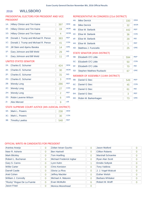#### **WILLSBORO** 2016

# PRESIDENTIAL ELECTORS FOR PRESIDENT AND VICE PRESIDENT

| 1A:    | <b>Hillary Clinton and Tim Kaine</b> | 397 | <b>DEM</b> |
|--------|--------------------------------------|-----|------------|
| 1E:    | Hillary Clinton and Tim Kaine        | 19  | <b>WOR</b> |
| 1G:    | <b>Hillary Clinton and Tim Kaine</b> | 4   | <b>WOM</b> |
| 1B:    | Donald J. Trump and Michael R. Pence | 383 | <b>REP</b> |
| 1C:    | Donald J. Trump and Michael R. Pence | 41  | <b>CON</b> |
| 1D:    | Jill Stein and Ajamu Baraka          | 14  | <b>GRE</b> |
| $1F$ : | Gary Johnson and Bill Weld           | 29  | <b>IND</b> |
| 1I:    | Gary Johnson and Bill Weld           | 11  | <b>LIB</b> |
|        | UNITED STATES SENATOR                |     |            |
| 2A:    | Charles E. Schumer                   | 424 | <b>DEM</b> |
| 2E:    | Charles E. Schumer                   | 30  | <b>WOR</b> |

# REPRESENTATIVE IN CONGRESS (21st DISTRICT)

| 4A:    | <b>Mike Derrick</b>   | 330 | <b>DEM</b> |
|--------|-----------------------|-----|------------|
| 4E:    | <b>Mike Derrick</b>   | 32  | <b>WOR</b> |
| 4B:    | Elise M. Stefanik     | 442 | <b>REP</b> |
| $4C$ : | Elise M. Stefanik     | 36  | <b>CON</b> |
| 4F:    | Elise M. Stefanik     | 29  | <b>IND</b> |
| 4H:    | Elise M. Stefanik     |     | <b>REF</b> |
| 4D:    | Matthew J. Funiciello | 25  | <b>GRE</b> |

### STATE SENATOR (45th DISTRICT)

| 5B: | Elizabeth O'C Little         | 594 | <b>RFP</b> |
|-----|------------------------------|-----|------------|
|     | 5C: Elizabeth O'C Little     | 50  | <b>CON</b> |
|     | 5F: Elizabeth O'C Little     |     | <b>IND</b> |
|     | 5D: Stephen Matthew Ruzbacki |     | <b>GRF</b> |

# MEMBER OF ASSEMBLY (114th DISTRICT)

| 6B: Daniel G Stec        | 549 | <b>REP</b> |
|--------------------------|-----|------------|
| 6C: Daniel G Stec        | 45  | <b>CON</b> |
| 6F: Daniel G Stec        | 61  | <b>IND</b> |
| 6H: Daniel G Stec        |     | <b>REF</b> |
| 6D: Robin M. Barkenhagen | 73  | <b>GRE</b> |

# 2I: Alex Merced 9

2D: Robin Laverne Wilson 6

2H: Wendy Long 2

# STATE SUPREME COURT JUSTICE (4th JUDICIAL DISTRICT)

2B: Wendy Long 286 REP 2C: Wendy Long 27 CON

2F: Charles E. Schumer 31 IND 2G: Charles E. Schumer 3 WOM

| 3A: Mark L. Powers  | 238 | <b>DEM</b> |
|---------------------|-----|------------|
| 3C: Mark L. Powers  |     | <b>CON</b> |
| 3B: Timothy Lawliss | 548 | <b>RFP</b> |

# OFFICIAL WRITE-IN CANDIDATES FOR PRESIDENT

| Arantxa Aranja             | $\overline{0}$ | Zoltan Istvan Gyurko     | 0        | <b>Jason Mutford</b>    |          |
|----------------------------|----------------|--------------------------|----------|-------------------------|----------|
| Neer R. Asherie            | $\overline{0}$ | <b>Ben Hartnell</b>      | $\Omega$ | <b>Clifton Roberts</b>  | 0        |
| <b>Mark Blickley</b>       | $\overline{0}$ | Tom Hoefling             | $\Omega$ | Marshall Schoenke       | $\Omega$ |
| Robert L. Buchanan         | $\overline{0}$ | Michael Frederick Ingbar | $\Omega$ | Ryan Alan Scott         | $\Omega$ |
| Gary S. Canns              | $\overline{0}$ | Lynn Kahn                |          | <b>Emidio Soltysik</b>  | $\Omega$ |
| <b>Willie Carter</b>       | $\overline{0}$ | <b>Chris Keniston</b>    | $\Omega$ | <b>Tony Valdivia</b>    | $\Omega$ |
| Darrell Castle             | $\overline{0}$ | Gloria La Riva           | $\Omega$ | J. J. Vogel-Walcutt     | $\Omega$ |
| Ariel Cohen                | $\overline{0}$ | <b>Jeffrey Mackler</b>   | $\Omega$ | <b>Esther Welsh</b>     | $\Omega$ |
| William J. Connolly        | $\overline{0}$ | Michael A. Maturen       | $\Omega$ | <b>Barbara Whitaker</b> | $\Omega$ |
| "Rocky" Rogue De La Fuente | $\Omega$       | Evan McMullin            | 6        | Robert M. Wolff         | $\Omega$ |
| <b>Jason Fried</b>         | $\overline{0}$ | <b>Monica Moorehead</b>  | $\Omega$ |                         |          |

GRE

LIB

REF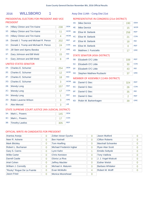# 2016 WILLSBORO 1 Assy Dist 114th - Cong Dist 21st

# PRESIDENTIAL ELECTORS FOR PRESIDENT AND VICE PRESIDENT

| $1A$ : | Hillary Clinton and Tim Kaine        | 238 | <b>DEM</b> |
|--------|--------------------------------------|-----|------------|
| $1E$ : | <b>Hillary Clinton and Tim Kaine</b> | 11  | <b>WOR</b> |
| 1G:    | Hillary Clinton and Tim Kaine        | 4   | <b>WOM</b> |
| 1B:    | Donald J. Trump and Michael R. Pence | 202 | <b>REP</b> |
| 1C:    | Donald J. Trump and Michael R. Pence | 24  | <b>CON</b> |
| $1D$ : | Jill Stein and Ajamu Baraka          | 7   | <b>GRE</b> |
| $1F$ : | Gary Johnson and Bill Weld           | 15  | <b>IND</b> |
| 11:    | Gary Johnson and Bill Weld           | 8   | <b>LIB</b> |

# UNITED STATES SENATOR

| $2A$ :                                              | Charles E. Schumer   | 254 | <b>DEM</b> |  |
|-----------------------------------------------------|----------------------|-----|------------|--|
| 2E:                                                 | Charles E. Schumer   | 12  | <b>WOR</b> |  |
| 2F:                                                 | Charles E. Schumer   | 18  | <b>IND</b> |  |
| 2G:                                                 | Charles E. Schumer   | 3   | <b>WOM</b> |  |
| 2B:                                                 | <b>Wendy Long</b>    | 157 | <b>REP</b> |  |
| $2C$ :                                              | <b>Wendy Long</b>    | 17  | <b>CON</b> |  |
| 2H:                                                 | <b>Wendy Long</b>    | 1   | <b>REF</b> |  |
| 2D:                                                 | Robin Laverne Wilson | 3   | <b>GRE</b> |  |
| $21$ :                                              | <b>Alex Merced</b>   | 3   | <b>LIB</b> |  |
| STATE SUPREME COURT JUSTICE (4th JUDICIAL DISTRICT) |                      |     |            |  |

# COURT JUSTICE (4th JUDICIAL DIST

| 3A: | Mark L. Powers      | 145 | <b>DEM</b> |
|-----|---------------------|-----|------------|
|     | 3C: Mark L. Powers  |     | CON        |
|     | 3B: Timothy Lawliss | 305 | <b>RFP</b> |

# REPRESENTATIVE IN CONGRESS (21st DISTRICT)

| <b>WOR</b><br>4E:<br><b>Mike Derrick</b><br>15<br><b>REP</b><br>4B:<br>Elise M. Stefanik<br>258<br><b>CON</b><br>$4C$ :<br>Elise M. Stefanik<br>21<br><b>IND</b><br>4F:<br>Elise M. Stefanik<br>18<br><b>REF</b><br>4H:<br>Elise M. Stefanik<br>0<br><b>GRE</b><br>4D:<br>Matthew J. Funiciello<br>17<br>STATE SENATOR (45th DISTRICT)<br><b>REP</b><br>5B:<br>Elizabeth O'C Little<br>339<br><b>CON</b><br>$5C$ :<br>Elizabeth O'C Little<br>30 | 4A: | <b>Mike Derrick</b> | 190 | <b>DEM</b> |
|--------------------------------------------------------------------------------------------------------------------------------------------------------------------------------------------------------------------------------------------------------------------------------------------------------------------------------------------------------------------------------------------------------------------------------------------------|-----|---------------------|-----|------------|
|                                                                                                                                                                                                                                                                                                                                                                                                                                                  |     |                     |     |            |
|                                                                                                                                                                                                                                                                                                                                                                                                                                                  |     |                     |     |            |
|                                                                                                                                                                                                                                                                                                                                                                                                                                                  |     |                     |     |            |
|                                                                                                                                                                                                                                                                                                                                                                                                                                                  |     |                     |     |            |
|                                                                                                                                                                                                                                                                                                                                                                                                                                                  |     |                     |     |            |
|                                                                                                                                                                                                                                                                                                                                                                                                                                                  |     |                     |     |            |
|                                                                                                                                                                                                                                                                                                                                                                                                                                                  |     |                     |     |            |
|                                                                                                                                                                                                                                                                                                                                                                                                                                                  |     |                     |     |            |
|                                                                                                                                                                                                                                                                                                                                                                                                                                                  |     |                     |     |            |

# 5D: Stephen Matthew Ruzbacki 37 GRE

IND

5F: Elizabeth O'C Little 43

# MEMBER OF ASSEMBLY (114th DISTRICT)

| 6B: | Daniel G Stec        | 324 | <b>REP</b> |
|-----|----------------------|-----|------------|
|     | 6C: Daniel G Stec    | 26  | <b>CON</b> |
| 6F: | Daniel G Stec        | 35  | <b>IND</b> |
| 6H: | Daniel G Stec        |     | <b>REF</b> |
| 6D: | Robin M. Barkenhagen | 39  | <b>GRE</b> |

| Arantxa Aranja             | $\overline{0}$ | Zoltan Istvan Gyurko     | $\Omega$       | Jason Mutford            | $\Omega$ |
|----------------------------|----------------|--------------------------|----------------|--------------------------|----------|
| Neer R. Asherie            | $\overline{0}$ | <b>Ben Hartnell</b>      | $\Omega$       | <b>Clifton Roberts</b>   | $\Omega$ |
| <b>Mark Blickley</b>       | $\overline{0}$ | <b>Tom Hoefling</b>      | $\overline{0}$ | <b>Marshall Schoenke</b> | $\Omega$ |
| Robert L. Buchanan         | $\overline{0}$ | Michael Frederick Ingbar | $\Omega$       | <b>Ryan Alan Scott</b>   | 0        |
| Gary S. Canns              | $\overline{0}$ | Lynn Kahn                |                | <b>Emidio Soltysik</b>   | $\Omega$ |
| <b>Willie Carter</b>       | $\Omega$       | <b>Chris Keniston</b>    | $\Omega$       | <b>Tony Valdivia</b>     | $\Omega$ |
| <b>Darrell Castle</b>      | $\overline{0}$ | Gloria La Riva           | $\Omega$       | J. J. Vogel-Walcutt      | $\Omega$ |
| Ariel Cohen                | $\overline{0}$ | <b>Jeffrey Mackler</b>   | $\Omega$       | <b>Esther Welsh</b>      | $\Omega$ |
| William J. Connolly        | $\Omega$       | Michael A. Maturen       | $\Omega$       | Barbara Whitaker         | $\Omega$ |
| "Rocky" Rogue De La Fuente | $\Omega$       | Evan McMullin            | 4              | Robert M. Wolff          |          |
| <b>Jason Fried</b>         | $\Omega$       | Monica Moorehead         | $\Omega$       |                          |          |
|                            |                |                          |                |                          |          |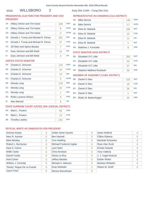# 2016 WILLSBORO 2 Assy Dist 114th - Cong Dist 21st

# PRESIDENTIAL ELECTORS FOR PRESIDENT AND VICE PRESIDENT

| $1A$ :         | <b>Hillary Clinton and Tim Kaine</b> | 159 | <b>DEM</b> |
|----------------|--------------------------------------|-----|------------|
| $1E$ :         | <b>Hillary Clinton and Tim Kaine</b> | 8   | <b>WOR</b> |
| 1G:            | <b>Hillary Clinton and Tim Kaine</b> | 0   | <b>WOM</b> |
| 1B:            | Donald J. Trump and Michael R. Pence | 181 | <b>REP</b> |
| 1C:            | Donald J. Trump and Michael R. Pence | 17  | <b>CON</b> |
| $1D$ :         | Jill Stein and Ajamu Baraka          | 7   | <b>GRE</b> |
| 1F:            | Gary Johnson and Bill Weld           | 14  | <b>IND</b> |
| 1 <sub>1</sub> | Gary Johnson and Bill Weld           | 3   | <b>LIB</b> |
|                | $\cdots$                             |     |            |

#### UNITED STATES SENATOR

| $2A$ :                                               | Charles E. Schumer   | 170 | <b>DEM</b> |  |
|------------------------------------------------------|----------------------|-----|------------|--|
| 2E:                                                  | Charles E. Schumer   | 18  | <b>WOR</b> |  |
| 2F:                                                  | Charles E. Schumer   | 13  | <b>IND</b> |  |
| $2G$ :                                               | Charles E. Schumer   | 0   | <b>WOM</b> |  |
| 2B:                                                  | <b>Wendy Long</b>    | 129 | <b>REP</b> |  |
| $2C$ :                                               | <b>Wendy Long</b>    | 10  | <b>CON</b> |  |
| 2H:                                                  | <b>Wendy Long</b>    | 1   | <b>REF</b> |  |
| 2D:                                                  | Robin Laverne Wilson | 3   | <b>GRE</b> |  |
| $2!$ :                                               | <b>Alex Merced</b>   | 6   | <b>LIB</b> |  |
| STATE SHIDREME COHRT HISTICE (4th HIDICIAL DISTRICT) |                      |     |            |  |

### STATE SUPREME COURT JUSTICE (4th JUDICIAL DISTRICT)

| 3A: Mark L. Powers  |     | <b>DFM</b> |
|---------------------|-----|------------|
| 3C: Mark L. Powers  |     | <b>CON</b> |
| 3B: Timothy Lawliss | 243 | <b>RFP</b> |

# REPRESENTATIVE IN CONGRESS (21st DISTRICT)

| 4A: | <b>Mike Derrick</b>   | 140 | <b>DEM</b> |
|-----|-----------------------|-----|------------|
| 4E: | <b>Mike Derrick</b>   | 17  | <b>WOR</b> |
| 4B: | Elise M. Stefanik     | 184 | <b>REP</b> |
| 4C: | Elise M. Stefanik     | 15  | <b>CON</b> |
| 4F: | Elise M. Stefanik     | 11  | <b>IND</b> |
| 4H: | Elise M. Stefanik     | 1   | <b>REF</b> |
| 4D: | Matthew J. Funiciello | 8   | <b>GRE</b> |

# STATE SENATOR (45th DISTRICT)

| 5B: Elizabeth O'C Little     | 255 | <b>REP</b> |
|------------------------------|-----|------------|
| 5C: Elizabeth O'C Little     | 20  | <b>CON</b> |
| 5F: Elizabeth O'C Little     |     | <b>IND</b> |
| 5D: Stephen Matthew Ruzbacki |     | <b>GRF</b> |

# MEMBER OF ASSEMBLY (114th DISTRICT)

| 6B: | Daniel G Stec        | 225 | <b>REP</b> |
|-----|----------------------|-----|------------|
| 6C: | Daniel G Stec        | 19  | <b>CON</b> |
| 6F: | Daniel G Stec        | 26  | <b>IND</b> |
| 6H: | <b>Daniel G Stec</b> |     | <b>REF</b> |
| 6D: | Robin M. Barkenhagen | 34  | <b>GRE</b> |

| Arantxa Aranja             | 0 | Zoltan Istvan Gyurko     | 0              | Jason Mutford          | 0 |
|----------------------------|---|--------------------------|----------------|------------------------|---|
| Neer R. Asherie            | 0 | <b>Ben Hartnell</b>      | 0              | <b>Clifton Roberts</b> | 0 |
| <b>Mark Blickley</b>       | 0 | <b>Tom Hoefling</b>      | 0              | Marshall Schoenke      | 0 |
| Robert L. Buchanan         | 0 | Michael Frederick Ingbar | 0              | <b>Ryan Alan Scott</b> | 0 |
| Gary S. Canns              | 0 | Lynn Kahn                | $\Omega$       | <b>Emidio Soltysik</b> | 0 |
| <b>Willie Carter</b>       | 0 | <b>Chris Keniston</b>    | $\Omega$       | <b>Tony Valdivia</b>   | 0 |
| Darrell Castle             | 0 | Gloria La Riva           | 0              | J. J. Vogel-Walcutt    | 0 |
| Ariel Cohen                | 0 | <b>Jeffrey Mackler</b>   | 0              | <b>Esther Welsh</b>    | 0 |
| William J. Connolly        | 0 | Michael A. Maturen       | 0              | Barbara Whitaker       | 0 |
| "Rocky" Rogue De La Fuente | 0 | Evan McMullin            | $\overline{2}$ | Robert M. Wolff        | 0 |
| <b>Jason Fried</b>         | 0 | Monica Moorehead         | 0              |                        |   |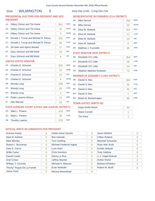# 2016 WILMINGTON 0 Assy Dist 114th - Cong Dist 21st

# PRESIDENTIAL ELECTORS FOR PRESIDENT AND VICE PRESIDENT

| $1A$ : | <b>Hillary Clinton and Tim Kaine</b> | 281 | <b>DEM</b> |
|--------|--------------------------------------|-----|------------|
| $1E$ : | <b>Hillary Clinton and Tim Kaine</b> | 10  | <b>WOR</b> |
| $1G$ : | Hillary Clinton and Tim Kaine        | 3   | <b>WOM</b> |
| 1B:    | Donald J. Trump and Michael R. Pence | 251 | <b>REP</b> |
| 1C:    | Donald J. Trump and Michael R. Pence | 26  | <b>CON</b> |
| $1D$ : | Jill Stein and Ajamu Baraka          | 17  | <b>GRE</b> |
| 1F:    | Gary Johnson and Bill Weld           | 20  | <b>IND</b> |
| 11:    | Gary Johnson and Bill Weld           | 4   | <b>LIB</b> |
|        | <b>HAITED CTATEC CENATOD</b>         |     |            |

#### UNITED STATES SENATOR

| $2A^2$ | Charles E. Schumer   | 302 | <b>DEM</b> |
|--------|----------------------|-----|------------|
| 2E:    | Charles E. Schumer   | 15  | <b>WOR</b> |
| 2F:    | Charles E. Schumer   | 13  | <b>IND</b> |
| $2G$ : | Charles E. Schumer   | 4   | <b>WOM</b> |
| 2B:    | <b>Wendy Long</b>    | 198 | <b>REP</b> |
| $2C$ : | <b>Wendy Long</b>    | 20  | <b>CON</b> |
| 2H:    | <b>Wendy Long</b>    | 2   | <b>REF</b> |
| 2D:    | Robin Laverne Wilson | 14  | <b>GRE</b> |
| 2!     | <b>Alex Merced</b>   | 10  | <b>LIB</b> |
|        |                      |     |            |

# STATE SUPREME COURT JUSTICE (4th JUDICIAL DISTRICT)

| 3A: Mark L. Powers  | 233 | <b>DEM</b> |
|---------------------|-----|------------|
| 3C: Mark L. Powers  |     | CON        |
| 3B: Timothy Lawliss |     | <b>REP</b> |

# OFFICIAL WRITE-IN CANDIDATES FOR PRESIDENT

| Arantxa Aranja             | 0 | Zoltan Istvan Gyurko     | $\Omega$       | Jason Mutford           | 0              |
|----------------------------|---|--------------------------|----------------|-------------------------|----------------|
| Neer R. Asherie            | 0 | <b>Ben Hartnell</b>      | $\overline{0}$ | <b>Clifton Roberts</b>  | 0              |
| <b>Mark Blickley</b>       | 0 | <b>Tom Hoefling</b>      | $\Omega$       | Marshall Schoenke       | $\Omega$       |
| Robert L. Buchanan         | 0 | Michael Frederick Ingbar | 0              | <b>Ryan Alan Scott</b>  | $\Omega$       |
| Gary S. Canns              | 0 | Lynn Kahn                | $\overline{0}$ | <b>Emidio Soltysik</b>  | $\overline{0}$ |
| <b>Willie Carter</b>       | 0 | <b>Chris Keniston</b>    | $\Omega$       | <b>Tony Valdivia</b>    | O              |
| Darrell Castle             | 0 | Gloria La Riva           | $\overline{0}$ | J. J. Vogel-Walcutt     | $\Omega$       |
| Ariel Cohen                | 0 | <b>Jeffrey Mackler</b>   | $\Omega$       | <b>Esther Welsh</b>     | $\Omega$       |
| William J. Connolly        | 0 | Michael A. Maturen       | $\Omega$       | <b>Barbara Whitaker</b> | 0              |
| "Rocky" Rogue De La Fuente | 0 | Evan McMullin            | 0              | Robert M. Wolff         |                |
| Jason Fried                | 0 | Monica Moorehead         | $\overline{0}$ |                         |                |

# REPRESENTATIVE IN CONGRESS (21st DISTRICT)

| <b>Mike Derrick</b>          | 250 | <b>DFM</b> |
|------------------------------|-----|------------|
| 4E:<br><b>Mike Derrick</b>   | 20  | <b>WOR</b> |
| 4B:<br>Elise M. Stefanik     | 251 | <b>REP</b> |
| 4C:<br>Elise M. Stefanik     | 31  | <b>CON</b> |
| 4F:<br>Elise M. Stefanik     | 13  | <b>IND</b> |
| 4H:<br>Elise M. Stefanik     | 0   | <b>REF</b> |
| 4D:<br>Matthew J. Funiciello | 30  | <b>GRE</b> |

### STATE SENATOR (45th DISTRICT)

| 5B: Elizabeth O'C Little     | 354 | <b>RFP</b> |
|------------------------------|-----|------------|
| 5C: Elizabeth O'C Little     | 30  | <b>CON</b> |
| 5F: Elizabeth O'C Little     | 54  | <b>IND</b> |
| 5D: Stephen Matthew Ruzbacki |     | <b>GRF</b> |

# MEMBER OF ASSEMBLY (114th DISTRICT)

| 6B: | Daniel G Stec        | 320 | <b>REP</b> |
|-----|----------------------|-----|------------|
| 6C: | Daniel G Stec        | 25  | <b>CON</b> |
| 6F: | Daniel G Stec        | 42  | <b>IND</b> |
| 6H: | Daniel G Stec        |     | <b>REF</b> |
| 6D: | Robin M. Barkenhagen | 86  | <b>GRE</b> |

### TOWN JUSTICE (WRITE-IN)

| <b>Hope Smith-Holzer</b> |  |
|--------------------------|--|
| <b>Steve Corvelli</b>    |  |
| <b>Tim Kertz</b>         |  |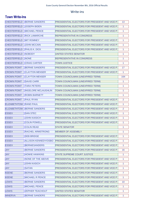# Write-ins

# **Town Write-Ins**

| <b>CHESTERFIELD</b>             | <b>BERNIE SANDERS</b>               | PRESIDENTIAL ELECTORS FOR PRESIDENT AND VICE P        | 13             |
|---------------------------------|-------------------------------------|-------------------------------------------------------|----------------|
| <b>CHESTERFIELD</b>             | <b>JOSEPH BIDEN</b>                 | PRESIDENTIAL ELECTORS FOR PRESIDENT AND VICE P        | 1              |
| <b>CHESTERFIELD</b>             | <b>MICHAEL PENCE</b>                | PRESIDENTIAL ELECTORS FOR PRESIDENT AND VICE P        | 1              |
| <b>CHESTERFIELD</b>             | <b>RICK LAMARCHE</b>                | <b>REPRESENTATIVE IN CONGRESS</b>                     | 1              |
| <b>CHESTERFIELD</b>             | <b>MIT ROMNEY</b>                   | PRESIDENTIAL ELECTORS FOR PRESIDENT AND VICE P        | 1              |
| <b>CHESTERFIELD</b>             | <b>JOHN MCCAIN</b>                  | PRESIDENTIAL ELECTORS FOR PRESIDENT AND VICE P        | 1              |
| <b>CHESTERFIELD</b>             | <b>PHILIS K. DICK</b>               | PRESIDENTIAL ELECTORS FOR PRESIDENT AND VICE P        | 1              |
| CHESTERFIELD   NOBODY           |                                     | UNITED STATES SENATOR                                 | 1              |
| <b>CHESTERFIELD</b>             | <b>NONE</b>                         | <b>REPRESENTATIVE IN CONGRESS</b>                     | 1              |
| <b>CHESTERFIELD</b>             | <b>CRAIG CARTER</b>                 | <b>TOWN JUSTICE</b>                                   | $\mathbf{1}$   |
| <b>CROWN POINT</b>              | <b>BERNIE SANDERS</b>               | PRESIDENTIAL ELECTORS FOR PRESIDENT AND VICE P        | 17             |
| <b>CROWN POINT</b>              | <b>CLAYTON MENSER</b>               | <b>PRESIDENTIAL ELECTORS FOR PRESIDENT AND VICE P</b> | $\mathbf{1}$   |
| <b>CROWN POINT</b>              | <b>CLAYTON MENSER</b>               | TOWN COUNCILMAN (UNEXPIRED TERM)                      | 164            |
| <b>CROWN POINT</b>              | <b>DAVID CARR</b>                   | TOWN COUNCILMAN (UNEXPIRED TERM)                      | $\mathbf{1}$   |
| <b>CROWN POINT</b>              | <b>TARA PETERS</b>                  | TOWN COUNCILMAN (UNEXPIRED TERM)                      | $\mathbf{1}$   |
| <b>CROWN POINT</b>              | <b>INGELORE MCLAUGHLIN</b>          | TOWN COUNCILMAN (UNEXPIRED TERM)                      | 1              |
| <b>CROWN POINT</b>              | <b>ROBIN BARNETT</b>                | TOWN COUNCILMAN (UNEXPIRED TERM)                      | 1              |
| <b>CROWN POINT</b>              | <b>PAUL RYAN</b>                    | PRESIDENTIAL ELECTORS FOR PRESIDENT AND VICE P        | $\overline{2}$ |
| <b>ELIZABETHTOW   RAND PAUL</b> |                                     | PRESIDENTIAL ELECTORS FOR PRESIDENT AND VICE P        | $\mathbf{1}$   |
|                                 | <b>ELIZABETHTOW  BERNIE SANDERS</b> | <b>PRESIDENTIAL ELECTORS FOR PRESIDENT AND VICE P</b> | 2              |
| <b>ESSEX</b>                    | <b>DAN STEC</b>                     | PRESIDENTIAL ELECTORS FOR PRESIDENT AND VICE P        | $\mathbf{1}$   |
| <b>ESSEX</b>                    | <b>JOHN KAISICH</b>                 | <b>PRESIDENTIAL ELECTORS FOR PRESIDENT AND VICE P</b> | 1              |
| <b>ESSEX</b>                    | <b>COLIN POWELL</b>                 | PRESIDENTIAL ELECTORS FOR PRESIDENT AND VICE P        | 1              |
| <b>ESSEX</b>                    | <b>COLIN READ</b>                   | <b>STATE SENATOR</b>                                  | 1              |
| <b>ESSEX</b>                    | <b>RACHEL ARMSTRONG</b>             | MEMBER OF ASSEMBLY                                    | 1              |
| <b>ESSEX</b>                    | <b>DEB BRIDGE</b>                   | PRESIDENTIAL ELECTORS FOR PRESIDENT AND VICE P        | 1              |
| <b>ESSEX</b>                    | <b>ALLISON KENNEDY/OSBO</b>         | <b>PRESIDENTIAL ELECTORS FOR PRESIDENT AND VICE P</b> | $\mathbf{1}$   |
| <b>ESSEX</b>                    | <b>BERNIESANDERS</b>                | PRESIDENTIAL ELECTORS FOR PRESIDENT AND VICE P        | $\mathbf{1}$   |
| <b>JAY</b>                      | <b>BERNIE SANDERS</b>               | <b>PRESIDENTIAL ELECTORS FOR PRESIDENT AND VICE P</b> | 16             |
| <b>JAY</b>                      | <b>HOWIE HAWKINS</b>                | <b>STATE SUPREME COURT JUSTICE</b>                    | 1              |
| <b>JAY</b>                      | NONE OF THE ABOVE                   | <b>PRESIDENTIAL ELECTORS FOR PRESIDENT AND VICE P</b> | $\mathbf{1}$   |
| <b>JAY</b>                      | <b>JOHN KASICH</b>                  | PRESIDENTIAL ELECTORS FOR PRESIDENT AND VICE P        | $\mathbf{1}$   |
| <b>JAY</b>                      | <b>SATAN</b>                        | PRESIDENTIAL ELECTORS FOR PRESIDENT AND VICE P        | $\mathbf{1}$   |
| <b>KEENE</b>                    | <b>BERNIE SANDERS</b>               | PRESIDENTIAL ELECTORS FOR PRESIDENT AND VICE P        | $\overline{7}$ |
| <b>KEENE</b>                    | <b>MICHAEL R PENCE</b>              | PRESIDENTIAL ELECTORS FOR PRESIDENT AND VICE P        | $\mathbf{1}$   |
| <b>LEWIS</b>                    | <b>BERNIE SANDERS</b>               | PRESIDENTIAL ELECTORS FOR PRESIDENT AND VICE P        | 10             |
| <b>LEWIS</b>                    | <b>MICHAEL PENCE</b>                | <b>PRESIDENTIAL ELECTORS FOR PRESIDENT AND VICE P</b> | 1.             |
| <b>LEWIS</b>                    | <b>ZEPHER TEACHOUT</b>              | UNITED STATES SENATOR                                 | 1              |
| <b>MINERVA</b>                  | <b>BERNIE SANDERS</b>               | PRESIDENTIAL ELECTORS FOR PRESIDENT AND VICE P        | 1              |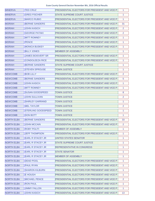### Essex County General Election November 8th, 2016 Official Results

| <b>MINERVA</b>    | <b>TED CRUZ</b>           | <b>PRESIDENTIAL ELECTORS FOR PRESIDENT AND VICE P</b> | $\mathbf{1}$   |
|-------------------|---------------------------|-------------------------------------------------------|----------------|
| <b>MINERVA</b>    | <b>GREG FISCHER</b>       | <b>STATE SUPREME COURT JUSTICE</b>                    | 1              |
| <b>MINERVA</b>    | <b>MARCO RUBIO</b>        | PRESIDENTIAL ELECTORS FOR PRESIDENT AND VICE P        | 1              |
| <b>MORIAH</b>     | <b>BERNIE SANDERS</b>     | <b>PRESIDENTIAL ELECTORS FOR PRESIDENT AND VICE P</b> | 31             |
| <b>MORIAH</b>     | <b>JOHN KASICH</b>        | PRESIDENTIAL ELECTORS FOR PRESIDENT AND VICE P        | 2              |
| <b>MORIAH</b>     | <b>GEORGE PATAKI</b>      | <b>PRESIDENTIAL ELECTORS FOR PRESIDENT AND VICE P</b> | 2              |
| <b>MORIAH</b>     | <b>MITT ROMNEY</b>        | <b>PRESIDENTIAL ELECTORS FOR PRESIDENT AND VICE P</b> | $\mathbf{1}$   |
| <b>MORIAH</b>     | <b>PENCE</b>              | <b>PRESIDENTIAL ELECTORS FOR PRESIDENT AND VICE P</b> | $\mathbf{1}$   |
| <b>MORIAH</b>     | <b>MONICA BUSKEY</b>      | <b>PRESIDENTIAL ELECTORS FOR PRESIDENT AND VICE P</b> | $\mathbf{1}$   |
| <b>MORIAH</b>     | <b>BILLY JONES</b>        | MEMBER OF ASSEMBLY                                    | $\mathbf{1}$   |
| <b>MORIAH</b>     | <b>JAMES BOISVERT SR</b>  | <b>PRESIDENTIAL ELECTORS FOR PRESIDENT AND VICE P</b> | $\mathbf{1}$   |
| <b>MORIAH</b>     | <b>CONDOLEEZA RICE</b>    | <b>PRESIDENTIAL ELECTORS FOR PRESIDENT AND VICE P</b> | $\mathbf{1}$   |
| <b>MORIAH</b>     | <b>BERNIE SANDERS</b>     | <b>STATE SUPREME COURT JUSTICE</b>                    | $\mathbf{1}$   |
| <b>MORIAH</b>     | <b>STEVEN SPROUSE</b>     | <b>TOWN JUSTICE</b>                                   | $\mathbf{1}$   |
| <b>NEWCOMB</b>    | <b>BOB LILLY</b>          | PRESIDENTIAL ELECTORS FOR PRESIDENT AND VICE P        | 2              |
| <b>NEWCOMB</b>    | <b>BERNIE SANDERS</b>     | PRESIDENTIAL ELECTORS FOR PRESIDENT AND VICE P        | 5              |
| <b>NEWCOMB</b>    | <b>JOHN KASICH</b>        | PRESIDENTIAL ELECTORS FOR PRESIDENT AND VICE P        | 1              |
| <b>NEWCOMB</b>    | <b>MITT ROMNEY</b>        | <b>PRESIDENTIAL ELECTORS FOR PRESIDENT AND VICE P</b> | $\mathbf{1}$   |
| <b>NEWCOMB</b>    | <b>SUSAN GOODSPEED</b>    | <b>TOWN JUSTICE</b>                                   | 8              |
| <b>NEWCOMB</b>    | <b>JOHN SULLIVAN</b>      | <b>TOWN JUSTICE</b>                                   | $\overline{2}$ |
| <b>NEWCOMB</b>    | <b>SHIRLEY GARRAND</b>    | <b>TOWN JUSTICE</b>                                   | 1              |
| <b>NEWCOMB</b>    | <b>MEL TAYLOR</b>         | <b>TOWN JUSTICE</b>                                   | $\overline{2}$ |
| <b>NEWCOMB</b>    | <b>STERLING GOODSPEED</b> | <b>TOWN JUSTICE</b>                                   | 1              |
| <b>NEWCOMB</b>    | <b>DON BOTT</b>           | <b>TOWN JUSTICE</b>                                   | $\mathbf{1}$   |
| <b>NORTH ELBA</b> | <b>BERNIE SANDERS</b>     | PRESIDENTIAL ELECTORS FOR PRESIDENT AND VICE P        | 33             |
| <b>NORTH ELBA</b> | <b>JOHN MCCAIN</b>        | PRESIDENTIAL ELECTORS FOR PRESIDENT AND VICE P        | $\overline{2}$ |
| <b>NORTH ELBA</b> | <b>ROBY POLITI</b>        | <b>MEMBER OF ASSEMBLY</b>                             | $\mathbf{1}$   |
| <b>NORTH ELBA</b> | <b>JEFF THOMPSON</b>      | PRESIDENTIAL ELECTORS FOR PRESIDENT AND VICE P        | $\mathbf{1}$   |
| <b>NORTH ELBA</b> | <b>EARL R STACEY JR</b>   | UNITED STATES SENATOR                                 | $\mathbf{1}$   |
| <b>NORTH ELBA</b> | <b>EARL R STACEY JR</b>   | <b>STATE SUPREME COURT JUSTICE</b>                    | $\mathbf{1}$   |
| <b>NORTH ELBA</b> | <b>EARL R STACEY JR</b>   | <b>REPRESENTATIVE IN CONGRESS</b>                     | $\mathbf{1}$   |
| <b>NORTH ELBA</b> | <b>EARL R STACEY JR</b>   | <b>STATE SENATOR</b>                                  | $\mathbf{1}$   |
| <b>NORTH ELBA</b> | <b>EARL R STACEY JR</b>   | <b>MEMBER OF ASSEMBLY</b>                             | $\mathbf{1}$   |
| <b>NORTH ELBA</b> | <b>DEAD POOL</b>          | <b>PRESIDENTIAL ELECTORS FOR PRESIDENT AND VICE P</b> | $\mathbf{1}$   |
| <b>NORTH ELBA</b> | <b>PAUL RYAN</b>          | PRESIDENTIAL ELECTORS FOR PRESIDENT AND VICE P        | $\mathbf{1}$   |
| <b>NORTH ELBA</b> | <b>SHARON KILBURN</b>     | PRESIDENTIAL ELECTORS FOR PRESIDENT AND VICE P        | $\mathbf{1}$   |
| <b>NORTH ELBA</b> | <b>E HOUGH</b>            | PRESIDENTIAL ELECTORS FOR PRESIDENT AND VICE P        | 1              |
| <b>NORTH ELBA</b> | <b>MICHAEL PENCE</b>      | PRESIDENTIAL ELECTORS FOR PRESIDENT AND VICE P        | $\overline{2}$ |
| <b>NORTH ELBA</b> | <b>RON PAUL</b>           | <b>PRESIDENTIAL ELECTORS FOR PRESIDENT AND VICE P</b> | $\mathbf{1}$   |
| <b>NORTH ELBA</b> | <b>JIMMY FALLON</b>       | PRESIDENTIAL ELECTORS FOR PRESIDENT AND VICE P        | 1              |
| <b>NORTH ELBA</b> | <b>JOHN KASICH</b>        | PRESIDENTIAL ELECTORS FOR PRESIDENT AND VICE P        | 13             |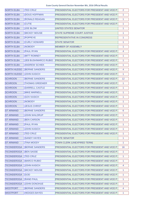| <b>NORTH ELBA</b>  | <b>TED CRUZ</b>             | <b>PRESIDENTIAL ELECTORS FOR PRESIDENT AND VICE P</b> | 2                 |
|--------------------|-----------------------------|-------------------------------------------------------|-------------------|
| <b>NORTH ELBA</b>  | <b>DOUG HOFFMAN</b>         | <b>PRESIDENTIAL ELECTORS FOR PRESIDENT AND VICE P</b> | 1                 |
| <b>NORTH ELBA</b>  | <b>RONALD REAGAN</b>        | PRESIDENTIAL ELECTORS FOR PRESIDENT AND VICE P        | 1                 |
| <b>NORTH ELBA</b>  | <b>CUTIE</b>                | PRESIDENTIAL ELECTORS FOR PRESIDENT AND VICE P        | 1                 |
| <b>NORTH ELBA</b>  | <b>JOE BLOW</b>             | UNITED STATES SENATOR                                 | 1                 |
| <b>NORTH ELBA</b>  | <b>MICKEY MOUSE</b>         | <b>STATE SUPREME COURT JUSTICE</b>                    | 1                 |
| <b>NORTH ELBA</b>  | <b>POPPEYE</b>              | REPRESENTATIVE IN CONGRESS                            | 1                 |
| <b>NORTH ELBA</b>  | <b>CURLY HOWARD</b>         | <b>STATE SENATOR</b>                                  | 1                 |
| <b>NORTH ELBA</b>  | <b>NOBODY</b>               | <b>MEMBER OF ASSEMBLY</b>                             | 1                 |
| <b>NORTH ELBA</b>  | <b>PAUL RYAN</b>            | PRESIDENTIAL ELECTORS FOR PRESIDENT AND VICE P        | 4                 |
| <b>NORTH ELBA</b>  | <b>MITT ROMNEY</b>          | PRESIDENTIAL ELECTORS FOR PRESIDENT AND VICE P        | 1                 |
| <b>NORTH ELBA</b>  | <b>JEB BUSH/MARCO RUBIO</b> | <b>PRESIDENTIAL ELECTORS FOR PRESIDENT AND VICE P</b> | 1                 |
| <b>NORTH ELBA</b>  | <b>ANDREW SCHIEK</b>        | PRESIDENTIAL ELECTORS FOR PRESIDENT AND VICE P        | 1                 |
| <b>NORTH HUDSO</b> | <b>BERNIE SANDERS</b>       | <b>PRESIDENTIAL ELECTORS FOR PRESIDENT AND VICE P</b> | 4                 |
| NORTH HUDSO        | <b>JOHN KASICH</b>          | PRESIDENTIAL ELECTORS FOR PRESIDENT AND VICE P        | 1                 |
| <b>SCHROON</b>     | <b>BERNIE SANDERS</b>       | <b>PRESIDENTIAL ELECTORS FOR PRESIDENT AND VICE P</b> | $12 \overline{ }$ |
| <b>SCHROON</b>     | THOMAS GREENIER             | PRESIDENTIAL ELECTORS FOR PRESIDENT AND VICE P        | 1                 |
| SCHROON            | <b>DARRELL CASTLE</b>       | <b>PRESIDENTIAL ELECTORS FOR PRESIDENT AND VICE P</b> | 1                 |
| <b>SCHROON</b>     | <b>MIKE MARNELL</b>         | PRESIDENTIAL ELECTORS FOR PRESIDENT AND VICE P        | 1                 |
| <b>SCHROON</b>     | <b>GOV KASICH</b>           | PRESIDENTIAL ELECTORS FOR PRESIDENT AND VICE P        | 1                 |
| <b>SCHROON</b>     | <b>NOBODY</b>               | PRESIDENTIAL ELECTORS FOR PRESIDENT AND VICE P        | 1                 |
| <b>SCHROON</b>     | <b>JESUS CHRIST</b>         | PRESIDENTIAL ELECTORS FOR PRESIDENT AND VICE P        | 1                 |
| <b>ST ARMAND</b>   | <b>BERNIE SANDERS</b>       | PRESIDENTIAL ELECTORS FOR PRESIDENT AND VICE P        | 6                 |
| <b>ST ARMAND</b>   | <b>JOHN WALDRUP</b>         | PRESIDENTIAL ELECTORS FOR PRESIDENT AND VICE P        | 1                 |
| <b>ST ARMAND</b>   | <b>BEN CARSON</b>           | PRESIDENTIAL ELECTORS FOR PRESIDENT AND VICE P        | 1                 |
| <b>ST ARMAND</b>   | <b>PAUL RYAN</b>            | PRESIDENTIAL ELECTORS FOR PRESIDENT AND VICE P        | 1                 |
| <b>ST ARMAND</b>   | <b>JOHN KASICH</b>          | PRESIDENTIAL ELECTORS FOR PRESIDENT AND VICE P        | 1                 |
| <b>ST ARMAND</b>   | <b>TED CRUZ</b>             | PRESIDENTIAL ELECTORS FOR PRESIDENT AND VICE P        | 1                 |
| <b>ST ARMAND</b>   | <b>SANDY HAYES</b>          | <b>STATE SENATOR</b>                                  | 1                 |
| <b>ST ARMAND</b>   | TINA MOODY                  | TOWN CLERK (UNEXPIRED TERM)                           | 1                 |
| <b>TICONDEROGA</b> | <b>BERNIE SANDERS</b>       | <b>PRESIDENTIAL ELECTORS FOR PRESIDENT AND VICE P</b> | 16                |
| <b>TICONDEROGA</b> | <b>BEN SASSE</b>            | PRESIDENTIAL ELECTORS FOR PRESIDENT AND VICE P        | 1                 |
| <b>TICONDEROGA</b> | TED CRUZ                    | PRESIDENTIAL ELECTORS FOR PRESIDENT AND VICE P        | 1                 |
| <b>TICONDEROGA</b> | <b>MARCO RUBIO</b>          | PRESIDENTIAL ELECTORS FOR PRESIDENT AND VICE P        | 1                 |
| <b>TICONDEROGA</b> | <b>JOHN KASICH</b>          | PRESIDENTIAL ELECTORS FOR PRESIDENT AND VICE P        | 4                 |
| <b>TICONDEROGA</b> | <b>MICKEY MOUSE</b>         | PRESIDENTIAL ELECTORS FOR PRESIDENT AND VICE P        | 1                 |
| <b>TICONDEROGA</b> | <b>GOD</b>                  | PRESIDENTIAL ELECTORS FOR PRESIDENT AND VICE P        | 1                 |
| <b>TICONDEROGA</b> | <b>RAND PAUL</b>            | PRESIDENTIAL ELECTORS FOR PRESIDENT AND VICE P        | 1                 |
| <b>TICONDEROGA</b> | <b>JOHN DONOHUE</b>         | PRESIDENTIAL ELECTORS FOR PRESIDENT AND VICE P        | 1                 |
| <b>WESTPORT</b>    | <b>BERNIE SANDERS</b>       | PRESIDENTIAL ELECTORS FOR PRESIDENT AND VICE P        | 4                 |
| <b>WESTPORT</b>    | <b>HEDGES BAYES</b>         | PRESIDENTIAL ELECTORS FOR PRESIDENT AND VICE P        | 1                 |